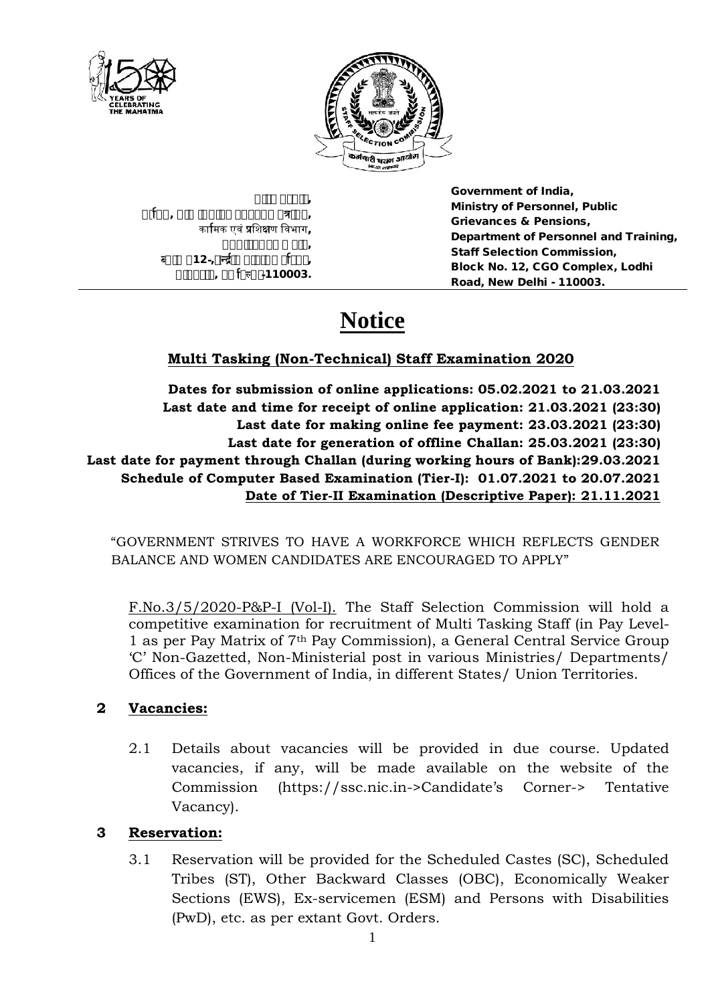

**Government of India, Ministry of Personnel, Public Grievances & Pensions, Department of Personnel and Training, Staff Selection Commission, Block No. 12, CGO Complex, Lodhi Road, New Delhi - 110003.**

# **Notice**

### **Multi Tasking (Non-Technical) Staff Examination 2020**

**Dates for submission of online applications: 05.02.2021 to 21.03.2021 Last date and time for receipt of online application: 21.03.2021 (23:30) Last date for making online fee payment: 23.03.2021 (23:30) Last date for generation of offline Challan: 25.03.2021 (23:30) Last date for payment through Challan (during working hours of Bank):29.03.2021 Schedule of Computer Based Examination (Tier-I): 01.07.2021 to 20.07.2021 Date of Tier-II Examination (Descriptive Paper): 21.11.2021**

"GOVERNMENT STRIVES TO HAVE A WORKFORCE WHICH REFLECTS GENDER BALANCE AND WOMEN CANDIDATES ARE ENCOURAGED TO APPLY"

F.No.3/5/2020-P&P-I (Vol-I). The Staff Selection Commission will hold a competitive examination for recruitment of Multi Tasking Staff (in Pay Level- 1 as per Pay Matrix of 7th Pay Commission), a General Central Service Group 'C' Non-Gazetted, Non-Ministerial post in various Ministries/ Departments/ Offices of the Government of India, in different States/ Union Territories.

### **2 Vacancies:**

2.1 Details about vacancies will be provided in due course. Updated vacancies, if any, will be made available on the website of the Commission (https://ssc.nic.in->Candidate's Corner-> Tentative Vacancy).

### **3 Reservation:**

3.1 Reservation will be provided for the Scheduled Castes (SC), Scheduled Tribes (ST), Other Backward Classes (OBC), Economically Weaker Sections (EWS), Ex-servicemen (ESM) and Persons with Disabilities (PwD), etc. as per extant Govt. Orders.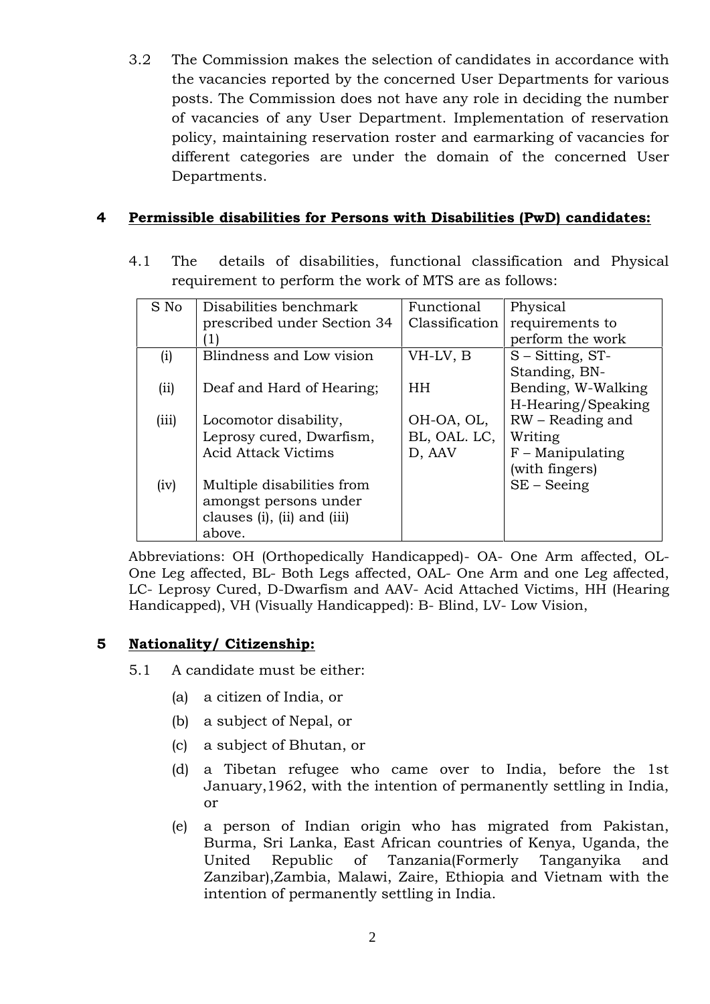3.2 The Commission makes the selection of candidates in accordance with the vacancies reported by the concerned User Departments for various posts. The Commission does not have any role in deciding the number of vacancies of any User Department. Implementation of reservation policy, maintaining reservation roster and earmarking of vacancies for different categories are under the domain of the concerned User Departments.

### **4 Permissible disabilities for Persons with Disabilities (PwD) candidates:**

4.1 The details of disabilities, functional classification and Physical requirement to perform the work of MTS are as follows:

| S No  | Disabilities benchmark      | Functional     | Physical            |
|-------|-----------------------------|----------------|---------------------|
|       | prescribed under Section 34 | Classification | requirements to     |
|       |                             |                | perform the work    |
| (i)   | Blindness and Low vision    | VH-LV, B       | $S - Sitting, ST -$ |
|       |                             |                | Standing, BN-       |
| (ii)  | Deaf and Hard of Hearing;   | <b>HH</b>      | Bending, W-Walking  |
|       |                             |                | H-Hearing/Speaking  |
| (iii) | Locomotor disability,       | OH-OA, OL,     | RW – Reading and    |
|       | Leprosy cured, Dwarfism,    | BL, OAL. LC,   | Writing             |
|       | <b>Acid Attack Victims</b>  | D, AAV         | $F$ – Manipulating  |
|       |                             |                | (with fingers)      |
| (iv)  | Multiple disabilities from  |                | $SE - Seeing$       |
|       | amongst persons under       |                |                     |
|       | clauses (i), (ii) and (iii) |                |                     |
|       | above.                      |                |                     |

Abbreviations: OH (Orthopedically Handicapped)- OA- One Arm affected, OL- One Leg affected, BL- Both Legs affected, OAL- One Arm and one Leg affected, LC- Leprosy Cured, D-Dwarfism and AAV- Acid Attached Victims, HH (Hearing Handicapped), VH (Visually Handicapped): B- Blind, LV- Low Vision,

### **5 Nationality/ Citizenship:**

- 5.1 A candidate must be either:
	- (a) a citizen of India, or
	- (b) a subject of Nepal, or
	- (c) a subject of Bhutan, or
	- (d) a Tibetan refugee who came over to India, before the 1st January,1962, with the intention of permanently settling in India, or
	- (e) a person of Indian origin who has migrated from Pakistan, Burma, Sri Lanka, East African countries of Kenya, Uganda, the United Republic of Tanzania(Formerly Tanganyika and Zanzibar),Zambia, Malawi, Zaire, Ethiopia and Vietnam with the intention of permanently settling in India.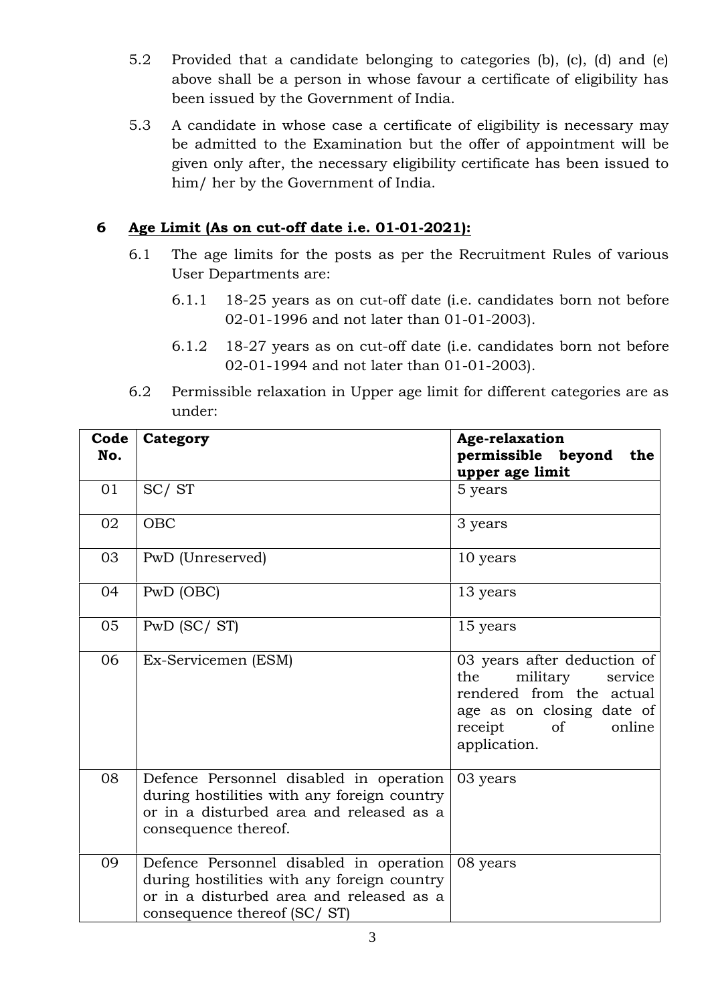- 5.2 Provided that a candidate belonging to categories (b), (c), (d) and (e) above shall be a person in whose favour a certificate of eligibility has been issued by the Government of India.
- 5.3 A candidate in whose case a certificate of eligibility is necessary may be admitted to the Examination but the offer of appointment will be given only after, the necessary eligibility certificate has been issued to him/ her by the Government of India.

### **6 Age Limit (As on cut-off date i.e. 01-01-2021):**

- 6.1 The age limits for the posts as per the Recruitment Rules of various User Departments are:
	- 6.1.1 18-25 years as on cut-off date (i.e. candidates born not before 02-01-1996 and not later than 01-01-2003).
	- 6.1.2 18-27 years as on cut-off date (i.e. candidates born not before 02-01-1994 and not later than 01-01-2003).
- 6.2 Permissible relaxation in Upper age limit for different categories are as under:

| Code<br>No. | Category                                                                                                                                                          | <b>Age-relaxation</b><br>permissible beyond<br>the<br>upper age limit                                                                                                    |
|-------------|-------------------------------------------------------------------------------------------------------------------------------------------------------------------|--------------------------------------------------------------------------------------------------------------------------------------------------------------------------|
| 01          | SC/ST                                                                                                                                                             | 5 years                                                                                                                                                                  |
| 02          | OBC                                                                                                                                                               | 3 years                                                                                                                                                                  |
| 03          | PwD (Unreserved)                                                                                                                                                  | 10 years                                                                                                                                                                 |
| 04          | PwD (OBC)                                                                                                                                                         | 13 years                                                                                                                                                                 |
| 05          | $PwD$ (SC/ST)                                                                                                                                                     | 15 years                                                                                                                                                                 |
| 06          | Ex-Servicemen (ESM)                                                                                                                                               | 03 years after deduction of<br>the<br>military<br>service<br>rendered from the actual<br>age as on closing date of<br>receipt<br><sub>of</sub><br>online<br>application. |
| 08          | Defence Personnel disabled in operation<br>during hostilities with any foreign country<br>or in a disturbed area and released as a<br>consequence thereof.        | 03 years                                                                                                                                                                 |
| 09          | Defence Personnel disabled in operation<br>during hostilities with any foreign country<br>or in a disturbed area and released as a<br>consequence thereof (SC/ST) | 08 years                                                                                                                                                                 |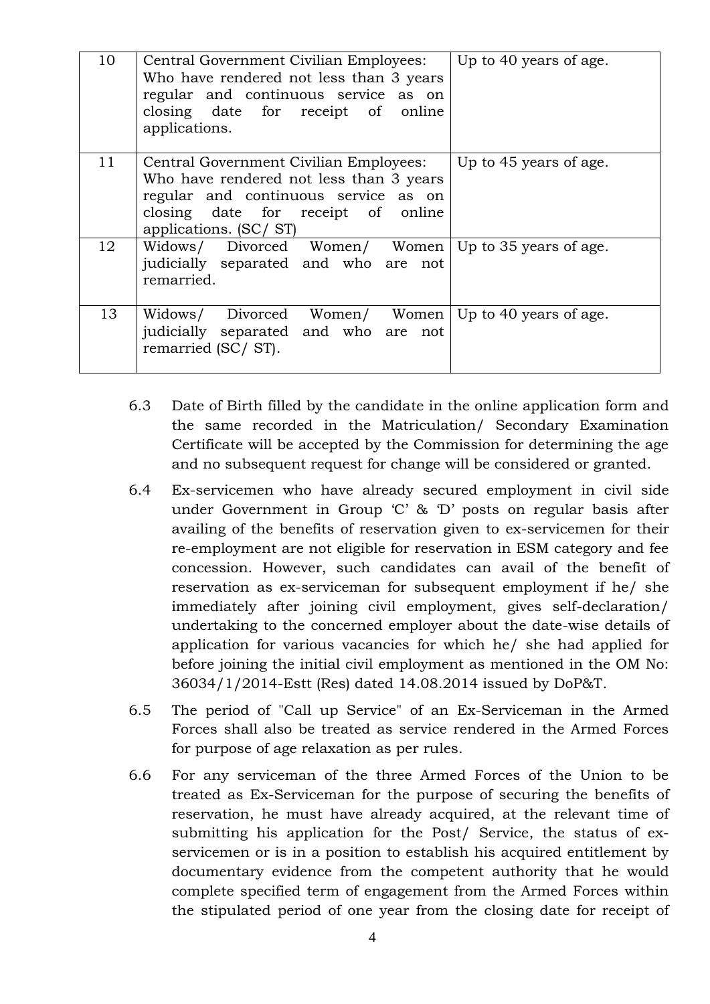| 10 | Central Government Civilian Employees:<br>Who have rendered not less than 3 years<br>regular and continuous service as on<br>closing date for receipt of online<br>applications.         | Up to 40 years of age. |
|----|------------------------------------------------------------------------------------------------------------------------------------------------------------------------------------------|------------------------|
| 11 | Central Government Civilian Employees:<br>Who have rendered not less than 3 years<br>regular and continuous service as on<br>closing date for receipt of online<br>applications. (SC/ST) | Up to 45 years of age. |
| 12 | Widows/ Divorced Women/ Women<br>judicially separated and who are not<br>remarried.                                                                                                      | Up to 35 years of age. |
| 13 | Widows/ Divorced Women/ Women<br>judicially separated and who are not<br>remarried (SC/ST).                                                                                              | Up to 40 years of age. |

- 6.3 Date of Birth filled by the candidate in the online application form and the same recorded in the Matriculation/ Secondary Examination Certificate will be accepted by the Commission for determining the age and no subsequent request for change will be considered or granted.
- 6.4 Ex-servicemen who have already secured employment in civil side under Government in Group 'C' & 'D' posts on regular basis after availing of the benefits of reservation given to ex-servicemen for their re-employment are not eligible for reservation in ESM category and fee concession. However, such candidates can avail of the benefit of reservation as ex-serviceman for subsequent employment if he/ she immediately after joining civil employment, gives self-declaration/ undertaking to the concerned employer about the date-wise details of application for various vacancies for which he/ she had applied for before joining the initial civil employment as mentioned in the OM No: 36034/1/2014-Estt (Res) dated 14.08.2014 issued by DoP&T.
- 6.5 The period of "Call up Service" of an Ex-Serviceman in the Armed Forces shall also be treated as service rendered in the Armed Forces for purpose of age relaxation as per rules.
- 6.6 For any serviceman of the three Armed Forces of the Union to be treated as Ex-Serviceman for the purpose of securing the benefits of reservation, he must have already acquired, at the relevant time of submitting his application for the Post/ Service, the status of ex servicemen or is in a position to establish his acquired entitlement by documentary evidence from the competent authority that he would complete specified term of engagement from the Armed Forces within the stipulated period of one year from the closing date for receipt of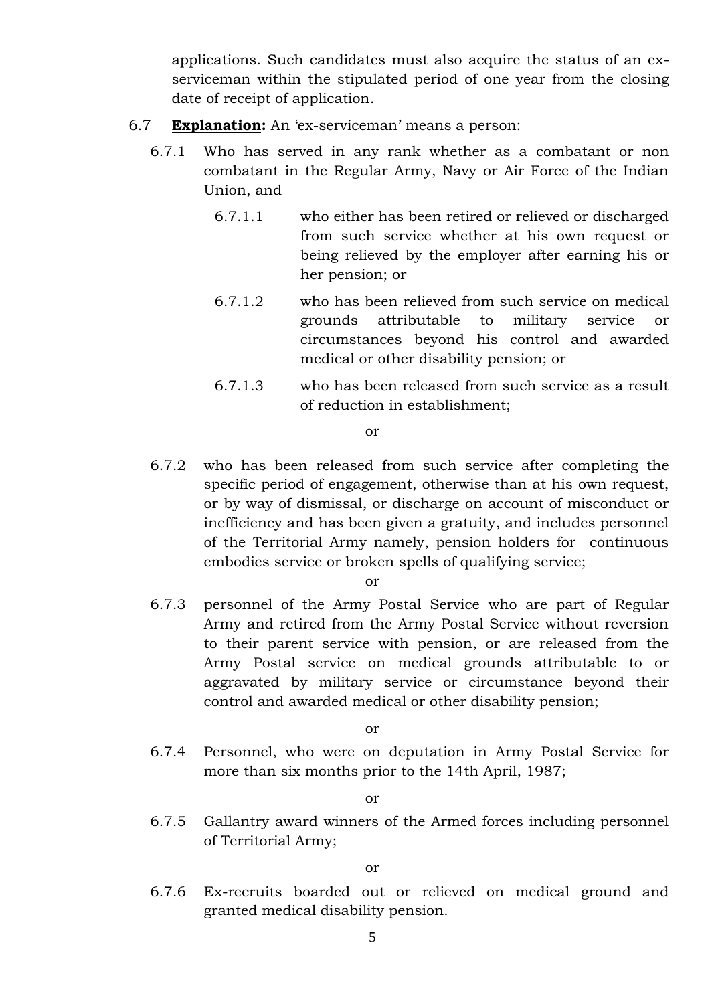applications. Such candidates must also acquire the status of an ex serviceman within the stipulated period of one year from the closing date of receipt of application.

- 6.7 **Explanation:** An 'ex-serviceman' means a person:
	- 6.7.1 Who has served in any rank whether as a combatant or non combatant in the Regular Army, Navy or Air Force of the Indian Union, and
		- 6.7.1.1 who either has been retired or relieved or discharged from such service whether at his own request or being relieved by the employer after earning his or her pension; or
		- 6.7.1.2 who has been relieved from such service on medical grounds attributable to military service or circumstances beyond his control and awarded medical or other disability pension; or
		- 6.7.1.3 who has been released from such service as a result of reduction in establishment;

or

6.7.2 who has been released from such service after completing the specific period of engagement, otherwise than at his own request, or by way of dismissal, or discharge on account of misconduct or inefficiency and has been given a gratuity, and includes personnel of the Territorial Army namely, pension holders for continuous embodies service or broken spells of qualifying service;

or

6.7.3 personnel of the Army Postal Service who are part of Regular Army and retired from the Army Postal Service without reversion to their parent service with pension, or are released from the Army Postal service on medical grounds attributable to or aggravated by military service or circumstance beyond their control and awarded medical or other disability pension;

or

6.7.4 Personnel, who were on deputation in Army Postal Service for more than six months prior to the 14th April, 1987;

or

6.7.5 Gallantry award winners of the Armed forces including personnel of Territorial Army;

or

6.7.6 Ex-recruits boarded out or relieved on medical ground and granted medical disability pension.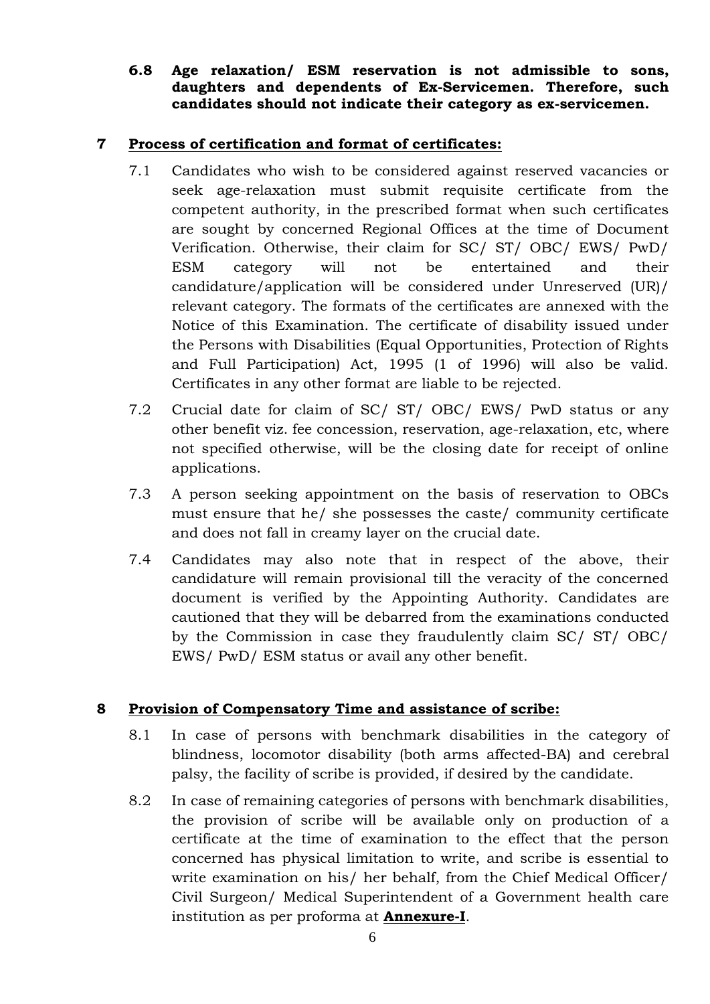### **6.8 Age relaxation/ ESM reservation is not admissible to sons, daughters and dependents of Ex-Servicemen. Therefore, such candidates should not indicate their category as ex-servicemen.**

### **7 Process of certification and format of certificates:**

- 7.1 Candidates who wish to be considered against reserved vacancies or seek age-relaxation must submit requisite certificate from the competent authority, in the prescribed format when such certificates are sought by concerned Regional Offices at the time of Document Verification. Otherwise, their claim for SC/ ST/ OBC/ EWS/ PwD/ ESM category will not be entertained and their candidature/application will be considered under Unreserved (UR)/ relevant category. The formats of the certificates are annexed with the Notice of this Examination. The certificate of disability issued under the Persons with Disabilities (Equal Opportunities, Protection of Rights and Full Participation) Act, 1995 (1 of 1996) will also be valid. Certificates in any other format are liable to be rejected.
- 7.2 Crucial date for claim of SC/ ST/ OBC/ EWS/ PwD status or any other benefit viz. fee concession, reservation, age-relaxation, etc, where not specified otherwise, will be the closing date for receipt of online applications.
- 7.3 A person seeking appointment on the basis of reservation to OBCs must ensure that he/ she possesses the caste/ community certificate and does not fall in creamy layer on the crucial date.
- 7.4 Candidates may also note that in respect of the above, their candidature will remain provisional till the veracity of the concerned document is verified by the Appointing Authority. Candidates are cautioned that they will be debarred from the examinations conducted by the Commission in case they fraudulently claim SC/ ST/ OBC/ EWS/ PwD/ ESM status or avail any other benefit.

### **8 Provision of Compensatory Time and assistance of scribe:**

- 8.1 In case of persons with benchmark disabilities in the category of blindness, locomotor disability (both arms affected-BA) and cerebral palsy, the facility of scribe is provided, if desired by the candidate.
- 8.2 In case of remaining categories of persons with benchmark disabilities, the provision of scribe will be available only on production of a certificate at the time of examination to the effect that the person concerned has physical limitation to write, and scribe is essential to write examination on his/ her behalf, from the Chief Medical Officer/ Civil Surgeon/ Medical Superintendent of a Government health care institution as per proforma at **Annexure-I**.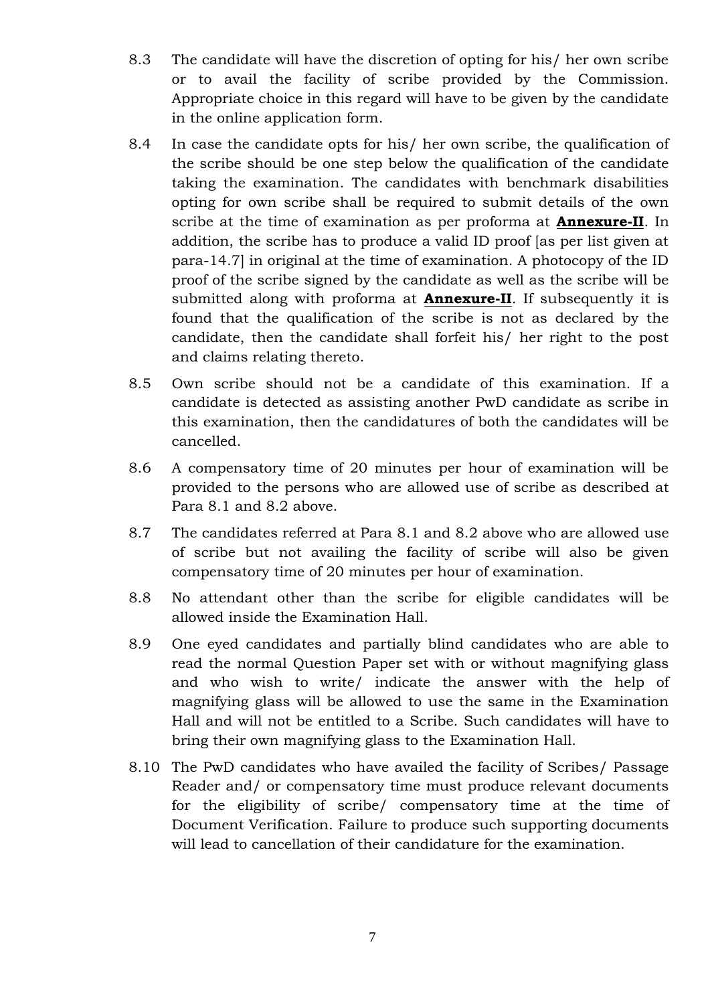- 8.3 The candidate will have the discretion of opting for his/ her own scribe or to avail the facility of scribe provided by the Commission. Appropriate choice in this regard will have to be given by the candidate in the online application form.
- 8.4 In case the candidate opts for his/ her own scribe, the qualification of the scribe should be one step below the qualification of the candidate taking the examination. The candidates with benchmark disabilities opting for own scribe shall be required to submit details of the own scribe at the time of examination as per proforma at **Annexure-II**. In addition, the scribe has to produce a valid ID proof [as per list given at para-14.7] in original at the time of examination. A photocopy of the ID proof of the scribe signed by the candidate as well as the scribe will be submitted along with proforma at **Annexure-II**. If subsequently it is found that the qualification of the scribe is not as declared by the candidate, then the candidate shall forfeit his/ her right to the post and claims relating thereto.
- 8.5 Own scribe should not be a candidate of this examination. If a candidate is detected as assisting another PwD candidate as scribe in this examination, then the candidatures of both the candidates will be cancelled.
- 8.6 A compensatory time of 20 minutes per hour of examination will be provided to the persons who are allowed use of scribe as described at Para 8.1 and 8.2 above.
- 8.7 The candidates referred at Para 8.1 and 8.2 above who are allowed use of scribe but not availing the facility of scribe will also be given compensatory time of 20 minutes per hour of examination.
- 8.8 No attendant other than the scribe for eligible candidates will be allowed inside the Examination Hall.
- 8.9 One eyed candidates and partially blind candidates who are able to read the normal Question Paper set with or without magnifying glass and who wish to write/ indicate the answer with the help of magnifying glass will be allowed to use the same in the Examination Hall and will not be entitled to a Scribe. Such candidates will have to bring their own magnifying glass to the Examination Hall.
- 8.10 The PwD candidates who have availed the facility of Scribes/ Passage Reader and/ or compensatory time must produce relevant documents for the eligibility of scribe/ compensatory time at the time of Document Verification. Failure to produce such supporting documents will lead to cancellation of their candidature for the examination.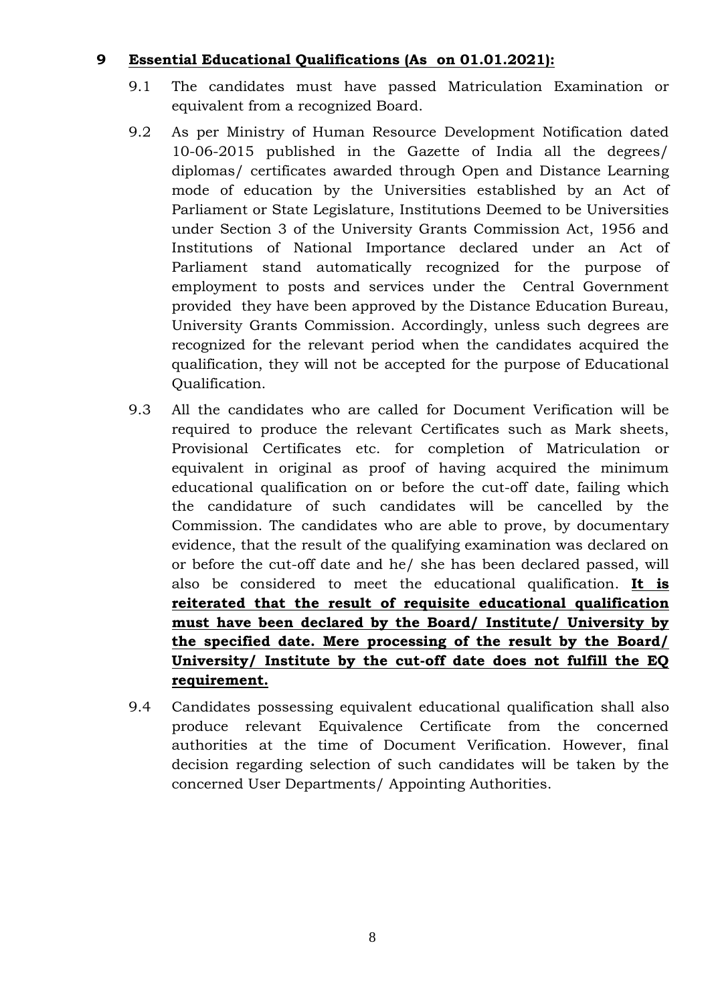### **9 Essential Educational Qualifications (As on 01.01.2021):**

- 9.1 The candidates must have passed Matriculation Examination or equivalent from a recognized Board.
- 9.2 As per Ministry of Human Resource Development Notification dated 10-06-2015 published in the Gazette of India all the degrees/ diplomas/ certificates awarded through Open and Distance Learning mode of education by the Universities established by an Act of Parliament or State Legislature, Institutions Deemed to be Universities under Section 3 of the University Grants Commission Act, 1956 and Institutions of National Importance declared under an Act of Parliament stand automatically recognized for the purpose of employment to posts and services under the Central Government provided they have been approved by the Distance Education Bureau, University Grants Commission. Accordingly, unless such degrees are recognized for the relevant period when the candidates acquired the qualification, they will not be accepted for the purpose of Educational Qualification.
- 9.3 All the candidates who are called for Document Verification will be required to produce the relevant Certificates such as Mark sheets, Provisional Certificates etc. for completion of Matriculation or equivalent in original as proof of having acquired the minimum educational qualification on or before the cut-off date, failing which the candidature of such candidates will be cancelled by the Commission. The candidates who are able to prove, by documentary evidence, that the result of the qualifying examination was declared on or before the cut-off date and he/ she has been declared passed, will also be considered to meet the educational qualification. **It is reiterated that the result of requisite educational qualification must have been declared by the Board/ Institute/ University by the specified date. Mere processing of the result by the Board/ University/ Institute by the cut-off date does not fulfill the EQ requirement.**
- 9.4 Candidates possessing equivalent educational qualification shall also produce relevant Equivalence Certificate from the concerned authorities at the time of Document Verification. However, final decision regarding selection of such candidates will be taken by the concerned User Departments/ Appointing Authorities.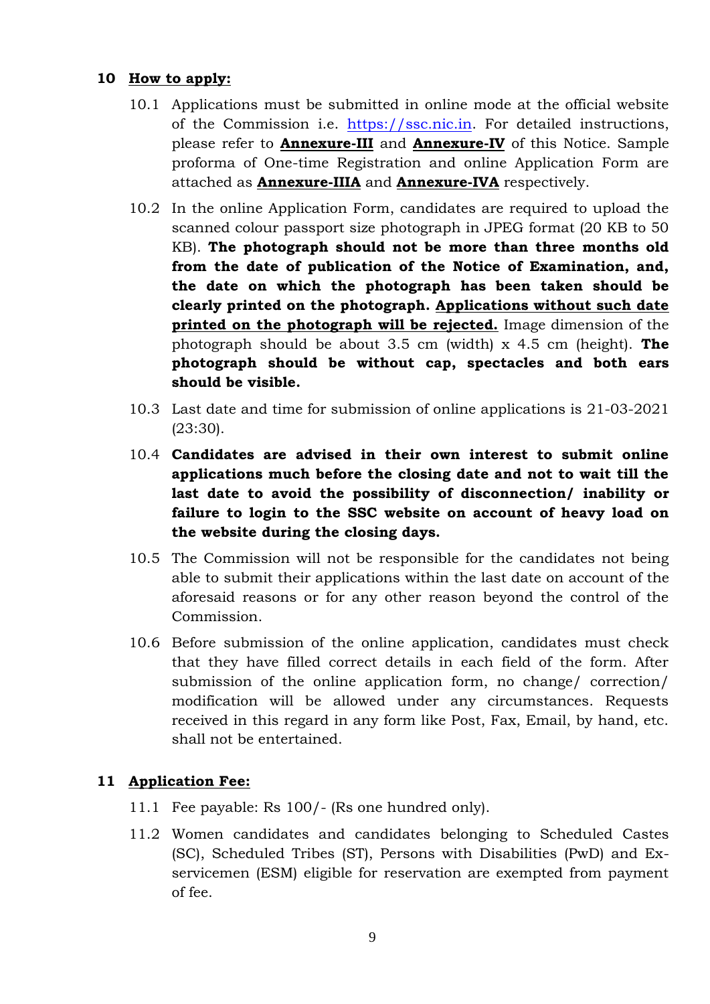### **10 How to apply:**

- 10.1 Applications must be submitted in online mode at the official website of the Commission i.e. https://ssc.nic.in. For detailed instructions, please refer to **Annexure-III** and **Annexure-IV** of this Notice. Sample proforma of One-time Registration and online Application Form are attached as **Annexure-IIIA** and **Annexure-IVA** respectively.
- 10.2 In the online Application Form, candidates are required to upload the scanned colour passport size photograph in JPEG format (20 KB to 50 KB). **The photograph should not be more than three months old from the date of publication of the Notice of Examination, and, the date on which the photograph has been taken should be clearly printed on the photograph. Applications without such date printed on the photograph will be rejected.** Image dimension of the photograph should be about 3.5 cm (width) x 4.5 cm (height). **The photograph should be without cap, spectacles and both ears should be visible.**
- 10.3 Last date and time for submission of online applications is 21-03-2021 (23:30).
- 10.4 **Candidates are advised in their own interest to submit online applications much before the closing date and not to wait till the last date to avoid the possibility of disconnection/ inability or failure to login to the SSC website on account of heavy load on the website during the closing days.**
- 10.5 The Commission will not be responsible for the candidates not being able to submit their applications within the last date on account of the aforesaid reasons or for any other reason beyond the control of the Commission.
- 10.6 Before submission of the online application, candidates must check that they have filled correct details in each field of the form. After submission of the online application form, no change/ correction/ modification will be allowed under any circumstances. Requests received in this regard in any form like Post, Fax, Email, by hand, etc. shall not be entertained.

### **11 Application Fee:**

- 11.1 Fee payable: Rs 100/- (Rs one hundred only).
- 11.2 Women candidates and candidates belonging to Scheduled Castes (SC), Scheduled Tribes (ST), Persons with Disabilities (PwD) and Ex servicemen (ESM) eligible for reservation are exempted from payment of fee.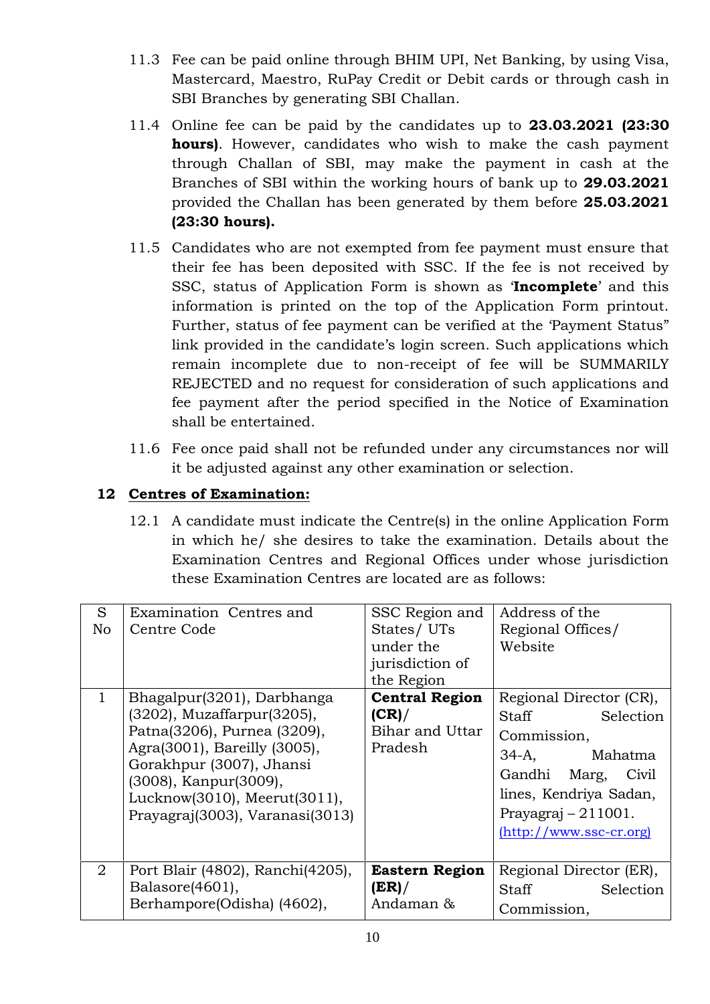- 11.3 Fee can be paid online through BHIM UPI, Net Banking, by using Visa, Mastercard, Maestro, RuPay Credit or Debit cards or through cash in SBI Branches by generating SBI Challan.
- 11.4 Online fee can be paid by the candidates up to **23.03.2021 (23:30 hours)**. However, candidates who wish to make the cash payment through Challan of SBI, may make the payment in cash at the Branches of SBI within the working hours of bank up to **29.03.2021** provided the Challan has been generated by them before **25.03.2021 (23:30 hours).**
- 11.5 Candidates who are not exempted from fee payment must ensure that their fee has been deposited with SSC. If the fee is not received by SSC, status of Application Form is shown as '**Incomplete**' and this information is printed on the top of the Application Form printout. Further, status of fee payment can be verified at the 'Payment Status" link provided in the candidate's login screen. Such applications which remain incomplete due to non-receipt of fee will be SUMMARILY REJECTED and no request for consideration of such applications and fee payment after the period specified in the Notice of Examination shall be entertained.
- 11.6 Fee once paid shall not be refunded under any circumstances nor will it be adjusted against any other examination or selection.

### **12 Centres of Examination:**

12.1 A candidate must indicate the Centre(s) in the online Application Form in which he/ she desires to take the examination. Details about the Examination Centres and Regional Offices under whose jurisdiction these Examination Centres are located are as follows:

| S<br>No<br>$\mathbf{1}$ | Examination Centres and<br>Centre Code<br>Bhagalpur(3201), Darbhanga<br>(3202), Muzaffarpur(3205),<br>Patna(3206), Purnea (3209),<br>Agra(3001), Bareilly (3005),<br>Gorakhpur (3007), Jhansi<br>(3008), Kanpur(3009),<br>Lucknow(3010), Meerut(3011),<br>Prayagraj(3003), Varanasi(3013) | SSC Region and<br>States/UTs<br>under the<br>jurisdiction of<br>the Region<br><b>Central Region</b><br>(CR)<br>Bihar and Uttar<br>Pradesh | Address of the<br>Regional Offices/<br>Website<br>Regional Director (CR),<br>Staff<br>Selection<br>Commission,<br>Mahatma<br>34-A,<br>Gandhi Marg, Civil<br>lines, Kendriya Sadan,<br>Prayagraj $-211001$ .<br>$(http://www.ssc-cr.org)$ |
|-------------------------|-------------------------------------------------------------------------------------------------------------------------------------------------------------------------------------------------------------------------------------------------------------------------------------------|-------------------------------------------------------------------------------------------------------------------------------------------|------------------------------------------------------------------------------------------------------------------------------------------------------------------------------------------------------------------------------------------|
| $\overline{2}$          | Port Blair (4802), Ranchi(4205),<br>Balasore(4601),<br>Berhampore(Odisha) (4602),                                                                                                                                                                                                         | <b>Eastern Region</b><br>(ER) /<br>Andaman &                                                                                              | Regional Director (ER),<br>Staff<br>Selection<br>Commission,                                                                                                                                                                             |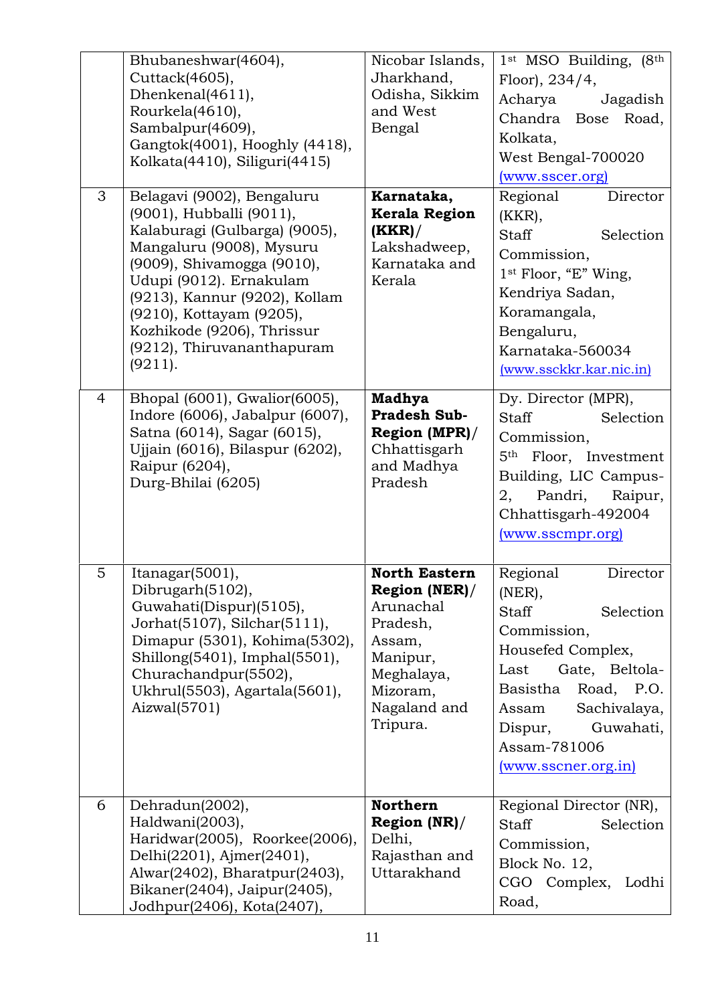|                | Bhubaneshwar(4604),<br>Cuttack(4605),<br>Dhenkenal(4611),<br>Rourkela(4610),<br>Sambalpur(4609),<br>Gangtok(4001), Hooghly (4418),<br>Kolkata(4410), Siliguri(4415)                                                                                                                                              | Nicobar Islands,<br>Jharkhand,<br>Odisha, Sikkim<br>and West<br>Bengal                                                                     | $1st$ MSO Building, $(8th$<br>Floor), 234/4,<br>Acharya<br>Jagadish<br>Chandra Bose Road,<br>Kolkata,<br>West Bengal-700020<br>(www.sscer.org)                                                                                              |
|----------------|------------------------------------------------------------------------------------------------------------------------------------------------------------------------------------------------------------------------------------------------------------------------------------------------------------------|--------------------------------------------------------------------------------------------------------------------------------------------|---------------------------------------------------------------------------------------------------------------------------------------------------------------------------------------------------------------------------------------------|
| 3              | Belagavi (9002), Bengaluru<br>(9001), Hubballi (9011),<br>Kalaburagi (Gulbarga) (9005),<br>Mangaluru (9008), Mysuru<br>(9009), Shivamogga (9010),<br>Udupi (9012). Ernakulam<br>(9213), Kannur (9202), Kollam<br>(9210), Kottayam (9205),<br>Kozhikode (9206), Thrissur<br>(9212), Thiruvananthapuram<br>(9211). | Karnataka,<br><b>Kerala Region</b><br>(KKR) /<br>Lakshadweep,<br>Karnataka and<br>Kerala                                                   | Regional<br>Director<br>$(KKR)$ ,<br><b>Staff</b><br>Selection<br>Commission,<br>1st Floor, "E" Wing,<br>Kendriya Sadan,<br>Koramangala,<br>Bengaluru,<br>Karnataka-560034<br>(www.ssckkr.kar.nic.in)                                       |
| $\overline{4}$ | Bhopal (6001), Gwalior (6005),<br>Indore (6006), Jabalpur (6007),<br>Satna (6014), Sagar (6015),<br>Ujjain (6016), Bilaspur (6202),<br>Raipur (6204),<br>Durg-Bhilai (6205)                                                                                                                                      | <b>Madhya</b><br><b>Pradesh Sub-</b><br>Region (MPR)/<br>Chhattisgarh<br>and Madhya<br>Pradesh                                             | Dy. Director (MPR),<br><b>Staff</b><br>Selection<br>Commission,<br>5 <sup>th</sup> Floor, Investment<br>Building, LIC Campus-<br>Raipur,<br>2,<br>Pandri,<br>Chhattisgarh-492004<br>(www.sscmpr.org)                                        |
| 5              | Itanagar(5001),<br>Dibrugarh(5102),<br>Guwahati(Dispur)(5105),<br>Jorhat(5107), Silchar(5111),<br>Dimapur (5301), Kohima(5302),<br>Shillong(5401), Imphal(5501),<br>Churachandpur(5502),<br>Ukhrul(5503), Agartala(5601),<br>$\text{Aizwal}(5701)$                                                               | <b>North Eastern</b><br>Region (NER)/<br>Arunachal<br>Pradesh,<br>Assam,<br>Manipur,<br>Meghalaya,<br>Mizoram,<br>Nagaland and<br>Tripura. | Regional<br>Director<br>(NER),<br><b>Staff</b><br>Selection<br>Commission,<br>Housefed Complex,<br>Last<br>Gate, Beltola-<br>Basistha<br>Road, P.O.<br>Sachivalaya,<br>Assam<br>Guwahati,<br>Dispur,<br>Assam-781006<br>(www.sscner.org.in) |
| 6              | Dehradun(2002),<br>Haldwani(2003),<br>Haridwar(2005), Roorkee(2006),<br>Delhi(2201), Ajmer(2401),<br>Alwar(2402), Bharatpur(2403),<br>Bikaner(2404), Jaipur(2405),<br>Jodhpur(2406), Kota(2407),                                                                                                                 | <b>Northern</b><br>Region (NR)/<br>Delhi,<br>Rajasthan and<br>Uttarakhand                                                                  | Regional Director (NR),<br><b>Staff</b><br>Selection<br>Commission,<br>Block No. 12,<br>CGO Complex,<br>Lodhi<br>Road,                                                                                                                      |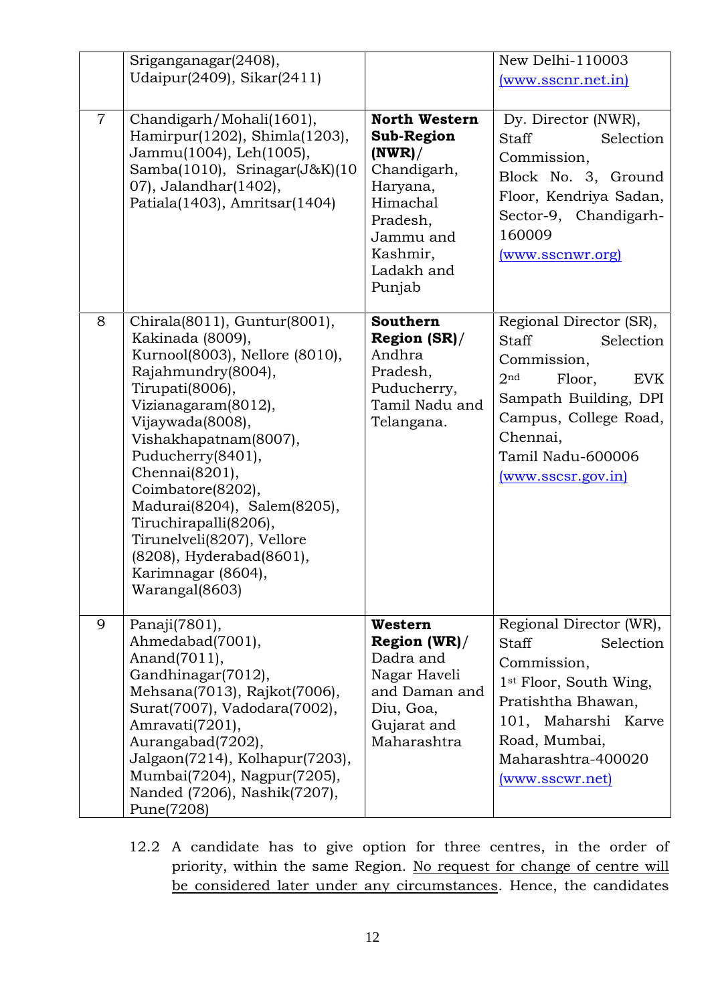|                | Sriganganagar(2408),                                                                                                                                                                                                                                                                                                                                                                                                  |                                                                                                                                                          | New Delhi-110003                                                                                                                                                                                                        |
|----------------|-----------------------------------------------------------------------------------------------------------------------------------------------------------------------------------------------------------------------------------------------------------------------------------------------------------------------------------------------------------------------------------------------------------------------|----------------------------------------------------------------------------------------------------------------------------------------------------------|-------------------------------------------------------------------------------------------------------------------------------------------------------------------------------------------------------------------------|
|                | Udaipur(2409), Sikar(2411)                                                                                                                                                                                                                                                                                                                                                                                            |                                                                                                                                                          | (www.sscnr.net.in)                                                                                                                                                                                                      |
| $\overline{7}$ | Chandigarh/Mohali(1601),<br>Hamirpur(1202), Shimla(1203),<br>Jammu(1004), Leh(1005),<br>Samba $(1010)$ , Srinagar $(J&K)(10$<br>07), Jalandhar(1402),<br>Patiala(1403), Amritsar(1404)                                                                                                                                                                                                                                | <b>North Western</b><br><b>Sub-Region</b><br>(NWR) /<br>Chandigarh,<br>Haryana,<br>Himachal<br>Pradesh,<br>Jammu and<br>Kashmir,<br>Ladakh and<br>Punjab | Dy. Director (NWR),<br><b>Staff</b><br>Selection<br>Commission,<br>Block No. 3, Ground<br>Floor, Kendriya Sadan,<br>Sector-9, Chandigarh-<br>160009<br>(www.sscnwr.org)                                                 |
| 8              | Chirala(8011), Guntur(8001),<br>Kakinada (8009),<br>Kurnool(8003), Nellore (8010),<br>Rajahmundry(8004),<br>Tirupati(8006),<br>Vizianagaram(8012),<br>Vijaywada(8008),<br>Vishakhapatnam(8007),<br>Puducherry(8401),<br>Chennai(8201),<br>Coimbatore(8202),<br>Madurai(8204), Salem(8205),<br>Tiruchirapalli(8206),<br>Tirunelveli(8207), Vellore<br>(8208), Hyderabad(8601),<br>Karimnagar (8604),<br>Warangal(8603) | <b>Southern</b><br>Region (SR)/<br>Andhra<br>Pradesh,<br>Puducherry,<br>Tamil Nadu and<br>Telangana.                                                     | Regional Director (SR),<br><b>Staff</b><br>Selection<br>Commission,<br>2 <sup>nd</sup><br>Floor,<br><b>EVK</b><br>Sampath Building, DPI<br>Campus, College Road,<br>Chennai,<br>Tamil Nadu-600006<br>(www.sscsr.gov.in) |
| 9              | Panaji(7801),<br>Ahmedabad(7001),<br>Anand(7011),<br>Gandhinagar(7012),<br>Mehsana(7013), Rajkot(7006),<br>Surat(7007), Vadodara(7002),<br>Amravati(7201),<br>Aurangabad(7202),<br>Jalgaon(7214), Kolhapur(7203),<br>Mumbai(7204), Nagpur(7205),<br>Nanded (7206), Nashik(7207),<br>Pune(7208)                                                                                                                        | Western<br>Region (WR)/<br>Dadra and<br>Nagar Haveli<br>and Daman and<br>Diu, Goa,<br>Gujarat and<br>Maharashtra                                         | Regional Director (WR),<br><b>Staff</b><br>Selection<br>Commission,<br>1 <sup>st</sup> Floor, South Wing,<br>Pratishtha Bhawan,<br>101, Maharshi Karve<br>Road, Mumbai,<br>Maharashtra-400020<br>(www.sscwr.net)        |

12.2 A candidate has to give option for three centres, in the order of priority, within the same Region. No request for change of centre will be considered later under any circumstances. Hence, the candidates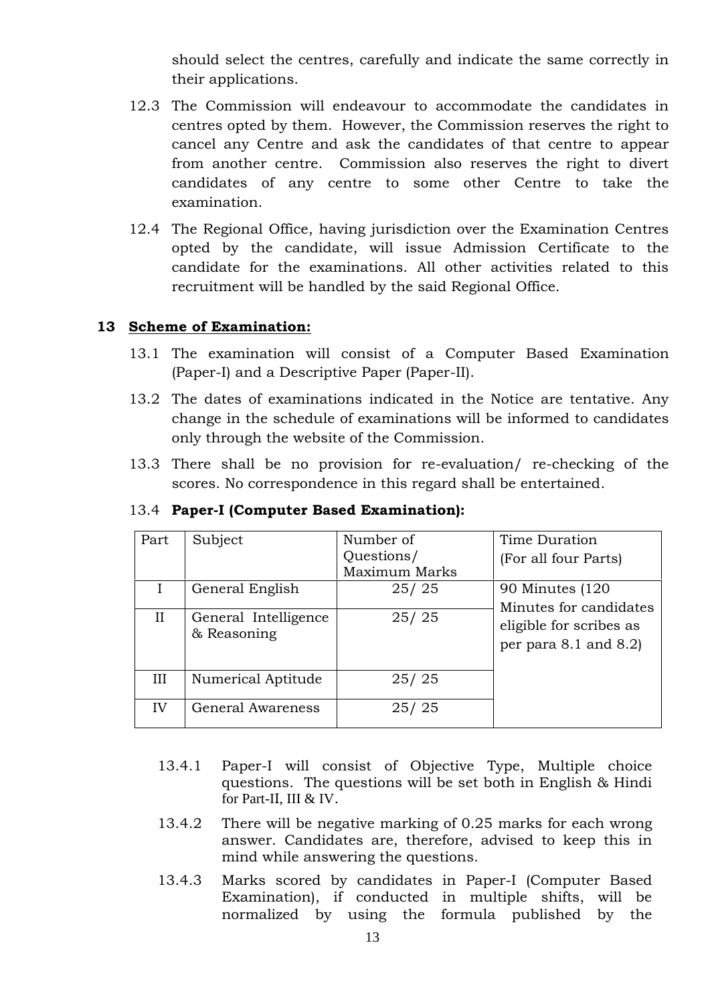should select the centres, carefully and indicate the same correctly in their applications.

- 12.3 The Commission will endeavour to accommodate the candidates in centres opted by them. However, the Commission reserves the right to cancel any Centre and ask the candidates of that centre to appear from another centre. Commission also reserves the right to divert candidates of any centre to some other Centre to take the examination.
- 12.4 The Regional Office, having jurisdiction over the Examination Centres opted by the candidate, will issue Admission Certificate to the candidate for the examinations. All other activities related to this recruitment will be handled by the said Regional Office.

### **13 Scheme of Examination:**

- 13.1 The examination will consist of a Computer Based Examination (Paper-I) and a Descriptive Paper (Paper-II).
- 13.2 The dates of examinations indicated in the Notice are tentative. Any change in the schedule of examinations will be informed to candidates only through the website of the Commission.
- 13.3 There shall be no provision for re-evaluation/ re-checking of the scores. No correspondence in this regard shall be entertained.

| Part     | Subject                             | Number of<br>Questions/<br>Maximum Marks | Time Duration<br>(For all four Parts)               |
|----------|-------------------------------------|------------------------------------------|-----------------------------------------------------|
|          | General English                     | 25/25                                    | 90 Minutes (120<br>Minutes for candidates           |
| $\rm II$ | General Intelligence<br>& Reasoning | 25/25                                    | eligible for scribes as<br>per para $8.1$ and $8.2$ |
| III      | Numerical Aptitude                  | 25/25                                    |                                                     |
| IV       | <b>General Awareness</b>            | 25/25                                    |                                                     |

### 13.4 **Paper-I (Computer Based Examination):**

- 13.4.1 Paper-I will consist of Objective Type, Multiple choice questions. The questions will be set both in English & Hindi for Part-II, III & IV.
- 13.4.2 There will be negative marking of 0.25 marks for each wrong answer. Candidates are, therefore, advised to keep this in mind while answering the questions.
- 13.4.3 Marks scored by candidates in Paper-I (Computer Based Examination), if conducted in multiple shifts, will be normalized by using the formula published by the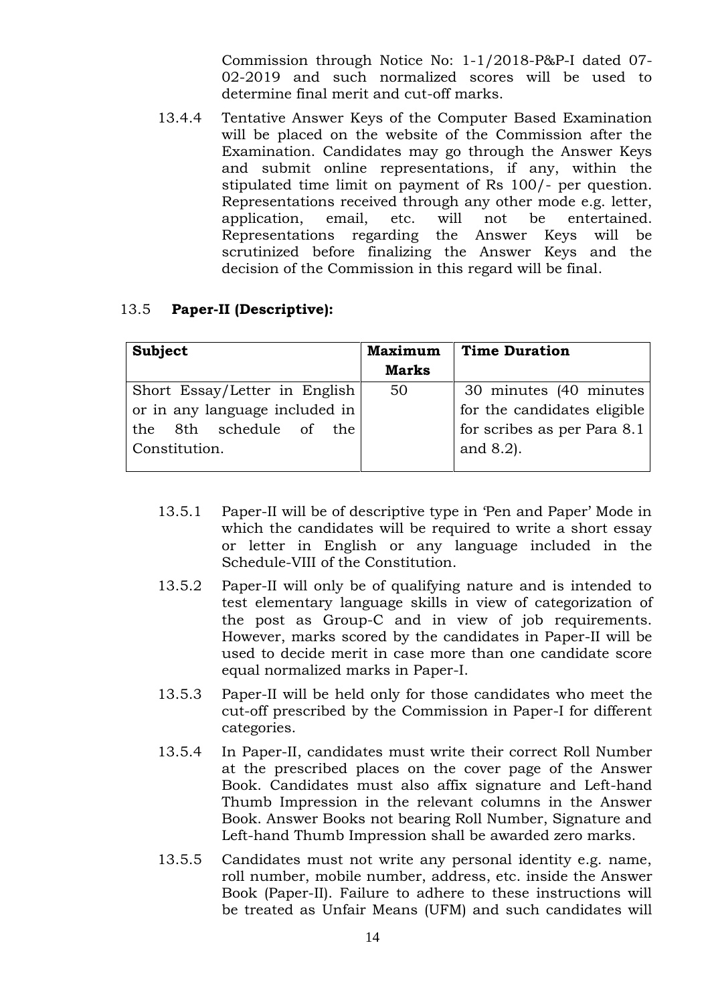Commission through Notice No: 1-1/2018-P&P-I dated 07- 02-2019 and such normalized scores will be used to determine final merit and cut-off marks.

13.4.4 Tentative Answer Keys of the Computer Based Examination will be placed on the website of the Commission after the Examination. Candidates may go through the Answer Keys and submit online representations, if any, within the stipulated time limit on payment of Rs 100/- per question. Representations received through any other mode e.g. letter, application, email, etc. will not be entertained. Representations regarding the Answer Keys will be scrutinized before finalizing the Answer Keys and the decision of the Commission in this regard will be final.

### 13.5 **Paper-II (Descriptive):**

| Subject                        | <b>Maximum</b> | <b>Time Duration</b>        |
|--------------------------------|----------------|-----------------------------|
|                                | <b>Marks</b>   |                             |
| Short Essay/Letter in English  | 50             | 30 minutes (40 minutes)     |
| or in any language included in |                | for the candidates eligible |
| the 8th schedule of the        |                | for scribes as per Para 8.1 |
| Constitution.                  |                | and $8.2$ ).                |
|                                |                |                             |

- 13.5.1 Paper-II will be of descriptive type in 'Pen and Paper' Mode in which the candidates will be required to write a short essay or letter in English or any language included in the Schedule-VIII of the Constitution.
- 13.5.2 Paper-II will only be of qualifying nature and is intended to test elementary language skills in view of categorization of the post as Group-C and in view of job requirements. However, marks scored by the candidates in Paper-II will be used to decide merit in case more than one candidate score equal normalized marks in Paper-I.
- 13.5.3 Paper-II will be held only for those candidates who meet the cut-off prescribed by the Commission in Paper-I for different categories.
- 13.5.4 In Paper-II, candidates must write their correct Roll Number at the prescribed places on the cover page of the Answer Book. Candidates must also affix signature and Left-hand Thumb Impression in the relevant columns in the Answer Book. Answer Books not bearing Roll Number, Signature and Left-hand Thumb Impression shall be awarded zero marks.
- 13.5.5 Candidates must not write any personal identity e.g. name, roll number, mobile number, address, etc. inside the Answer Book (Paper-II). Failure to adhere to these instructions will be treated as Unfair Means (UFM) and such candidates will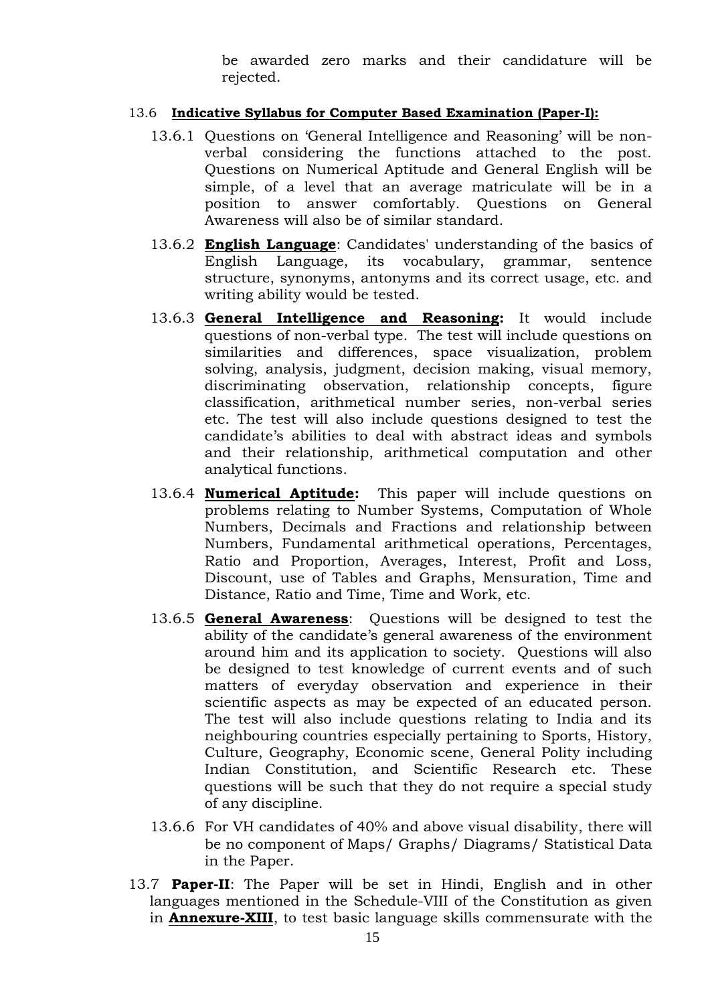be awarded zero marks and their candidature will be rejected.

#### 13.6 **Indicative Syllabus for Computer Based Examination (Paper-I):**

- 13.6.1 Questions on 'General Intelligence and Reasoning' will be non verbal considering the functions attached to the post. Questions on Numerical Aptitude and General English will be simple, of a level that an average matriculate will be in a position to answer comfortably. Questions on General Awareness will also be of similar standard.
- 13.6.2 **English Language**: Candidates' understanding of the basics of English Language, its vocabulary, grammar, sentence structure, synonyms, antonyms and its correct usage, etc. and writing ability would be tested.
- 13.6.3 **General Intelligence and Reasoning:** It would include questions of non-verbal type. The test will include questions on similarities and differences, space visualization, problem solving, analysis, judgment, decision making, visual memory, discriminating observation, relationship concepts, figure classification, arithmetical number series, non-verbal series etc. The test will also include questions designed to test the candidate's abilities to deal with abstract ideas and symbols and their relationship, arithmetical computation and other analytical functions.
- 13.6.4 **Numerical Aptitude:** This paper will include questions on problems relating to Number Systems, Computation of Whole Numbers, Decimals and Fractions and relationship between Numbers, Fundamental arithmetical operations, Percentages, Ratio and Proportion, Averages, Interest, Profit and Loss, Discount, use of Tables and Graphs, Mensuration, Time and Distance, Ratio and Time, Time and Work, etc.
- 13.6.5 **General Awareness**: Questions will be designed to test the ability of the candidate's general awareness of the environment around him and its application to society. Questions will also be designed to test knowledge of current events and of such matters of everyday observation and experience in their scientific aspects as may be expected of an educated person. The test will also include questions relating to India and its neighbouring countries especially pertaining to Sports, History, Culture, Geography, Economic scene, General Polity including Indian Constitution, and Scientific Research etc. These questions will be such that they do not require a special study of any discipline.
- 13.6.6 For VH candidates of 40% and above visual disability, there will be no component of Maps/ Graphs/ Diagrams/ Statistical Data in the Paper.
- 13.7 **Paper-II**: The Paper will be set in Hindi, English and in other languages mentioned in the Schedule-VIII of the Constitution as given in **Annexure-XIII**, to test basic language skills commensurate with the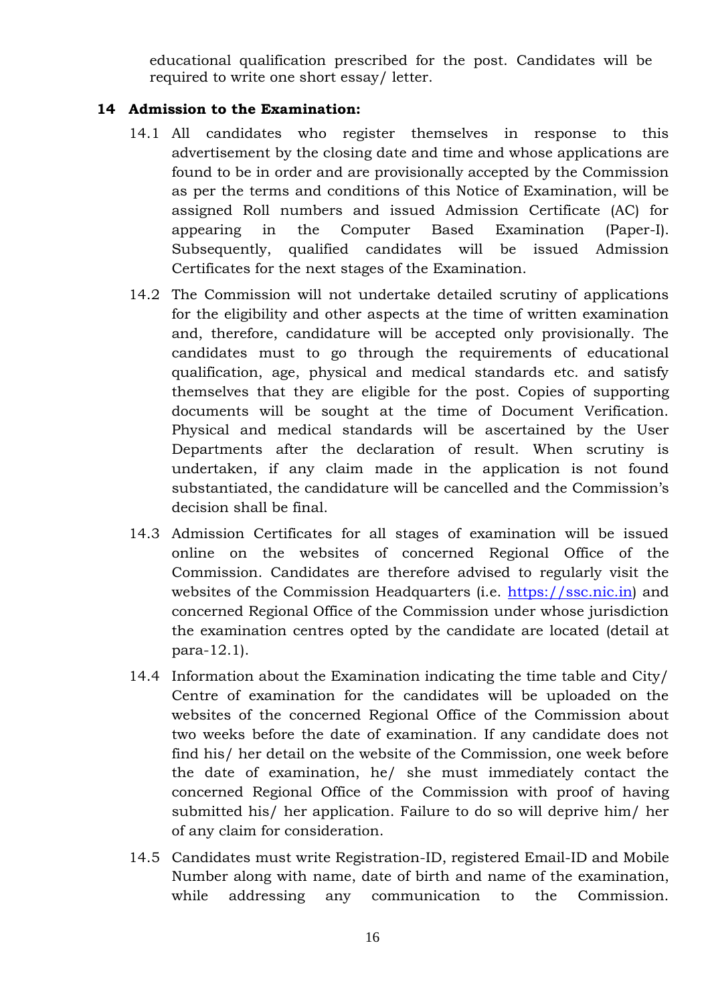educational qualification prescribed for the post. Candidates will be required to write one short essay/ letter.

### **14 Admission to the Examination:**

- 14.1 All candidates who register themselves in response to this advertisement by the closing date and time and whose applications are found to be in order and are provisionally accepted by the Commission as per the terms and conditions of this Notice of Examination, will be assigned Roll numbers and issued Admission Certificate (AC) for appearing in the Computer Based Examination (Paper-I). Subsequently, qualified candidates will be issued Admission Certificates for the next stages of the Examination.
- 14.2 The Commission will not undertake detailed scrutiny of applications for the eligibility and other aspects at the time of written examination and, therefore, candidature will be accepted only provisionally. The candidates must to go through the requirements of educational qualification, age, physical and medical standards etc. and satisfy themselves that they are eligible for the post. Copies of supporting documents will be sought at the time of Document Verification. Physical and medical standards will be ascertained by the User Departments after the declaration of result. When scrutiny is undertaken, if any claim made in the application is not found substantiated, the candidature will be cancelled and the Commission's decision shall be final.
- 14.3 Admission Certificates for all stages of examination will be issued online on the websites of concerned Regional Office of the Commission. Candidates are therefore advised to regularly visit the websites of the Commission Headquarters (i.e. https://ssc.nic.in) and concerned Regional Office of the Commission under whose jurisdiction the examination centres opted by the candidate are located (detail at para-12.1).
- 14.4 Information about the Examination indicating the time table and City/ Centre of examination for the candidates will be uploaded on the websites of the concerned Regional Office of the Commission about two weeks before the date of examination. If any candidate does not find his/ her detail on the website of the Commission, one week before the date of examination, he/ she must immediately contact the concerned Regional Office of the Commission with proof of having submitted his/ her application. Failure to do so will deprive him/ her of any claim for consideration.
- 14.5 Candidates must write Registration-ID, registered Email-ID and Mobile Number along with name, date of birth and name of the examination, while addressing any communication to the Commission.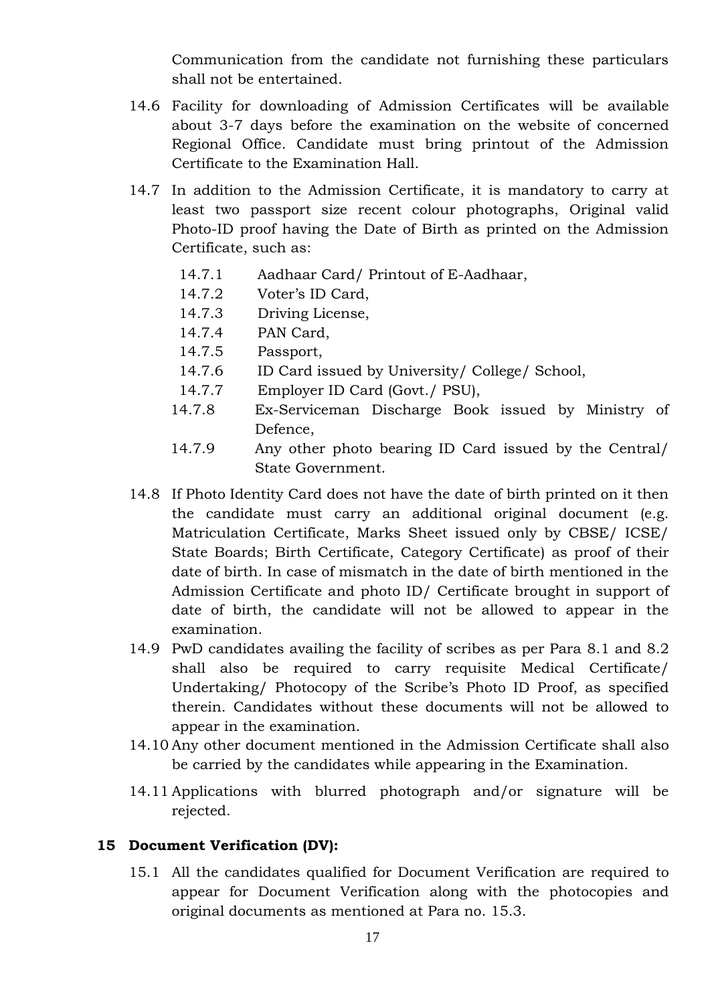Communication from the candidate not furnishing these particulars shall not be entertained.

- 14.6 Facility for downloading of Admission Certificates will be available about 3-7 days before the examination on the website of concerned Regional Office. Candidate must bring printout of the Admission Certificate to the Examination Hall.
- 14.7 In addition to the Admission Certificate, it is mandatory to carry at least two passport size recent colour photographs, Original valid Photo-ID proof having the Date of Birth as printed on the Admission Certificate, such as:
	- 14.7.1 Aadhaar Card/ Printout of E-Aadhaar,
	- 14.7.2 Voter's ID Card,
	- 14.7.3 Driving License,
	- 14.7.4 PAN Card,
	- 14.7.5 Passport,
	- 14.7.6 ID Card issued by University/ College/ School,
	- 14.7.7 Employer ID Card (Govt./ PSU),
	- 14.7.8 Ex-Serviceman Discharge Book issued by Ministry of Defence,
	- 14.7.9 Any other photo bearing ID Card issued by the Central/ State Government.
- 14.8 If Photo Identity Card does not have the date of birth printed on it then the candidate must carry an additional original document (e.g. Matriculation Certificate, Marks Sheet issued only by CBSE/ ICSE/ State Boards; Birth Certificate, Category Certificate) as proof of their date of birth. In case of mismatch in the date of birth mentioned in the Admission Certificate and photo ID/ Certificate brought in support of date of birth, the candidate will not be allowed to appear in the examination.
- 14.9 PwD candidates availing the facility of scribes as per Para 8.1 and 8.2 shall also be required to carry requisite Medical Certificate/ Undertaking/ Photocopy of the Scribe's Photo ID Proof, as specified therein. Candidates without these documents will not be allowed to appear in the examination.
- 14.10 Any other document mentioned in the Admission Certificate shall also be carried by the candidates while appearing in the Examination.
- 14.11 Applications with blurred photograph and/or signature will be rejected.

### **15 Document Verification (DV):**

15.1 All the candidates qualified for Document Verification are required to appear for Document Verification along with the photocopies and original documents as mentioned at Para no. 15.3.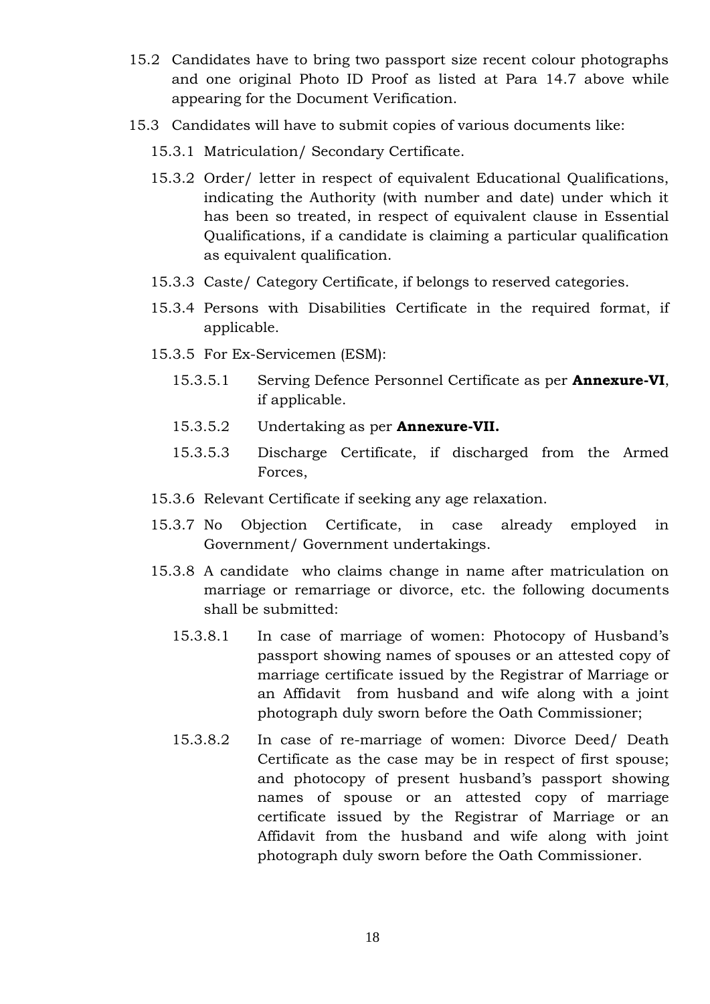- 15.2 Candidates have to bring two passport size recent colour photographs and one original Photo ID Proof as listed at Para 14.7 above while appearing for the Document Verification.
- 15.3 Candidates will have to submit copies of various documents like:
	- 15.3.1 Matriculation/ Secondary Certificate.
	- 15.3.2 Order/ letter in respect of equivalent Educational Qualifications, indicating the Authority (with number and date) under which it has been so treated, in respect of equivalent clause in Essential Qualifications, if a candidate is claiming a particular qualification as equivalent qualification.
	- 15.3.3 Caste/ Category Certificate, if belongs to reserved categories.
	- 15.3.4 Persons with Disabilities Certificate in the required format, if applicable.
	- 15.3.5 For Ex-Servicemen (ESM):
		- 15.3.5.1 Serving Defence Personnel Certificate as per **Annexure-VI**, if applicable.
		- 15.3.5.2 Undertaking as per **Annexure-VII.**
		- 15.3.5.3 Discharge Certificate, if discharged from the Armed Forces,
	- 15.3.6 Relevant Certificate if seeking any age relaxation.
	- 15.3.7 No Objection Certificate, in case already employed in Government/ Government undertakings.
	- 15.3.8 A candidate who claims change in name after matriculation on marriage or remarriage or divorce, etc. the following documents shall be submitted:
		- 15.3.8.1 In case of marriage of women: Photocopy of Husband's passport showing names of spouses or an attested copy of marriage certificate issued by the Registrar of Marriage or an Affidavit from husband and wife along with a joint photograph duly sworn before the Oath Commissioner;
		- 15.3.8.2 In case of re-marriage of women: Divorce Deed/ Death Certificate as the case may be in respect of first spouse; and photocopy of present husband's passport showing names of spouse or an attested copy of marriage certificate issued by the Registrar of Marriage or an Affidavit from the husband and wife along with joint photograph duly sworn before the Oath Commissioner.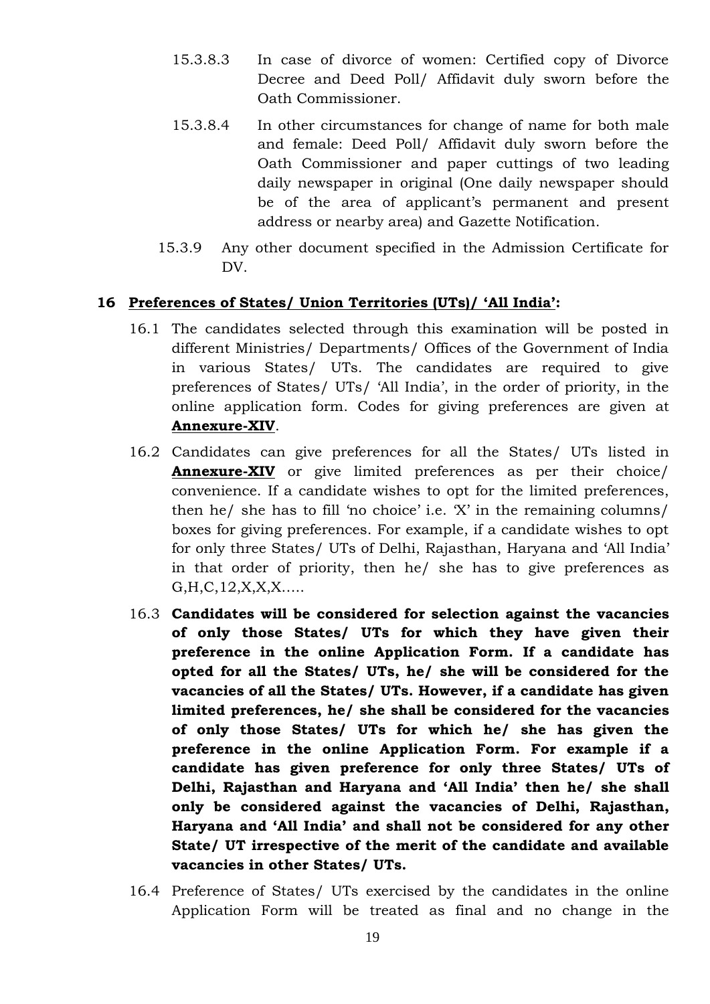- 15.3.8.3 In case of divorce of women: Certified copy of Divorce Decree and Deed Poll/ Affidavit duly sworn before the Oath Commissioner.
- 15.3.8.4 In other circumstances for change of name for both male and female: Deed Poll/ Affidavit duly sworn before the Oath Commissioner and paper cuttings of two leading daily newspaper in original (One daily newspaper should be of the area of applicant's permanent and present address or nearby area) and Gazette Notification.
- 15.3.9 Any other document specified in the Admission Certificate for DV.

### **16 Preferences of States/ Union Territories (UTs)/ 'All India':**

- 16.1 The candidates selected through this examination will be posted in different Ministries/ Departments/ Offices of the Government of India in various States/ UTs. The candidates are required to give preferences of States/ UTs/ 'All India', in the order of priority, in the online application form. Codes for giving preferences are given at **Annexure-XIV**.
- 16.2 Candidates can give preferences for all the States/ UTs listed in **Annexure-XIV** or give limited preferences as per their choice/ convenience. If a candidate wishes to opt for the limited preferences, then he/ she has to fill 'no choice' i.e. 'X' in the remaining columns/ boxes for giving preferences. For example, if a candidate wishes to opt for only three States/ UTs of Delhi, Rajasthan, Haryana and 'All India' in that order of priority, then he/ she has to give preferences as G,H,C,12,X,X,X…..
- 16.3 **Candidates will be considered for selection against the vacancies of only those States/ UTs for which they have given their preference in the online Application Form. If a candidate has opted for all the States/ UTs, he/ she will be considered for the vacancies of all the States/ UTs. However, if a candidate has given limited preferences, he/ she shall be considered for the vacancies of only those States/ UTs for which he/ she has given the preference in the online Application Form. For example if a candidate has given preference for only three States/ UTs of Delhi, Rajasthan and Haryana and 'All India' then he/ she shall only be considered against the vacancies of Delhi, Rajasthan, Haryana and 'All India' and shall not be considered for any other State/ UT irrespective of the merit of the candidate and available vacancies in other States/ UTs.**
- 16.4 Preference of States/ UTs exercised by the candidates in the online Application Form will be treated as final and no change in the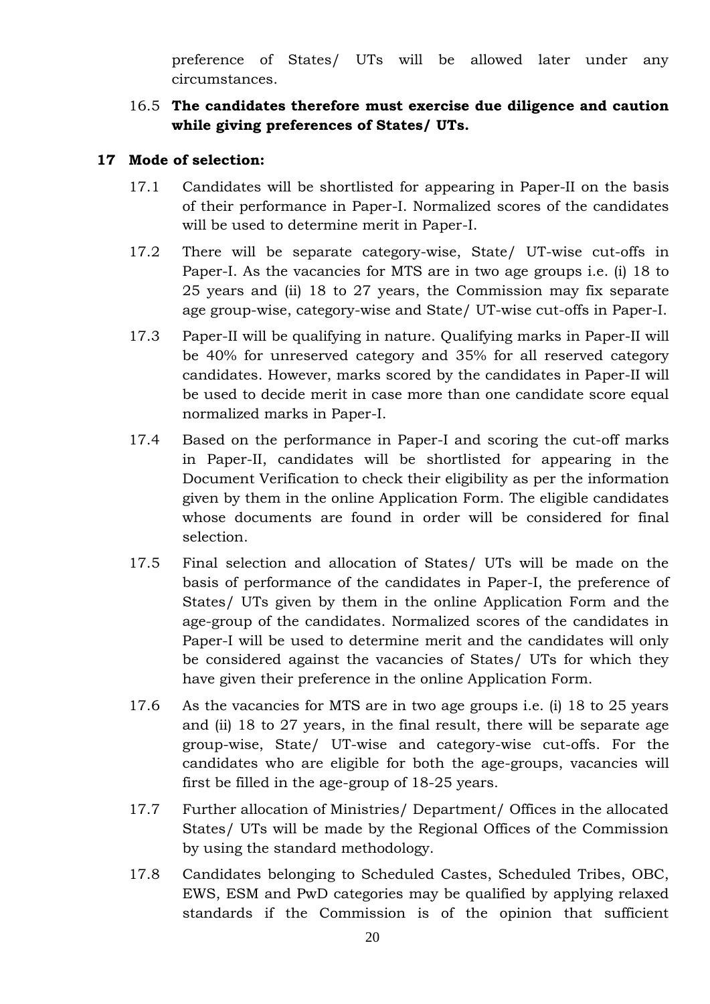preference of States/ UTs will be allowed later under any circumstances.

16.5 **The candidates therefore must exercise due diligence and caution while giving preferences of States/ UTs.**

### **17 Mode of selection:**

- 17.1 Candidates will be shortlisted for appearing in Paper-II on the basis of their performance in Paper-I. Normalized scores of the candidates will be used to determine merit in Paper-I.
- 17.2 There will be separate category-wise, State/ UT-wise cut-offs in Paper-I. As the vacancies for MTS are in two age groups i.e. (i) 18 to 25 years and (ii) 18 to 27 years, the Commission may fix separate age group-wise, category-wise and State/ UT-wise cut-offs in Paper-I.
- 17.3 Paper-II will be qualifying in nature. Qualifying marks in Paper-II will be 40% for unreserved category and 35% for all reserved category candidates. However, marks scored by the candidates in Paper-II will be used to decide merit in case more than one candidate score equal normalized marks in Paper-I.
- 17.4 Based on the performance in Paper-I and scoring the cut-off marks in Paper-II, candidates will be shortlisted for appearing in the Document Verification to check their eligibility as per the information given by them in the online Application Form. The eligible candidates whose documents are found in order will be considered for final selection.
- 17.5 Final selection and allocation of States/ UTs will be made on the basis of performance of the candidates in Paper-I, the preference of States/ UTs given by them in the online Application Form and the age-group of the candidates. Normalized scores of the candidates in Paper-I will be used to determine merit and the candidates will only be considered against the vacancies of States/ UTs for which they have given their preference in the online Application Form.
- 17.6 As the vacancies for MTS are in two age groups i.e. (i) 18 to 25 years and (ii) 18 to 27 years, in the final result, there will be separate age group-wise, State/ UT-wise and category-wise cut-offs. For the candidates who are eligible for both the age-groups, vacancies will first be filled in the age-group of 18-25 years.
- 17.7 Further allocation of Ministries/ Department/ Offices in the allocated States/ UTs will be made by the Regional Offices of the Commission by using the standard methodology.
- 17.8 Candidates belonging to Scheduled Castes, Scheduled Tribes, OBC, EWS, ESM and PwD categories may be qualified by applying relaxed standards if the Commission is of the opinion that sufficient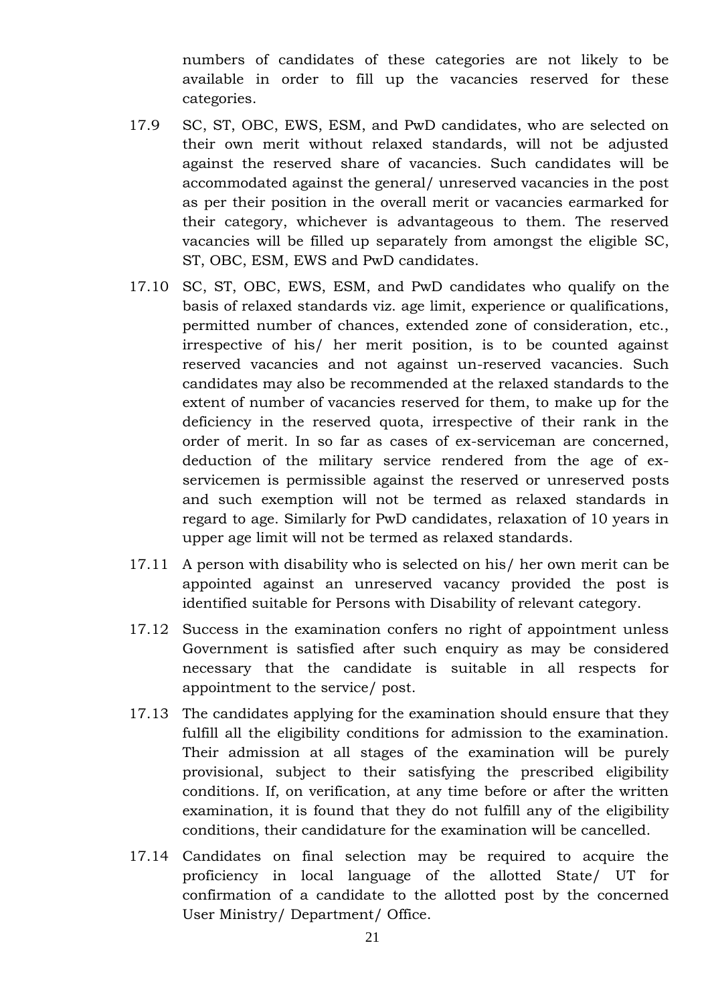numbers of candidates of these categories are not likely to be available in order to fill up the vacancies reserved for these categories.

- 17.9 SC, ST, OBC, EWS, ESM, and PwD candidates, who are selected on their own merit without relaxed standards, will not be adjusted against the reserved share of vacancies. Such candidates will be accommodated against the general/ unreserved vacancies in the post as per their position in the overall merit or vacancies earmarked for their category, whichever is advantageous to them. The reserved vacancies will be filled up separately from amongst the eligible SC, ST, OBC, ESM, EWS and PwD candidates.
- 17.10 SC, ST, OBC, EWS, ESM, and PwD candidates who qualify on the basis of relaxed standards viz. age limit, experience or qualifications, permitted number of chances, extended zone of consideration, etc., irrespective of his/ her merit position, is to be counted against reserved vacancies and not against un-reserved vacancies. Such candidates may also be recommended at the relaxed standards to the extent of number of vacancies reserved for them, to make up for the deficiency in the reserved quota, irrespective of their rank in the order of merit. In so far as cases of ex-serviceman are concerned, deduction of the military service rendered from the age of ex servicemen is permissible against the reserved or unreserved posts and such exemption will not be termed as relaxed standards in regard to age. Similarly for PwD candidates, relaxation of 10 years in upper age limit will not be termed as relaxed standards.
- 17.11 A person with disability who is selected on his/ her own merit can be appointed against an unreserved vacancy provided the post is identified suitable for Persons with Disability of relevant category.
- 17.12 Success in the examination confers no right of appointment unless Government is satisfied after such enquiry as may be considered necessary that the candidate is suitable in all respects for appointment to the service/ post.
- 17.13 The candidates applying for the examination should ensure that they fulfill all the eligibility conditions for admission to the examination. Their admission at all stages of the examination will be purely provisional, subject to their satisfying the prescribed eligibility conditions. If, on verification, at any time before or after the written examination, it is found that they do not fulfill any of the eligibility conditions, their candidature for the examination will be cancelled.
- 17.14 Candidates on final selection may be required to acquire the proficiency in local language of the allotted State/ UT for confirmation of a candidate to the allotted post by the concerned User Ministry/ Department/ Office.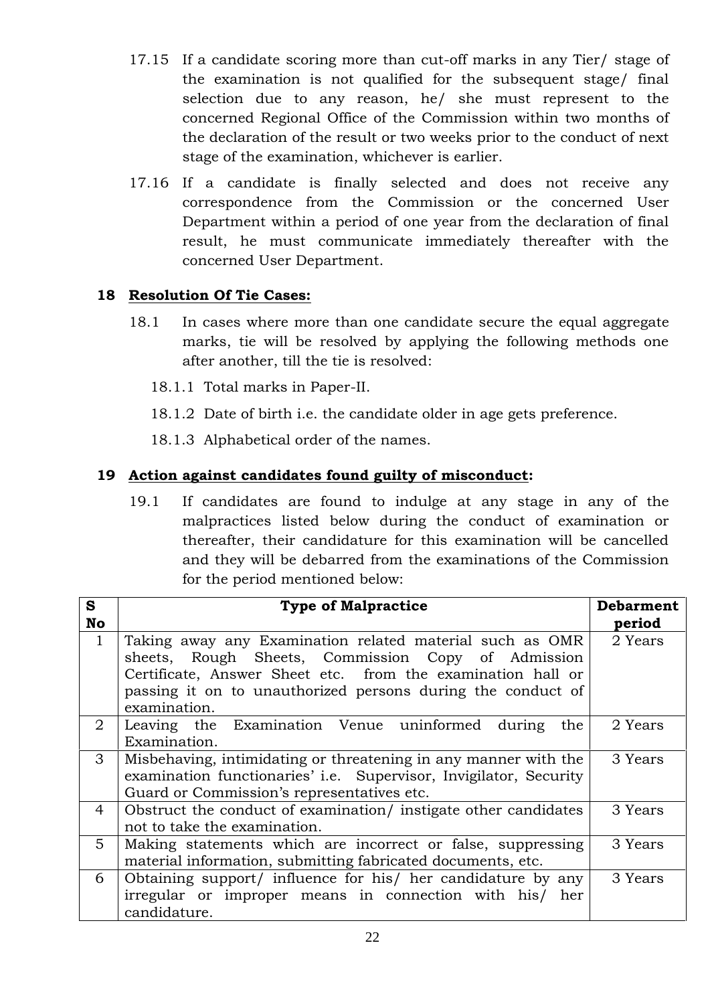- 17.15 If a candidate scoring more than cut-off marks in any Tier/ stage of the examination is not qualified for the subsequent stage/ final selection due to any reason, he/ she must represent to the concerned Regional Office of the Commission within two months of the declaration of the result or two weeks prior to the conduct of next stage of the examination, whichever is earlier.
- 17.16 If a candidate is finally selected and does not receive any correspondence from the Commission or the concerned User Department within a period of one year from the declaration of final result, he must communicate immediately thereafter with the concerned User Department.

### **18 Resolution Of Tie Cases:**

- 18.1 In cases where more than one candidate secure the equal aggregate marks, tie will be resolved by applying the following methods one after another, till the tie is resolved:
	- 18.1.1 Total marks in Paper-II.
	- 18.1.2 Date of birth i.e. the candidate older in age gets preference.
	- 18.1.3 Alphabetical order of the names.

### **19 Action against candidates found guilty of misconduct:**

19.1 If candidates are found to indulge at any stage in any of the malpractices listed below during the conduct of examination or thereafter, their candidature for this examination will be cancelled and they will be debarred from the examinations of the Commission for the period mentioned below:

| S<br><b>No</b> | <b>Type of Malpractice</b>                                                                                                                                                                                                                                   | <b>Debarment</b><br>period |
|----------------|--------------------------------------------------------------------------------------------------------------------------------------------------------------------------------------------------------------------------------------------------------------|----------------------------|
| $\mathbf{1}$   | Taking away any Examination related material such as OMR<br>sheets, Rough Sheets, Commission Copy of Admission<br>Certificate, Answer Sheet etc. from the examination hall or<br>passing it on to unauthorized persons during the conduct of<br>examination. | 2 Years                    |
| $\overline{2}$ | Leaving the Examination Venue uninformed during<br>the<br>Examination.                                                                                                                                                                                       | 2 Years                    |
| $\mathcal{S}$  | Misbehaving, intimidating or threatening in any manner with the<br>examination functionaries' i.e. Supervisor, Invigilator, Security<br>Guard or Commission's representatives etc.                                                                           | 3 Years                    |
| $\overline{4}$ | Obstruct the conduct of examination/ instigate other candidates<br>not to take the examination.                                                                                                                                                              | 3 Years                    |
| 5              | Making statements which are incorrect or false, suppressing<br>material information, submitting fabricated documents, etc.                                                                                                                                   | 3 Years                    |
| 6              | Obtaining support/ influence for his/ her candidature by any<br>irregular or improper means in connection with his/ her<br>candidature.                                                                                                                      | 3 Years                    |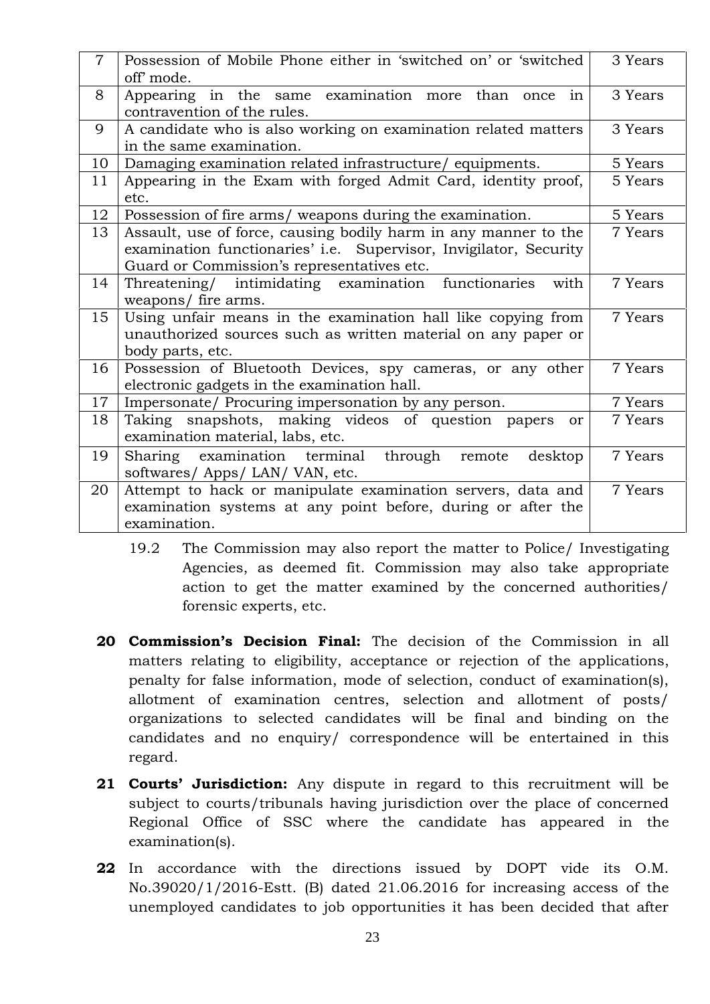| $\overline{7}$ | Possession of Mobile Phone either in 'switched on' or 'switched                                                                                                                    | 3 Years |
|----------------|------------------------------------------------------------------------------------------------------------------------------------------------------------------------------------|---------|
|                | off' mode.                                                                                                                                                                         |         |
| 8              | Appearing in the same examination more than once<br>in<br>contravention of the rules.                                                                                              | 3 Years |
| 9              | A candidate who is also working on examination related matters<br>in the same examination.                                                                                         | 3 Years |
| 10             | Damaging examination related infrastructure/equipments.                                                                                                                            | 5 Years |
| 11             | Appearing in the Exam with forged Admit Card, identity proof,<br>etc.                                                                                                              | 5 Years |
| 12             | Possession of fire arms/ weapons during the examination.                                                                                                                           | 5 Years |
| 13             | Assault, use of force, causing bodily harm in any manner to the<br>examination functionaries' i.e. Supervisor, Invigilator, Security<br>Guard or Commission's representatives etc. | 7 Years |
| 14             | Threatening/ intimidating examination functionaries<br>with<br>weapons/ fire arms.                                                                                                 | 7 Years |
| 15             | Using unfair means in the examination hall like copying from<br>unauthorized sources such as written material on any paper or<br>body parts, etc.                                  | 7 Years |
| 16             | Possession of Bluetooth Devices, spy cameras, or any other<br>electronic gadgets in the examination hall.                                                                          | 7 Years |
| 17             | Impersonate/ Procuring impersonation by any person.                                                                                                                                | 7 Years |
| 18             | Taking snapshots, making videos of question papers<br><sub>or</sub><br>examination material, labs, etc.                                                                            | 7 Years |
| 19             | Sharing examination terminal<br>through<br>desktop<br>remote<br>softwares/ Apps/ LAN/ VAN, etc.                                                                                    | 7 Years |
| 20             | Attempt to hack or manipulate examination servers, data and<br>examination systems at any point before, during or after the<br>examination.                                        | 7 Years |

- 19.2 The Commission may also report the matter to Police/ Investigating Agencies, as deemed fit. Commission may also take appropriate action to get the matter examined by the concerned authorities/ forensic experts, etc.
- **20 Commission's Decision Final:** The decision of the Commission in all matters relating to eligibility, acceptance or rejection of the applications, penalty for false information, mode of selection, conduct of examination(s), allotment of examination centres, selection and allotment of posts/ organizations to selected candidates will be final and binding on the candidates and no enquiry/ correspondence will be entertained in this regard.
- **21 Courts' Jurisdiction:** Any dispute in regard to this recruitment will be subject to courts/tribunals having jurisdiction over the place of concerned Regional Office of SSC where the candidate has appeared in the examination(s).
- **22** In accordance with the directions issued by DOPT vide its O.M. No.39020/1/2016-Estt. (B) dated 21.06.2016 for increasing access of the unemployed candidates to job opportunities it has been decided that after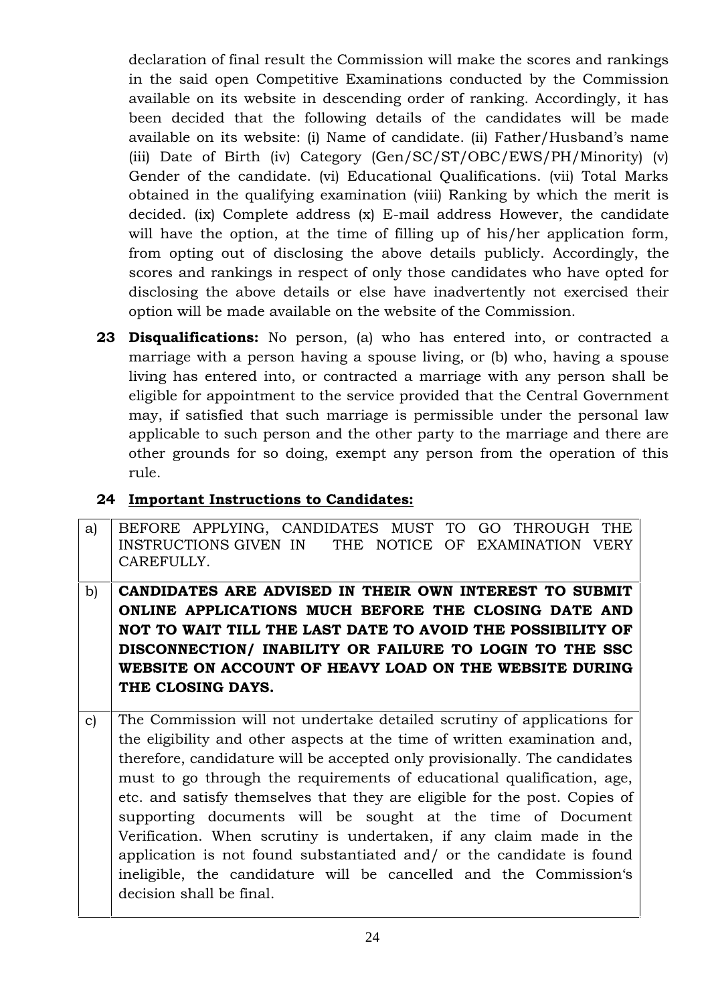declaration of final result the Commission will make the scores and rankings in the said open Competitive Examinations conducted by the Commission available on its website in descending order of ranking. Accordingly, it has been decided that the following details of the candidates will be made available on its website: (i) Name of candidate. (ii) Father/Husband's name (iii) Date of Birth (iv) Category (Gen/SC/ST/OBC/EWS/PH/Minority) (v) Gender of the candidate. (vi) Educational Qualifications. (vii) Total Marks obtained in the qualifying examination (viii) Ranking by which the merit is decided. (ix) Complete address (x) E-mail address However, the candidate will have the option, at the time of filling up of his/her application form, from opting out of disclosing the above details publicly. Accordingly, the scores and rankings in respect of only those candidates who have opted for disclosing the above details or else have inadvertently not exercised their option will be made available on the website of the Commission.

**23 Disqualifications:** No person, (a) who has entered into, or contracted a marriage with a person having a spouse living, or (b) who, having a spouse living has entered into, or contracted a marriage with any person shall be eligible for appointment to the service provided that the Central Government may, if satisfied that such marriage is permissible under the personal law applicable to such person and the other party to the marriage and there are other grounds for so doing, exempt any person from the operation of this rule.

### **24 Important Instructions to Candidates:**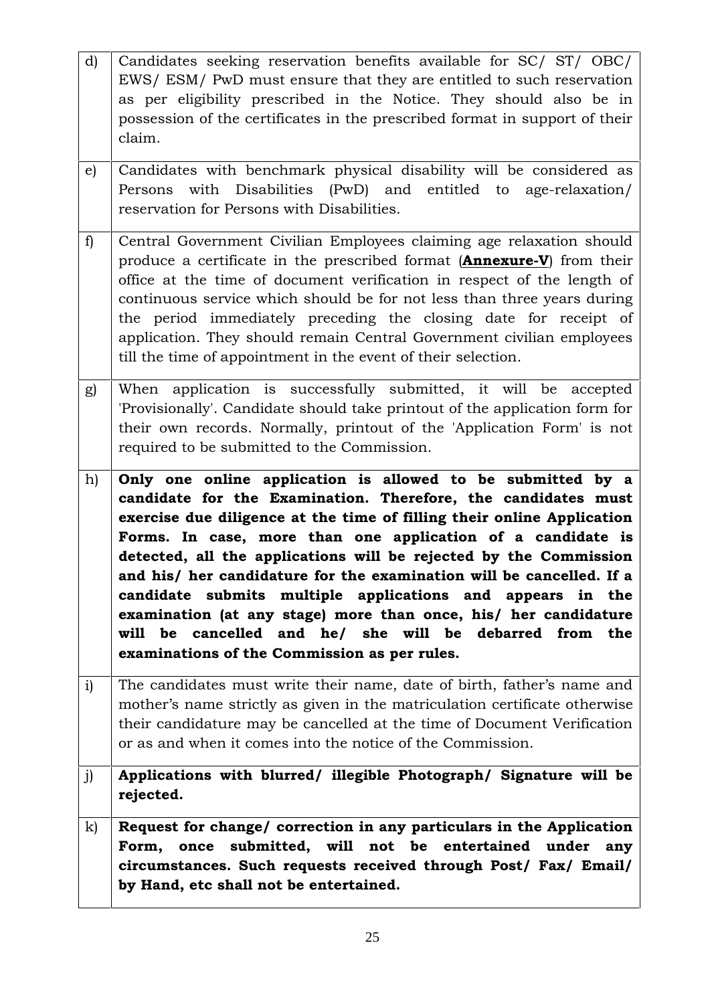| d)           | Candidates seeking reservation benefits available for SC/ ST/ OBC/                                                                                                                                                                                                                                                                                                                                                                                                                                                          |
|--------------|-----------------------------------------------------------------------------------------------------------------------------------------------------------------------------------------------------------------------------------------------------------------------------------------------------------------------------------------------------------------------------------------------------------------------------------------------------------------------------------------------------------------------------|
|              | EWS/ ESM/ PwD must ensure that they are entitled to such reservation<br>as per eligibility prescribed in the Notice. They should also be in                                                                                                                                                                                                                                                                                                                                                                                 |
|              | possession of the certificates in the prescribed format in support of their                                                                                                                                                                                                                                                                                                                                                                                                                                                 |
|              | claim.                                                                                                                                                                                                                                                                                                                                                                                                                                                                                                                      |
| $\epsilon$ ) | Candidates with benchmark physical disability will be considered as<br>Persons with Disabilities (PwD) and entitled to age-relaxation/<br>reservation for Persons with Disabilities.                                                                                                                                                                                                                                                                                                                                        |
| $\mathbf{f}$ | Central Government Civilian Employees claiming age relaxation should<br>produce a certificate in the prescribed format ( <b>Annexure-V</b> ) from their<br>office at the time of document verification in respect of the length of<br>continuous service which should be for not less than three years during<br>the period immediately preceding the closing date for receipt of<br>application. They should remain Central Government civilian employees<br>till the time of appointment in the event of their selection. |
| g)           | When application is successfully submitted, it will be accepted<br>'Provisionally'. Candidate should take printout of the application form for<br>their own records. Normally, printout of the 'Application Form' is not<br>required to be submitted to the Commission.                                                                                                                                                                                                                                                     |
| h)           | Only one online application is allowed to be submitted by a<br>candidate for the Examination. Therefore, the candidates must<br>exercise due diligence at the time of filling their online Application<br>Forms. In case, more than one application of a candidate is<br>detected, all the applications will be rejected by the Commission<br>and his/ her candidature for the examination will be cancelled. If a<br>candidate submits multiple applications and appears in the                                            |
|              | examination (at any stage) more than once, his/ her candidature<br>will be cancelled and he/ she will be debarred from the<br>examinations of the Commission as per rules.                                                                                                                                                                                                                                                                                                                                                  |
| i)           | The candidates must write their name, date of birth, father's name and<br>mother's name strictly as given in the matriculation certificate otherwise<br>their candidature may be cancelled at the time of Document Verification<br>or as and when it comes into the notice of the Commission.                                                                                                                                                                                                                               |
| j)           | Applications with blurred/ illegible Photograph/ Signature will be<br>rejected.                                                                                                                                                                                                                                                                                                                                                                                                                                             |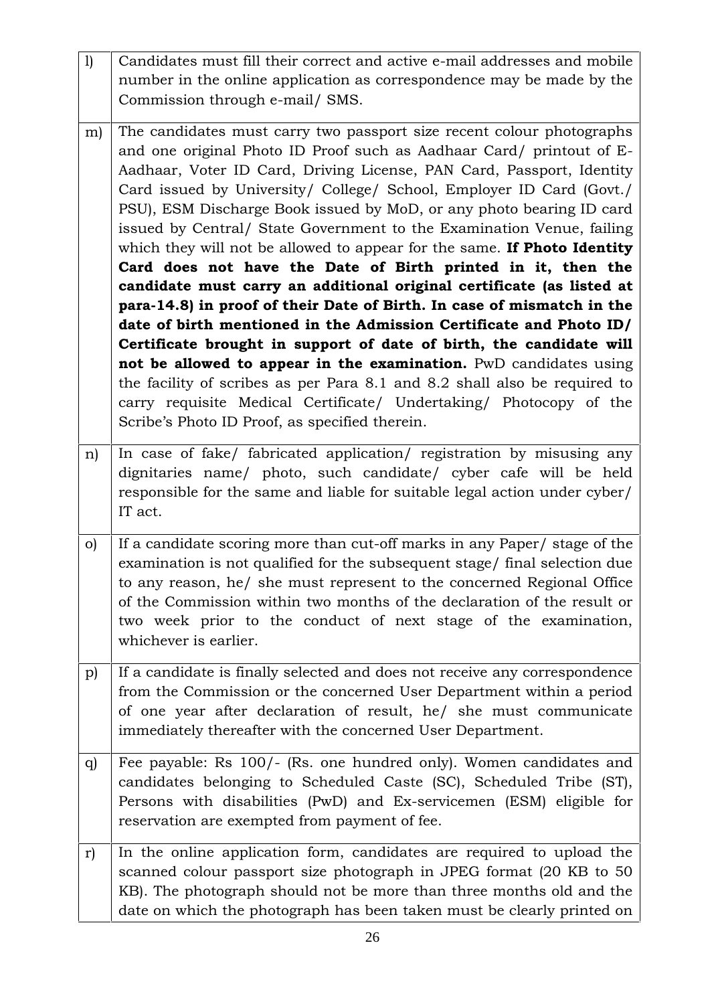| 1)           | Candidates must fill their correct and active e-mail addresses and mobile<br>number in the online application as correspondence may be made by the<br>Commission through e-mail/ SMS.                                                                                                                                                                                                                                                                                                                                                                                                                                                                                                                                                                                                                                                                                                                                                                                                                                                                                                                                                                                 |
|--------------|-----------------------------------------------------------------------------------------------------------------------------------------------------------------------------------------------------------------------------------------------------------------------------------------------------------------------------------------------------------------------------------------------------------------------------------------------------------------------------------------------------------------------------------------------------------------------------------------------------------------------------------------------------------------------------------------------------------------------------------------------------------------------------------------------------------------------------------------------------------------------------------------------------------------------------------------------------------------------------------------------------------------------------------------------------------------------------------------------------------------------------------------------------------------------|
| m)           | The candidates must carry two passport size recent colour photographs<br>and one original Photo ID Proof such as Aadhaar Card/ printout of E-<br>Aadhaar, Voter ID Card, Driving License, PAN Card, Passport, Identity<br>Card issued by University/ College/ School, Employer ID Card (Govt./<br>PSU), ESM Discharge Book issued by MoD, or any photo bearing ID card<br>issued by Central/ State Government to the Examination Venue, failing<br>which they will not be allowed to appear for the same. If Photo Identity<br>Card does not have the Date of Birth printed in it, then the<br>candidate must carry an additional original certificate (as listed at<br>para-14.8) in proof of their Date of Birth. In case of mismatch in the<br>date of birth mentioned in the Admission Certificate and Photo ID/<br>Certificate brought in support of date of birth, the candidate will<br>not be allowed to appear in the examination. PwD candidates using<br>the facility of scribes as per Para 8.1 and 8.2 shall also be required to<br>carry requisite Medical Certificate/ Undertaking/ Photocopy of the<br>Scribe's Photo ID Proof, as specified therein. |
| n)           | In case of fake/ fabricated application/ registration by misusing any<br>dignitaries name/ photo, such candidate/ cyber cafe will be held<br>responsible for the same and liable for suitable legal action under cyber/<br>IT act.                                                                                                                                                                                                                                                                                                                                                                                                                                                                                                                                                                                                                                                                                                                                                                                                                                                                                                                                    |
| $\circ$ )    | If a candidate scoring more than cut-off marks in any Paper/ stage of the<br>examination is not qualified for the subsequent stage/ final selection due<br>to any reason, he/ she must represent to the concerned Regional Office<br>of the Commission within two months of the declaration of the result or<br>two week prior to the conduct of next stage of the examination,<br>whichever is earlier.                                                                                                                                                                                                                                                                                                                                                                                                                                                                                                                                                                                                                                                                                                                                                              |
| $\mathbf{p}$ | If a candidate is finally selected and does not receive any correspondence<br>from the Commission or the concerned User Department within a period<br>of one year after declaration of result, he/ she must communicate<br>immediately thereafter with the concerned User Department.                                                                                                                                                                                                                                                                                                                                                                                                                                                                                                                                                                                                                                                                                                                                                                                                                                                                                 |
| q)           | Fee payable: Rs 100/- (Rs. one hundred only). Women candidates and<br>candidates belonging to Scheduled Caste (SC), Scheduled Tribe (ST),<br>Persons with disabilities (PwD) and Ex-servicemen (ESM) eligible for<br>reservation are exempted from payment of fee.                                                                                                                                                                                                                                                                                                                                                                                                                                                                                                                                                                                                                                                                                                                                                                                                                                                                                                    |
| r)           | In the online application form, candidates are required to upload the<br>scanned colour passport size photograph in JPEG format (20 KB to 50<br>KB). The photograph should not be more than three months old and the<br>date on which the photograph has been taken must be clearly printed on                                                                                                                                                                                                                                                                                                                                                                                                                                                                                                                                                                                                                                                                                                                                                                                                                                                                        |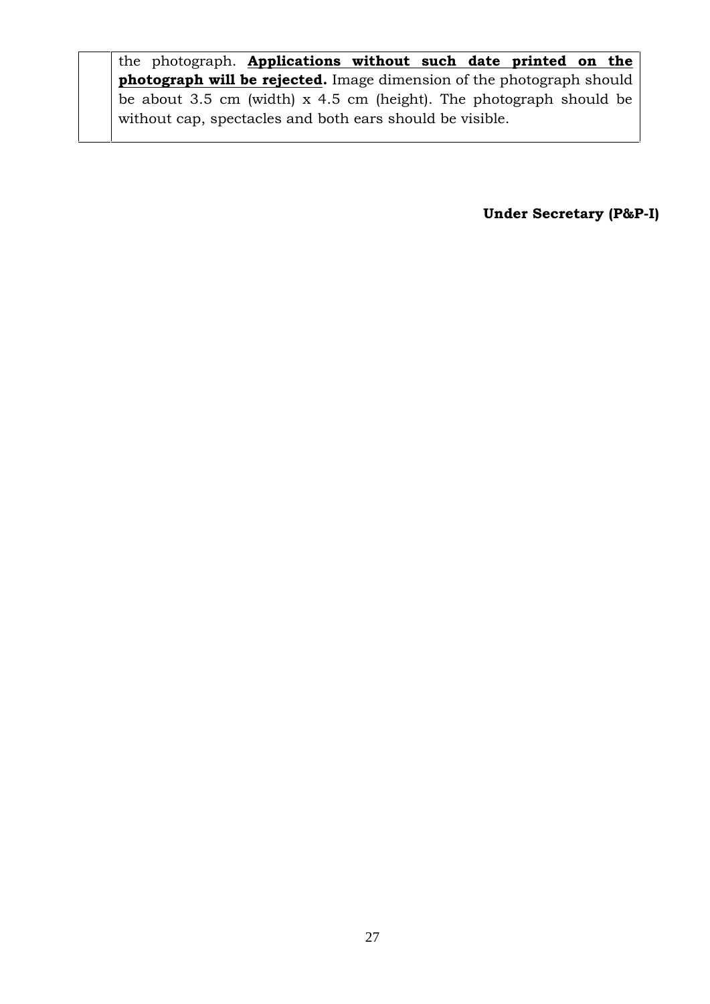the photograph. **Applications without such date printed on the photograph will be rejected.** Image dimension of the photograph should be about 3.5 cm (width) x 4.5 cm (height). The photograph should be without cap, spectacles and both ears should be visible.

**Under Secretary (P&P-I)**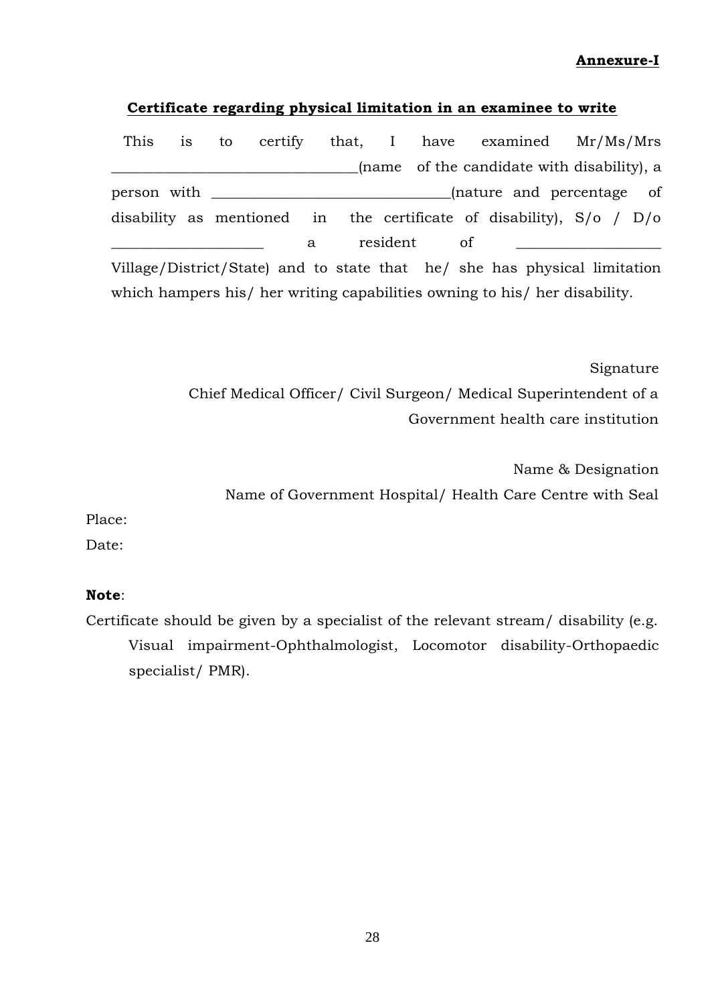### **Annexure-I**

#### **Certificate regarding physical limitation in an examinee to write**

This is to certify that, I have examined Mr/Ms/Mrs \_\_\_\_\_\_\_\_\_\_\_\_\_\_\_\_\_\_\_\_\_\_\_\_\_\_\_\_\_\_\_\_\_\_(name of the candidate with disability), a person with  $\qquad \qquad$   $\qquad \qquad$   $\qquad$   $\qquad$   $\qquad$   $\qquad$   $\qquad$   $\qquad$   $\qquad$   $\qquad$   $\qquad$   $\qquad$   $\qquad$   $\qquad$   $\qquad$   $\qquad$   $\qquad$   $\qquad$   $\qquad$   $\qquad$   $\qquad$   $\qquad$   $\qquad$   $\qquad$   $\qquad$   $\qquad$   $\qquad$   $\qquad$   $\qquad$   $\qquad$   $\qquad$   $\qquad$   $\qquad$   $\qquad$  disability as mentioned in the certificate of disability), S/o / D/o \_\_\_\_\_\_\_\_\_\_\_\_\_\_\_\_\_\_\_\_\_ a resident of \_\_\_\_\_\_\_\_\_\_\_\_\_\_\_\_\_\_\_\_ Village/District/State) and to state that he/ she has physical limitation which hampers his/ her writing capabilities owning to his/ her disability.

> Signature Chief Medical Officer/ Civil Surgeon/ Medical Superintendent of a Government health care institution

Name & Designation Name of Government Hospital/ Health Care Centre with Seal

Place:

Date:

### **Note**:

Certificate should be given by a specialist of the relevant stream/ disability (e.g. Visual impairment-Ophthalmologist, Locomotor disability-Orthopaedic specialist/ PMR).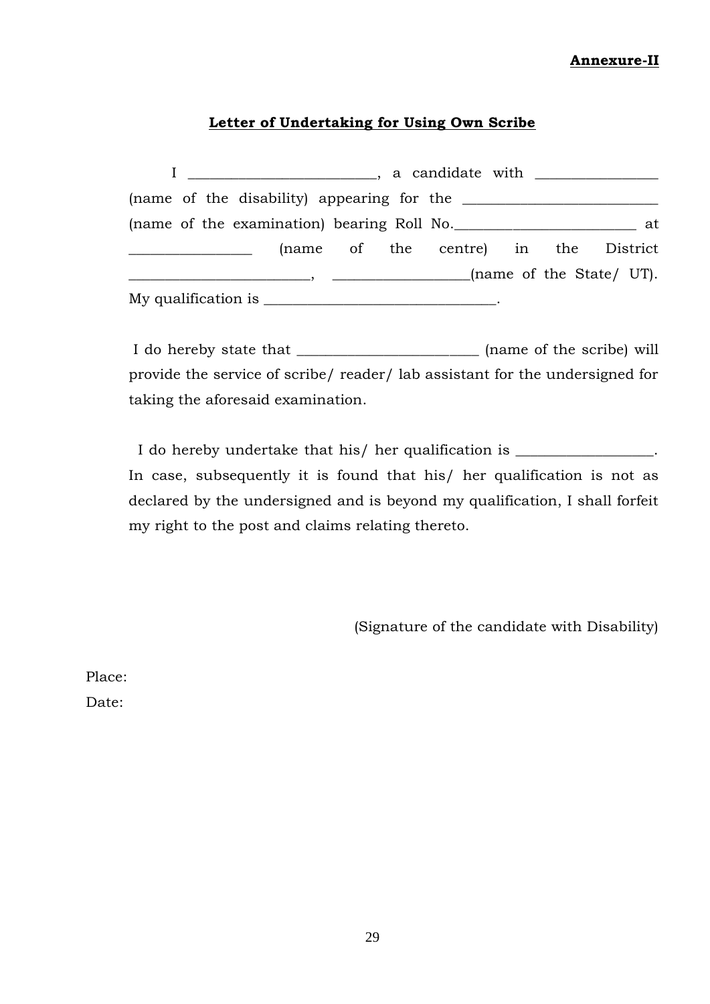### **Annexure-II**

### **Letter of Undertaking for Using Own Scribe**

| (name of the examination) bearing Roll No. |                                                                                     |  |                                      |  |  |
|--------------------------------------------|-------------------------------------------------------------------------------------|--|--------------------------------------|--|--|
|                                            |                                                                                     |  | (name of the centre) in the District |  |  |
|                                            | $\frac{1}{1}$ , $\frac{1}{1}$ , $\frac{1}{1}$ , $\frac{1}{1}$ ame of the State/ UT. |  |                                      |  |  |
|                                            |                                                                                     |  |                                      |  |  |

I do hereby state that \_\_\_\_\_\_\_\_\_\_\_\_\_\_\_\_\_\_\_\_\_\_\_\_\_ (name of the scribe) will provide the service of scribe/ reader/ lab assistant for the undersigned for taking the aforesaid examination.

I do hereby undertake that his/ her qualification is \_\_\_\_\_\_\_\_\_\_\_\_\_\_\_\_. In case, subsequently it is found that his/ her qualification is not as declared by the undersigned and is beyond my qualification, I shall forfeit my right to the post and claims relating thereto.

(Signature of the candidate with Disability)

Place:

Date: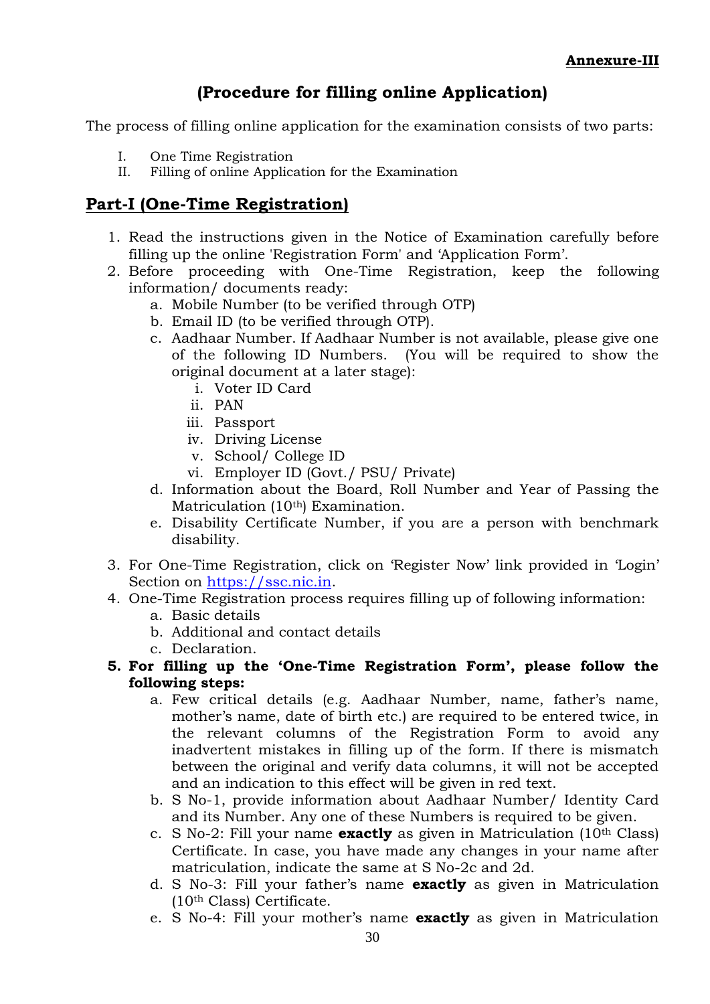### **(Procedure for filling online Application)**

The process of filling online application for the examination consists of two parts:

- I. One Time Registration
- II. Filling of online Application for the Examination

### **Part-I (One-Time Registration)**

- 1. Read the instructions given in the Notice of Examination carefully before filling up the online 'Registration Form' and 'Application Form'.
- 2. Before proceeding with One-Time Registration, keep the following information/ documents ready:
	- a. Mobile Number (to be verified through OTP)
	- b. Email ID (to be verified through OTP).
	- c. Aadhaar Number. If Aadhaar Number is not available, please give one of the following ID Numbers. (You will be required to show the original document at a later stage):
		- i. Voter ID Card
		- ii. PAN
		- iii. Passport
		- iv. Driving License
		- v. School/ College ID
		- vi. Employer ID (Govt./ PSU/ Private)
	- d. Information about the Board, Roll Number and Year of Passing the Matriculation (10<sup>th</sup>) Examination.
	- e. Disability Certificate Number, if you are a person with benchmark disability.
- 3. For One-Time Registration, click on 'Register Now' link provided in 'Login' Section on https://ssc.nic.in.
- 4. One-Time Registration process requires filling up of following information:
	- a. Basic details
	- b. Additional and contact details
	- c. Declaration.
- **5. For filling up the 'One-Time Registration Form', please follow the following steps:**
	- a. Few critical details (e.g. Aadhaar Number, name, father's name, mother's name, date of birth etc.) are required to be entered twice, in the relevant columns of the Registration Form to avoid any inadvertent mistakes in filling up of the form. If there is mismatch between the original and verify data columns, it will not be accepted and an indication to this effect will be given in red text.
	- b. S No-1, provide information about Aadhaar Number/ Identity Card and its Number. Any one of these Numbers is required to be given.
	- c. S No-2: Fill your name **exactly** as given in Matriculation (10th Class) Certificate. In case, you have made any changes in your name after matriculation, indicate the same at S No-2c and 2d.
	- d. S No-3: Fill your father's name **exactly** as given in Matriculation (10th Class) Certificate.
	- e. S No-4: Fill your mother's name **exactly** as given in Matriculation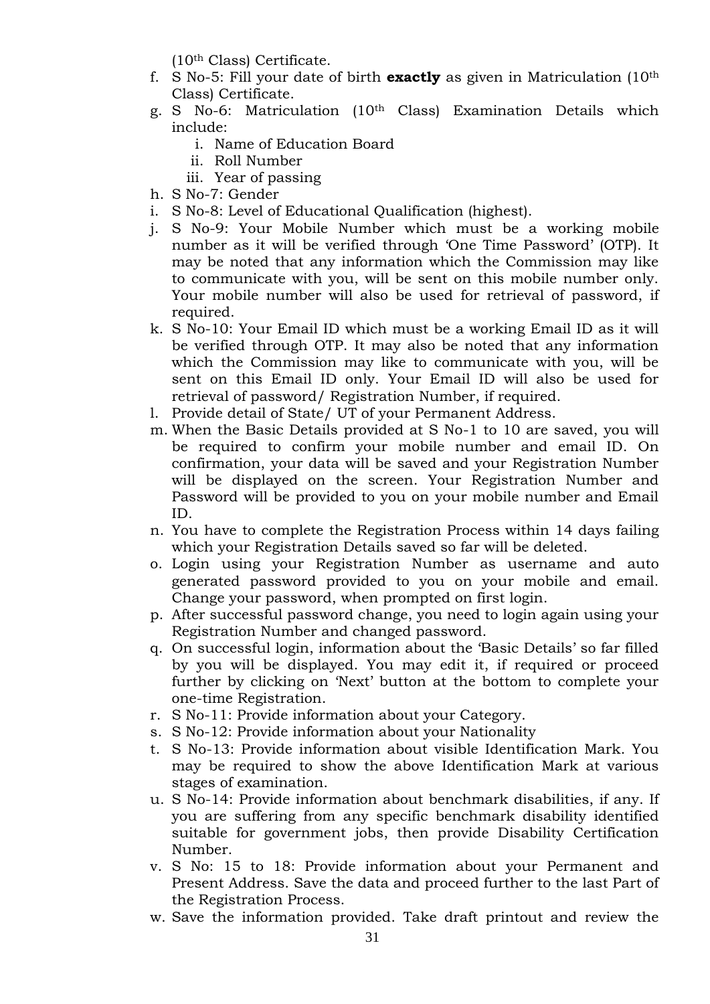(10th Class) Certificate.

- f. S No-5: Fill your date of birth **exactly** as given in Matriculation (10th Class) Certificate.
- g. S No-6: Matriculation (10th Class) Examination Details which include:
	- i. Name of Education Board
	- ii. Roll Number
	- iii. Year of passing
- h. S No-7: Gender
- i. S No-8: Level of Educational Qualification (highest).
- j. S No-9: Your Mobile Number which must be a working mobile number as it will be verified through 'One Time Password' (OTP). It may be noted that any information which the Commission may like to communicate with you, will be sent on this mobile number only. Your mobile number will also be used for retrieval of password, if required.
- k. S No-10: Your Email ID which must be a working Email ID as it will be verified through OTP. It may also be noted that any information which the Commission may like to communicate with you, will be sent on this Email ID only. Your Email ID will also be used for retrieval of password/ Registration Number, if required.
- l. Provide detail of State/ UT of your Permanent Address.
- m. When the Basic Details provided at S No-1 to 10 are saved, you will be required to confirm your mobile number and email ID. On confirmation, your data will be saved and your Registration Number will be displayed on the screen. Your Registration Number and Password will be provided to you on your mobile number and Email ID.
- n. You have to complete the Registration Process within 14 days failing which your Registration Details saved so far will be deleted.
- o. Login using your Registration Number as username and auto generated password provided to you on your mobile and email. Change your password, when prompted on first login.
- p. After successful password change, you need to login again using your Registration Number and changed password.
- q. On successful login, information about the 'Basic Details' so far filled by you will be displayed. You may edit it, if required or proceed further by clicking on 'Next' button at the bottom to complete your one-time Registration.
- r. S No-11: Provide information about your Category.
- s. S No-12: Provide information about your Nationality
- t. S No-13: Provide information about visible Identification Mark. You may be required to show the above Identification Mark at various stages of examination.
- u. S No-14: Provide information about benchmark disabilities, if any. If you are suffering from any specific benchmark disability identified suitable for government jobs, then provide Disability Certification Number.
- v. S No: 15 to 18: Provide information about your Permanent and Present Address. Save the data and proceed further to the last Part of the Registration Process.
- w. Save the information provided. Take draft printout and review the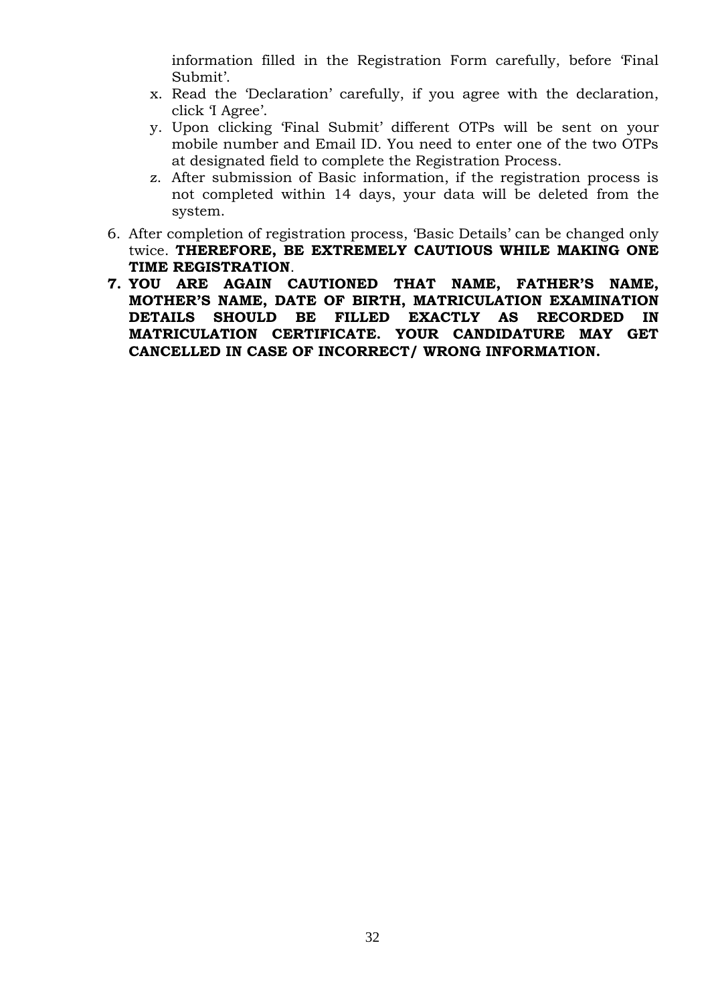information filled in the Registration Form carefully, before 'Final Submit'.

- x. Read the 'Declaration' carefully, if you agree with the declaration, click 'I Agree'.
- y. Upon clicking 'Final Submit' different OTPs will be sent on your mobile number and Email ID. You need to enter one of the two OTPs at designated field to complete the Registration Process.
- z. After submission of Basic information, if the registration process is not completed within 14 days, your data will be deleted from the system.
- 6. After completion of registration process, 'Basic Details' can be changed only twice. **THEREFORE, BE EXTREMELY CAUTIOUS WHILE MAKING ONE TIME REGISTRATION**.
- **7. YOU ARE AGAIN CAUTIONED THAT NAME, FATHER'S NAME, MOTHER'S NAME, DATE OF BIRTH, MATRICULATION EXAMINATION DETAILS SHOULD BE FILLED EXACTLY AS RECORDED IN MATRICULATION CERTIFICATE. YOUR CANDIDATURE MAY GET CANCELLED IN CASE OF INCORRECT/ WRONG INFORMATION.**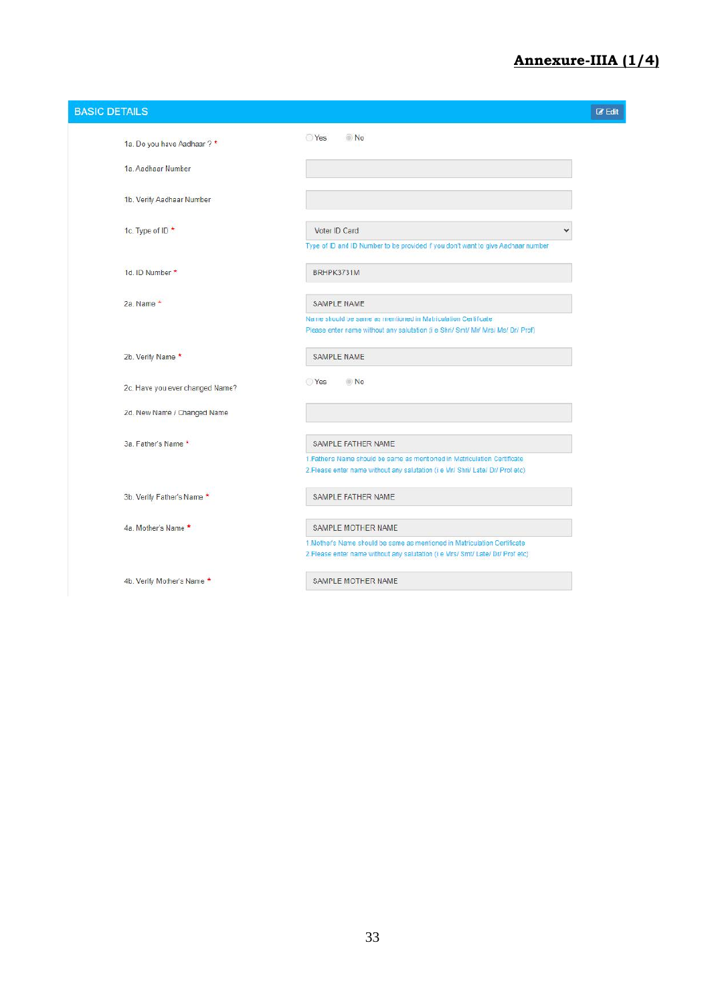### **Annexure-IIIA (1/4)**

| <b>BASIC DETAILS</b>            |                                                                                                                                                             | <b>Z</b> Edit |
|---------------------------------|-------------------------------------------------------------------------------------------------------------------------------------------------------------|---------------|
| 1a. Do you have Aadhaar ? *     | Yes<br>No                                                                                                                                                   |               |
| 1a. Aadhaar Number              |                                                                                                                                                             |               |
| 1b. Verify Aadhaar Number       |                                                                                                                                                             |               |
|                                 |                                                                                                                                                             |               |
| 1c. Type of ID *                | Voter ID Card                                                                                                                                               |               |
|                                 | Type of ID and ID Number to be provided f you don't want to give Aadhaar number                                                                             |               |
| 1d. ID Number *                 | BRHPK3731M                                                                                                                                                  |               |
| 2a. Name *                      | SAMPLE NAME                                                                                                                                                 |               |
|                                 | Name should be same as mentioned in Matriculation Certificate<br>Please enter name without any salutation (i e Shri/ Smt/ Mr/ Mrs/ Ms/ Dr/ Prof)            |               |
| 2b. Verify Name *               | SAMPLE NAME                                                                                                                                                 |               |
| 2c. Have you ever changed Name? | Yes<br>No.                                                                                                                                                  |               |
| 2d. New Name / Changed Name     |                                                                                                                                                             |               |
|                                 |                                                                                                                                                             |               |
| 3a. Father's Name *             | SAMPLE FATHER NAME                                                                                                                                          |               |
|                                 | 1. Fathers Name should be same as mentioned in Matriculation Certificate<br>2. Flease enter name without any salutation (i e Mr/ Shri/ Late/ Dr/ Prof etc)  |               |
| 3b. Verify Father's Name *      | SAMPLE FATHER NAME                                                                                                                                          |               |
| 4a. Mother's Name *             | SAMPLE MOTHER NAME                                                                                                                                          |               |
|                                 | 1. Mother's Name should be same as mentioned in Matriculation Certificate<br>2. Flease enter name without any salutation (i e Mrs/ Smt/ Late/ Dr/ Prof etc) |               |
| 4b. Verify Mother's Name *      | SAMPLE MOTHER NAME                                                                                                                                          |               |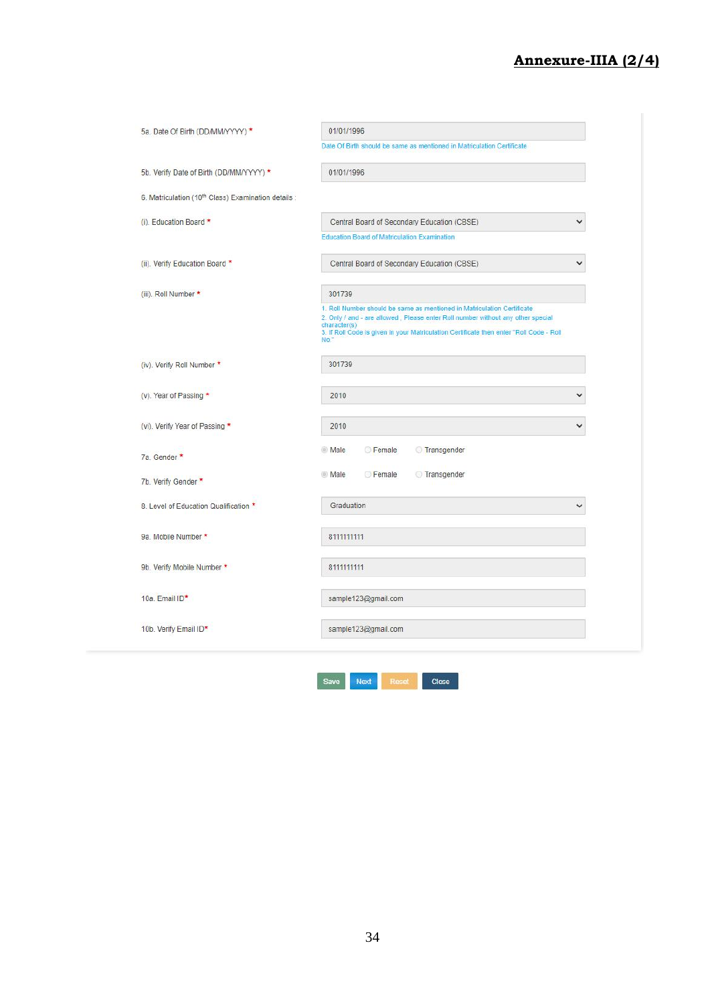### **Annexure-IIIA (2/4)**

| 5a. Date Of Birth (DD/MM/YYYY) *                    | 01/01/1996                                                                                                                                                                                                                                                                    |              |
|-----------------------------------------------------|-------------------------------------------------------------------------------------------------------------------------------------------------------------------------------------------------------------------------------------------------------------------------------|--------------|
|                                                     | Date Of Birth should be same as mentioned in Matriculation Certificate                                                                                                                                                                                                        |              |
| 5b. Verify Date of Birth (DD/MM/YYYY) *             | 01/01/1996                                                                                                                                                                                                                                                                    |              |
| 6. Matriculation (10th Class) Examination details : |                                                                                                                                                                                                                                                                               |              |
| (i). Education Board *                              | Central Board of Secondary Education (CBSE)                                                                                                                                                                                                                                   | $\checkmark$ |
|                                                     | <b>Education Board of Matriculation Examination</b>                                                                                                                                                                                                                           |              |
| (ii). Verify Education Board *                      | Central Board of Secondary Education (CBSE)                                                                                                                                                                                                                                   | v            |
| (iii). Roll Number *                                | 301739                                                                                                                                                                                                                                                                        |              |
|                                                     | 1. Roll Number should be same as mentioned in Matriculation Certificate<br>2. Only / and - are allowed, Please enter Roll number without any other special<br>character(s)<br>3. If Roll Code is given in your Matriculation Certificate then enter "Roll Code - Roll<br>No." |              |
| (iv). Verify Roll Number *                          | 301739                                                                                                                                                                                                                                                                        |              |
| (v). Year of Passing *                              | 2010                                                                                                                                                                                                                                                                          | $\check{ }$  |
| (vi). Verify Year of Passing *                      | 2010                                                                                                                                                                                                                                                                          | ◡            |
| 7a. Gender                                          | <b>Female</b><br>Transgender<br>Male                                                                                                                                                                                                                                          |              |
| 7b. Verify Gender *                                 | <b>Female</b><br>Transgender<br>Male                                                                                                                                                                                                                                          |              |
| 8. Level of Education Qualification *               | Graduation                                                                                                                                                                                                                                                                    | ◡            |
| 9a. Mobile Number *                                 | 8111111111                                                                                                                                                                                                                                                                    |              |
| 9b. Verify Mobile Number *                          | 8111111111                                                                                                                                                                                                                                                                    |              |
| 10a. Email ID*                                      | sample123@gmail.com                                                                                                                                                                                                                                                           |              |
| 10b. Verify Email ID*                               | sample123@gmail.com                                                                                                                                                                                                                                                           |              |

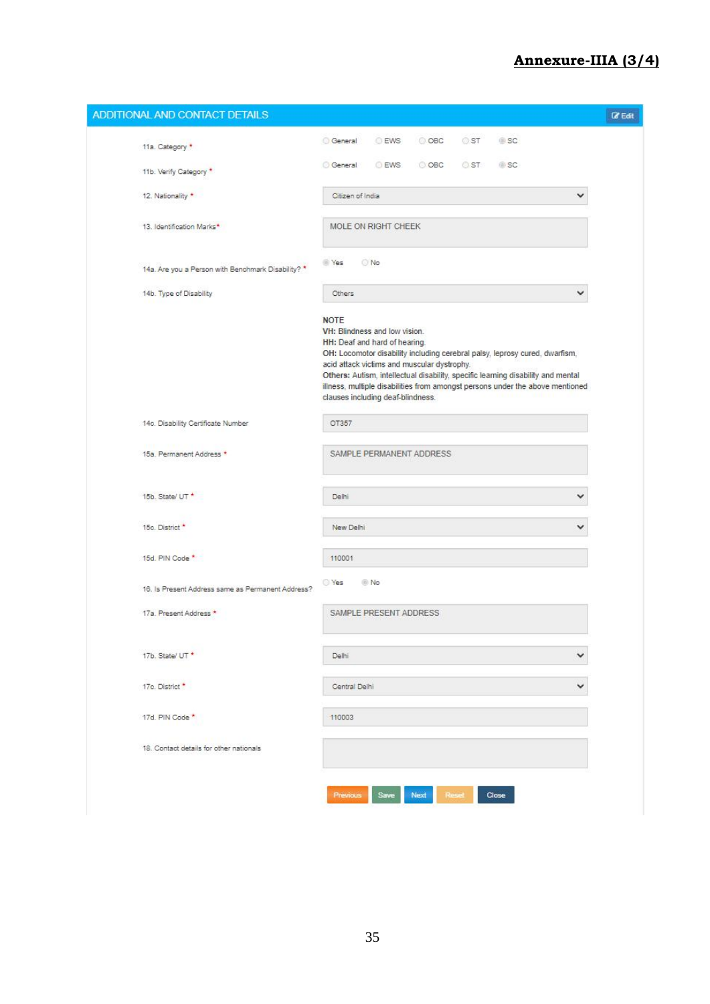### **Annexure-IIIA (3/4)**

| ADDITIONAL AND CONTACT DETAILS                     |                                                                                                                                                                                                                                                                                                                                                                                                                       | $\Box$ Edit |
|----------------------------------------------------|-----------------------------------------------------------------------------------------------------------------------------------------------------------------------------------------------------------------------------------------------------------------------------------------------------------------------------------------------------------------------------------------------------------------------|-------------|
| 11a. Category *                                    | General<br><b>EWS</b><br>$\circ$ OBC<br>$\circ$ ST<br>SC.                                                                                                                                                                                                                                                                                                                                                             |             |
| 11b. Verify Category *                             | <b>General</b><br>EWS:<br>$O$ OBC<br>$\circ$ ST<br><b>SC</b>                                                                                                                                                                                                                                                                                                                                                          |             |
| 12. Nationality *                                  | Citizen of India<br>◡                                                                                                                                                                                                                                                                                                                                                                                                 |             |
| 13. Identification Marks*                          | MOLE ON RIGHT CHEEK                                                                                                                                                                                                                                                                                                                                                                                                   |             |
| 14a. Are you a Person with Benchmark Disability? * | <b>Yes</b><br>O No                                                                                                                                                                                                                                                                                                                                                                                                    |             |
| 14b. Type of Disability                            | ◡<br>Others                                                                                                                                                                                                                                                                                                                                                                                                           |             |
|                                                    | <b>NOTE</b><br>VH: Blindness and low vision.<br>HH: Deaf and hard of hearing.<br>OH: Locomotor disability including cerebral palsy, leprosy cured, dwarfism,<br>acid attack victims and muscular dystrophy.<br>Others: Autism, intellectual disability, specific learning disability and mental<br>illness, multiple disabilities from amongst persons under the above mentioned<br>clauses including deaf-blindness. |             |
| 14c. Disability Certificate Number                 | OT357                                                                                                                                                                                                                                                                                                                                                                                                                 |             |
| 15a. Permanent Address *                           | SAMPLE PERMANENT ADDRESS                                                                                                                                                                                                                                                                                                                                                                                              |             |
| 15b. State/ UT *                                   | Delhi<br>◡                                                                                                                                                                                                                                                                                                                                                                                                            |             |
| 15c. District *                                    | New Delhi                                                                                                                                                                                                                                                                                                                                                                                                             |             |
| 15d, PIN Code *                                    | 110001                                                                                                                                                                                                                                                                                                                                                                                                                |             |
| 16. Is Present Address same as Permanent Address?  | O Yes<br><b>No</b>                                                                                                                                                                                                                                                                                                                                                                                                    |             |
| 17a. Present Address *                             | SAMPLE PRESENT ADDRESS                                                                                                                                                                                                                                                                                                                                                                                                |             |
| 17b. State/ UT *                                   | ◡<br>Delhi                                                                                                                                                                                                                                                                                                                                                                                                            |             |
| 17c. District *                                    | ◡<br>Central Delhi                                                                                                                                                                                                                                                                                                                                                                                                    |             |
| 17d. PIN Code *                                    | 110003                                                                                                                                                                                                                                                                                                                                                                                                                |             |
| 18. Contact details for other nationals            |                                                                                                                                                                                                                                                                                                                                                                                                                       |             |
|                                                    | Previous<br>Save<br>Next<br>Reset<br>Close                                                                                                                                                                                                                                                                                                                                                                            |             |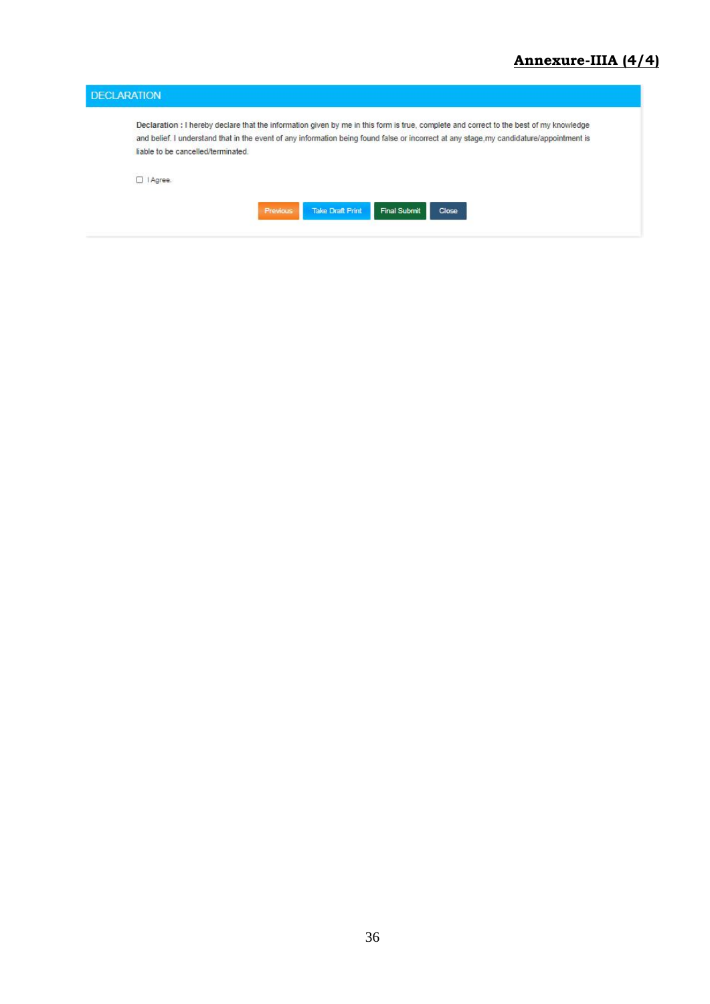|                                   | Declaration : I hereby declare that the information given by me in this form is true, complete and correct to the best of my knowledge   |
|-----------------------------------|------------------------------------------------------------------------------------------------------------------------------------------|
|                                   |                                                                                                                                          |
|                                   | and belief. I understand that in the event of any information being found false or incorrect at any stage, my candidature/appointment is |
| liable to be cancelled/terminated |                                                                                                                                          |
|                                   |                                                                                                                                          |
| □   Agree.                        |                                                                                                                                          |
|                                   |                                                                                                                                          |
|                                   | <b>Take Draft Print</b><br>Previous<br><b>Final Submit</b><br>Close                                                                      |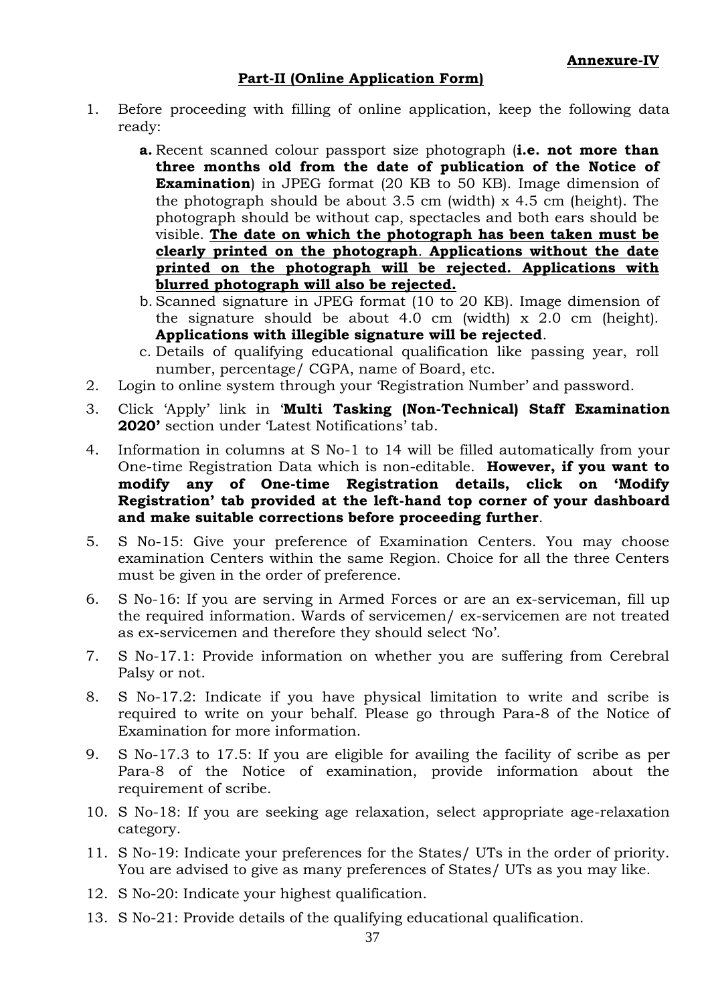### **Part-II (Online Application Form)**

- 1. Before proceeding with filling of online application, keep the following data ready:
	- **a.** Recent scanned colour passport size photograph (**i.e. not more than three months old from the date of publication of the Notice of Examination**) in JPEG format (20 KB to 50 KB). Image dimension of the photograph should be about  $3.5 \text{ cm}$  (width) x  $4.5 \text{ cm}$  (height). The photograph should be without cap, spectacles and both ears should be visible. **The date on which the photograph has been taken must be clearly printed on the photograph**. **Applications without the date printed on the photograph will be rejected. Applications with blurred photograph will also be rejected.**
	- b. Scanned signature in JPEG format (10 to 20 KB). Image dimension of the signature should be about 4.0 cm (width) x 2.0 cm (height). **Applications with illegible signature will be rejected**.
	- c. Details of qualifying educational qualification like passing year, roll number, percentage/ CGPA, name of Board, etc.
- 2. Login to online system through your 'Registration Number' and password.
- 3. Click 'Apply' link in '**Multi Tasking (Non-Technical) Staff Examination 2020'** section under 'Latest Notifications' tab.
- 4. Information in columns at S No-1 to 14 will be filled automatically from your One-time Registration Data which is non-editable. **However, if you want to modify any of One-time Registration details, click on 'Modify Registration' tab provided at the left-hand top corner of your dashboard and make suitable corrections before proceeding further**.
- 5. S No-15: Give your preference of Examination Centers. You may choose examination Centers within the same Region. Choice for all the three Centers must be given in the order of preference.
- 6. S No-16: If you are serving in Armed Forces or are an ex-serviceman, fill up the required information. Wards of servicemen/ ex-servicemen are not treated as ex-servicemen and therefore they should select 'No'.
- 7. S No-17.1: Provide information on whether you are suffering from Cerebral Palsy or not.
- 8. S No-17.2: Indicate if you have physical limitation to write and scribe is required to write on your behalf. Please go through Para-8 of the Notice of Examination for more information.
- 9. S No-17.3 to 17.5: If you are eligible for availing the facility of scribe as per Para-8 of the Notice of examination, provide information about the requirement of scribe.
- 10. S No-18: If you are seeking age relaxation, select appropriate age-relaxation category.
- 11. S No-19: Indicate your preferences for the States/ UTs in the order of priority. You are advised to give as many preferences of States/ UTs as you may like.
- 12. S No-20: Indicate your highest qualification.
- 13. S No-21: Provide details of the qualifying educational qualification.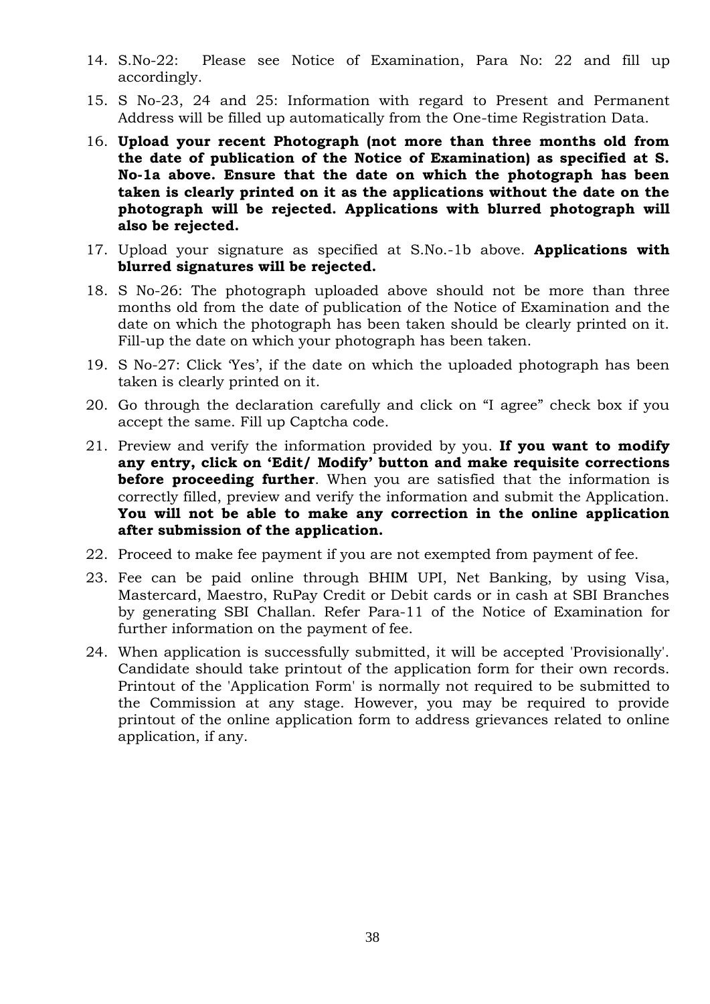- 14. S.No-22: Please see Notice of Examination, Para No: 22 and fill up accordingly.
- 15. S No-23, 24 and 25: Information with regard to Present and Permanent Address will be filled up automatically from the One-time Registration Data.
- 16. **Upload your recent Photograph (not more than three months old from the date of publication of the Notice of Examination) as specified at S. No-1a above. Ensure that the date on which the photograph has been taken is clearly printed on it as the applications without the date on the photograph will be rejected. Applications with blurred photograph will also be rejected.**
- 17. Upload your signature as specified at S.No.-1b above. **Applications with blurred signatures will be rejected.**
- 18. S No-26: The photograph uploaded above should not be more than three months old from the date of publication of the Notice of Examination and the date on which the photograph has been taken should be clearly printed on it. Fill-up the date on which your photograph has been taken.
- 19. S No-27: Click 'Yes', if the date on which the uploaded photograph has been taken is clearly printed on it.
- 20. Go through the declaration carefully and click on "I agree" check box if you accept the same. Fill up Captcha code.
- 21. Preview and verify the information provided by you. **If you want to modify any entry, click on 'Edit/ Modify' button and make requisite corrections before proceeding further**. When you are satisfied that the information is correctly filled, preview and verify the information and submit the Application. **You will not be able to make any correction in the online application after submission of the application.**
- 22. Proceed to make fee payment if you are not exempted from payment of fee.
- 23. Fee can be paid online through BHIM UPI, Net Banking, by using Visa, Mastercard, Maestro, RuPay Credit or Debit cards or in cash at SBI Branches by generating SBI Challan. Refer Para-11 of the Notice of Examination for further information on the payment of fee.
- 24. When application is successfully submitted, it will be accepted 'Provisionally'. Candidate should take printout of the application form for their own records. Printout of the 'Application Form' is normally not required to be submitted to the Commission at any stage. However, you may be required to provide printout of the online application form to address grievances related to online application, if any.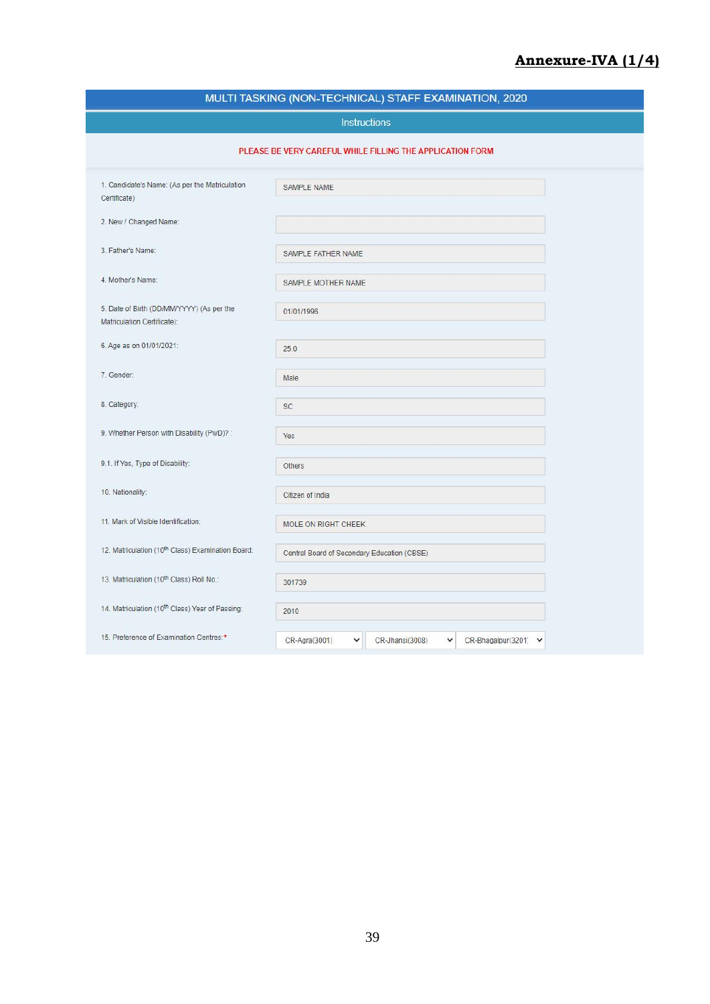### **Annexure-IVA (1/4)**

| MULTI TASKING (NON-TECHNICAL) STAFF EXAMINATION, 2020                    |                                                                               |  |  |  |  |  |
|--------------------------------------------------------------------------|-------------------------------------------------------------------------------|--|--|--|--|--|
|                                                                          | <b>Instructions</b>                                                           |  |  |  |  |  |
|                                                                          | PLEASE BE VERY CAREFUL WHILE FILLING THE APPLICATION FORM                     |  |  |  |  |  |
| 1. Candidate's Name: (As per the Matriculation<br>Certificate)           | SAMPLE NAME                                                                   |  |  |  |  |  |
| 2. New / Changed Name:                                                   |                                                                               |  |  |  |  |  |
| 3. Father's Name:                                                        | SAMPLE FATHER NAME                                                            |  |  |  |  |  |
| 4. Mother's Name:                                                        | SAMPLE MOTHER NAME                                                            |  |  |  |  |  |
| 5. Date of Birth (DD/MM/YYYY) (As per the<br>Matriculation Certificate): | 01/01/1996                                                                    |  |  |  |  |  |
| 6. Age as on 01/01/2021:                                                 | 25.0                                                                          |  |  |  |  |  |
| 7. Gender:                                                               | Male                                                                          |  |  |  |  |  |
| 8. Category:                                                             | SC                                                                            |  |  |  |  |  |
| 9. Whether Person with Disability (PwD)?:                                | Yes                                                                           |  |  |  |  |  |
| 9.1. If Yes, Type of Disability:                                         | Others                                                                        |  |  |  |  |  |
| 10. Nationality:                                                         | Citizen of India                                                              |  |  |  |  |  |
| 11. Mark of Visible Identification:                                      | MOLE ON RIGHT CHEEK                                                           |  |  |  |  |  |
| 12. Matriculation (10th Class) Examination Board:                        | Central Board of Secondary Education (CBSE)                                   |  |  |  |  |  |
| 13. Matriculation (10th Class) Roll No.:                                 | 301739                                                                        |  |  |  |  |  |
| 14. Matriculation (10 <sup>th</sup> Class) Year of Passing:              | 2010                                                                          |  |  |  |  |  |
| 15. Preference of Examination Centres:*                                  | CR-Agra(3001)<br>v<br>CR-Jhansi(3008)<br>$\checkmark$<br>CR-Bhagalpur(3201) V |  |  |  |  |  |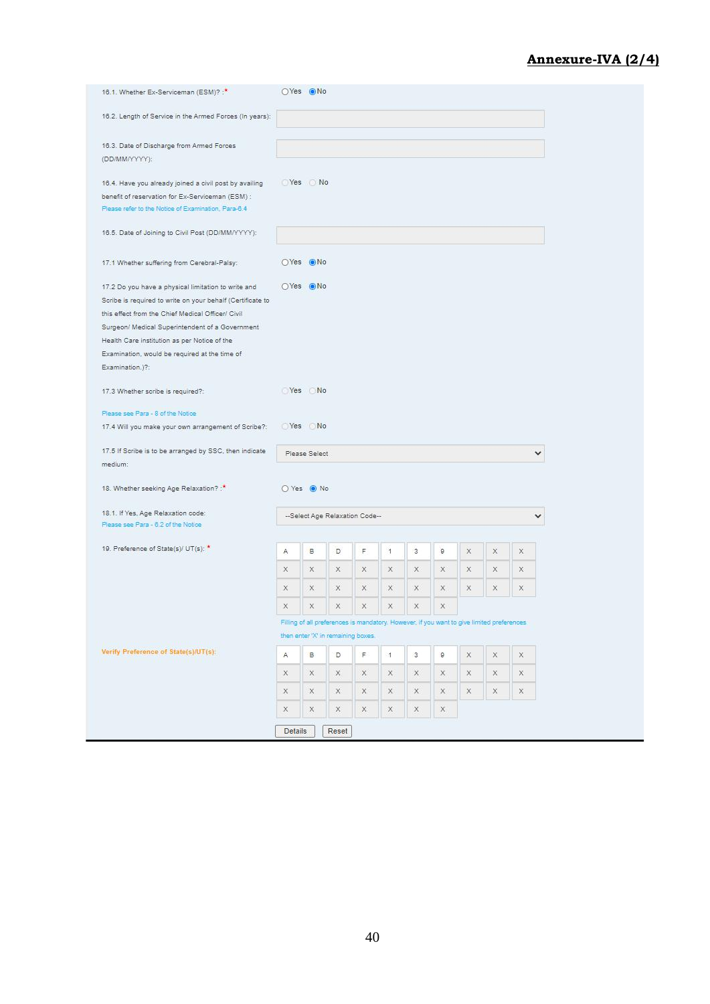### **Annexure-IVA (2/4)**

| 16.2. Length of Service in the Armed Forces (In years):<br>16.3. Date of Discharge from Armed Forces<br>(DD/MM/YYYY):<br>◯ Yes ◯ No<br>16.4. Have you already joined a civil post by availing<br>benefit of reservation for Ex-Serviceman (ESM) :<br>Please refer to the Notice of Examination, Para-6.4<br>16.5. Date of Joining to Civil Post (DD/MM/YYYY):<br>OYes ONo<br>17.1 Whether suffering from Cerebral-Palsy:<br>OYes ONo<br>17.2 Do you have a physical limitation to write and<br>Scribe is required to write on your behalf (Certificate to<br>this effect from the Chief Medical Officer/ Civil<br>Surgeon/ Medical Superintendent of a Government<br>Health Care institution as per Notice of the<br>Examination, would be required at the time of<br>Examination.)?:<br>Yes No<br>17.3 Whether scribe is required?:<br>Please see Para - 8 of the Notice<br>Yes No<br>17.4 Will you make your own arrangement of Scribe?:<br>17.5 If Scribe is to be arranged by SSC, then indicate<br>Please Select<br>medium:<br>18. Whether seeking Age Relaxation?:<br>O Yes O No<br>18.1. If Yes, Age Relaxation code:<br>--Select Age Relaxation Code--<br>Please see Para - 6.2 of the Notice<br>19. Preference of State(s)/ UT(s): *<br>B<br>F<br>$\mathbf{1}$<br>ø<br>Α<br>D<br>3<br>X<br>x<br>x<br>X<br>$\times$<br>X<br>X<br>X<br>X<br>$\mathbb X$<br>$\times$<br>X<br>$\times$<br>X.<br>X<br>X.<br>X.<br>X<br>X<br>Χ<br>x<br>×<br>X<br>X<br>X<br>x<br>X<br>X<br>X<br>X<br>Filling of all preferences is mandatory. However, if you want to give limited preferences<br>then enter 'X' in remaining boxes.<br>Verify Preference of State(s)/UT(s):<br>B.<br>$\overline{\mathsf{F}}$ .<br>g<br>A<br>D<br>$\cdot$ 1<br>3<br>X<br>x<br>X.<br>x<br>X<br>$\mathsf{X}% _{T}=\mathsf{X}_{T}\!\left( a,b\right) ,\ \mathsf{X}_{T}=\mathsf{X}_{T}$<br>X.<br>X<br>X.<br>X<br>X<br>X<br>X.<br>X<br>$\mathsf X$<br>$\mathsf{X}% _{T}=\mathsf{X}_{T}\!\left( a,b\right) ,\mathsf{X}_{T}=\mathsf{X}_{T}$<br>X<br>X<br>X<br>$\mathbb X$<br>X<br>x<br>X<br>X<br>$\mathbb X$<br>X<br>X<br>X<br>$\mathsf{X}$<br>$\mathsf{X}$<br><b>Details</b><br>Reset | 16.1. Whether Ex-Serviceman (ESM)? :* | OYes ONo |  |  |  |  |  |
|---------------------------------------------------------------------------------------------------------------------------------------------------------------------------------------------------------------------------------------------------------------------------------------------------------------------------------------------------------------------------------------------------------------------------------------------------------------------------------------------------------------------------------------------------------------------------------------------------------------------------------------------------------------------------------------------------------------------------------------------------------------------------------------------------------------------------------------------------------------------------------------------------------------------------------------------------------------------------------------------------------------------------------------------------------------------------------------------------------------------------------------------------------------------------------------------------------------------------------------------------------------------------------------------------------------------------------------------------------------------------------------------------------------------------------------------------------------------------------------------------------------------------------------------------------------------------------------------------------------------------------------------------------------------------------------------------------------------------------------------------------------------------------------------------------------------------------------------------------------------------------------------------------------------------------------------------------------------------------------------------------------------------------------------------------------------------------------------------------------------------------------------------|---------------------------------------|----------|--|--|--|--|--|
|                                                                                                                                                                                                                                                                                                                                                                                                                                                                                                                                                                                                                                                                                                                                                                                                                                                                                                                                                                                                                                                                                                                                                                                                                                                                                                                                                                                                                                                                                                                                                                                                                                                                                                                                                                                                                                                                                                                                                                                                                                                                                                                                                   |                                       |          |  |  |  |  |  |
|                                                                                                                                                                                                                                                                                                                                                                                                                                                                                                                                                                                                                                                                                                                                                                                                                                                                                                                                                                                                                                                                                                                                                                                                                                                                                                                                                                                                                                                                                                                                                                                                                                                                                                                                                                                                                                                                                                                                                                                                                                                                                                                                                   |                                       |          |  |  |  |  |  |
|                                                                                                                                                                                                                                                                                                                                                                                                                                                                                                                                                                                                                                                                                                                                                                                                                                                                                                                                                                                                                                                                                                                                                                                                                                                                                                                                                                                                                                                                                                                                                                                                                                                                                                                                                                                                                                                                                                                                                                                                                                                                                                                                                   |                                       |          |  |  |  |  |  |
|                                                                                                                                                                                                                                                                                                                                                                                                                                                                                                                                                                                                                                                                                                                                                                                                                                                                                                                                                                                                                                                                                                                                                                                                                                                                                                                                                                                                                                                                                                                                                                                                                                                                                                                                                                                                                                                                                                                                                                                                                                                                                                                                                   |                                       |          |  |  |  |  |  |
|                                                                                                                                                                                                                                                                                                                                                                                                                                                                                                                                                                                                                                                                                                                                                                                                                                                                                                                                                                                                                                                                                                                                                                                                                                                                                                                                                                                                                                                                                                                                                                                                                                                                                                                                                                                                                                                                                                                                                                                                                                                                                                                                                   |                                       |          |  |  |  |  |  |
|                                                                                                                                                                                                                                                                                                                                                                                                                                                                                                                                                                                                                                                                                                                                                                                                                                                                                                                                                                                                                                                                                                                                                                                                                                                                                                                                                                                                                                                                                                                                                                                                                                                                                                                                                                                                                                                                                                                                                                                                                                                                                                                                                   |                                       |          |  |  |  |  |  |
|                                                                                                                                                                                                                                                                                                                                                                                                                                                                                                                                                                                                                                                                                                                                                                                                                                                                                                                                                                                                                                                                                                                                                                                                                                                                                                                                                                                                                                                                                                                                                                                                                                                                                                                                                                                                                                                                                                                                                                                                                                                                                                                                                   |                                       |          |  |  |  |  |  |
|                                                                                                                                                                                                                                                                                                                                                                                                                                                                                                                                                                                                                                                                                                                                                                                                                                                                                                                                                                                                                                                                                                                                                                                                                                                                                                                                                                                                                                                                                                                                                                                                                                                                                                                                                                                                                                                                                                                                                                                                                                                                                                                                                   |                                       |          |  |  |  |  |  |
|                                                                                                                                                                                                                                                                                                                                                                                                                                                                                                                                                                                                                                                                                                                                                                                                                                                                                                                                                                                                                                                                                                                                                                                                                                                                                                                                                                                                                                                                                                                                                                                                                                                                                                                                                                                                                                                                                                                                                                                                                                                                                                                                                   |                                       |          |  |  |  |  |  |
|                                                                                                                                                                                                                                                                                                                                                                                                                                                                                                                                                                                                                                                                                                                                                                                                                                                                                                                                                                                                                                                                                                                                                                                                                                                                                                                                                                                                                                                                                                                                                                                                                                                                                                                                                                                                                                                                                                                                                                                                                                                                                                                                                   |                                       |          |  |  |  |  |  |
|                                                                                                                                                                                                                                                                                                                                                                                                                                                                                                                                                                                                                                                                                                                                                                                                                                                                                                                                                                                                                                                                                                                                                                                                                                                                                                                                                                                                                                                                                                                                                                                                                                                                                                                                                                                                                                                                                                                                                                                                                                                                                                                                                   |                                       |          |  |  |  |  |  |
|                                                                                                                                                                                                                                                                                                                                                                                                                                                                                                                                                                                                                                                                                                                                                                                                                                                                                                                                                                                                                                                                                                                                                                                                                                                                                                                                                                                                                                                                                                                                                                                                                                                                                                                                                                                                                                                                                                                                                                                                                                                                                                                                                   |                                       |          |  |  |  |  |  |
|                                                                                                                                                                                                                                                                                                                                                                                                                                                                                                                                                                                                                                                                                                                                                                                                                                                                                                                                                                                                                                                                                                                                                                                                                                                                                                                                                                                                                                                                                                                                                                                                                                                                                                                                                                                                                                                                                                                                                                                                                                                                                                                                                   |                                       |          |  |  |  |  |  |
|                                                                                                                                                                                                                                                                                                                                                                                                                                                                                                                                                                                                                                                                                                                                                                                                                                                                                                                                                                                                                                                                                                                                                                                                                                                                                                                                                                                                                                                                                                                                                                                                                                                                                                                                                                                                                                                                                                                                                                                                                                                                                                                                                   |                                       |          |  |  |  |  |  |
|                                                                                                                                                                                                                                                                                                                                                                                                                                                                                                                                                                                                                                                                                                                                                                                                                                                                                                                                                                                                                                                                                                                                                                                                                                                                                                                                                                                                                                                                                                                                                                                                                                                                                                                                                                                                                                                                                                                                                                                                                                                                                                                                                   |                                       |          |  |  |  |  |  |
|                                                                                                                                                                                                                                                                                                                                                                                                                                                                                                                                                                                                                                                                                                                                                                                                                                                                                                                                                                                                                                                                                                                                                                                                                                                                                                                                                                                                                                                                                                                                                                                                                                                                                                                                                                                                                                                                                                                                                                                                                                                                                                                                                   |                                       |          |  |  |  |  |  |
|                                                                                                                                                                                                                                                                                                                                                                                                                                                                                                                                                                                                                                                                                                                                                                                                                                                                                                                                                                                                                                                                                                                                                                                                                                                                                                                                                                                                                                                                                                                                                                                                                                                                                                                                                                                                                                                                                                                                                                                                                                                                                                                                                   |                                       |          |  |  |  |  |  |
|                                                                                                                                                                                                                                                                                                                                                                                                                                                                                                                                                                                                                                                                                                                                                                                                                                                                                                                                                                                                                                                                                                                                                                                                                                                                                                                                                                                                                                                                                                                                                                                                                                                                                                                                                                                                                                                                                                                                                                                                                                                                                                                                                   |                                       |          |  |  |  |  |  |
|                                                                                                                                                                                                                                                                                                                                                                                                                                                                                                                                                                                                                                                                                                                                                                                                                                                                                                                                                                                                                                                                                                                                                                                                                                                                                                                                                                                                                                                                                                                                                                                                                                                                                                                                                                                                                                                                                                                                                                                                                                                                                                                                                   |                                       |          |  |  |  |  |  |
|                                                                                                                                                                                                                                                                                                                                                                                                                                                                                                                                                                                                                                                                                                                                                                                                                                                                                                                                                                                                                                                                                                                                                                                                                                                                                                                                                                                                                                                                                                                                                                                                                                                                                                                                                                                                                                                                                                                                                                                                                                                                                                                                                   |                                       |          |  |  |  |  |  |
|                                                                                                                                                                                                                                                                                                                                                                                                                                                                                                                                                                                                                                                                                                                                                                                                                                                                                                                                                                                                                                                                                                                                                                                                                                                                                                                                                                                                                                                                                                                                                                                                                                                                                                                                                                                                                                                                                                                                                                                                                                                                                                                                                   |                                       |          |  |  |  |  |  |
|                                                                                                                                                                                                                                                                                                                                                                                                                                                                                                                                                                                                                                                                                                                                                                                                                                                                                                                                                                                                                                                                                                                                                                                                                                                                                                                                                                                                                                                                                                                                                                                                                                                                                                                                                                                                                                                                                                                                                                                                                                                                                                                                                   |                                       |          |  |  |  |  |  |
|                                                                                                                                                                                                                                                                                                                                                                                                                                                                                                                                                                                                                                                                                                                                                                                                                                                                                                                                                                                                                                                                                                                                                                                                                                                                                                                                                                                                                                                                                                                                                                                                                                                                                                                                                                                                                                                                                                                                                                                                                                                                                                                                                   |                                       |          |  |  |  |  |  |
|                                                                                                                                                                                                                                                                                                                                                                                                                                                                                                                                                                                                                                                                                                                                                                                                                                                                                                                                                                                                                                                                                                                                                                                                                                                                                                                                                                                                                                                                                                                                                                                                                                                                                                                                                                                                                                                                                                                                                                                                                                                                                                                                                   |                                       |          |  |  |  |  |  |
|                                                                                                                                                                                                                                                                                                                                                                                                                                                                                                                                                                                                                                                                                                                                                                                                                                                                                                                                                                                                                                                                                                                                                                                                                                                                                                                                                                                                                                                                                                                                                                                                                                                                                                                                                                                                                                                                                                                                                                                                                                                                                                                                                   |                                       |          |  |  |  |  |  |
|                                                                                                                                                                                                                                                                                                                                                                                                                                                                                                                                                                                                                                                                                                                                                                                                                                                                                                                                                                                                                                                                                                                                                                                                                                                                                                                                                                                                                                                                                                                                                                                                                                                                                                                                                                                                                                                                                                                                                                                                                                                                                                                                                   |                                       |          |  |  |  |  |  |
|                                                                                                                                                                                                                                                                                                                                                                                                                                                                                                                                                                                                                                                                                                                                                                                                                                                                                                                                                                                                                                                                                                                                                                                                                                                                                                                                                                                                                                                                                                                                                                                                                                                                                                                                                                                                                                                                                                                                                                                                                                                                                                                                                   |                                       |          |  |  |  |  |  |
|                                                                                                                                                                                                                                                                                                                                                                                                                                                                                                                                                                                                                                                                                                                                                                                                                                                                                                                                                                                                                                                                                                                                                                                                                                                                                                                                                                                                                                                                                                                                                                                                                                                                                                                                                                                                                                                                                                                                                                                                                                                                                                                                                   |                                       |          |  |  |  |  |  |
|                                                                                                                                                                                                                                                                                                                                                                                                                                                                                                                                                                                                                                                                                                                                                                                                                                                                                                                                                                                                                                                                                                                                                                                                                                                                                                                                                                                                                                                                                                                                                                                                                                                                                                                                                                                                                                                                                                                                                                                                                                                                                                                                                   |                                       |          |  |  |  |  |  |
|                                                                                                                                                                                                                                                                                                                                                                                                                                                                                                                                                                                                                                                                                                                                                                                                                                                                                                                                                                                                                                                                                                                                                                                                                                                                                                                                                                                                                                                                                                                                                                                                                                                                                                                                                                                                                                                                                                                                                                                                                                                                                                                                                   |                                       |          |  |  |  |  |  |
|                                                                                                                                                                                                                                                                                                                                                                                                                                                                                                                                                                                                                                                                                                                                                                                                                                                                                                                                                                                                                                                                                                                                                                                                                                                                                                                                                                                                                                                                                                                                                                                                                                                                                                                                                                                                                                                                                                                                                                                                                                                                                                                                                   |                                       |          |  |  |  |  |  |
|                                                                                                                                                                                                                                                                                                                                                                                                                                                                                                                                                                                                                                                                                                                                                                                                                                                                                                                                                                                                                                                                                                                                                                                                                                                                                                                                                                                                                                                                                                                                                                                                                                                                                                                                                                                                                                                                                                                                                                                                                                                                                                                                                   |                                       |          |  |  |  |  |  |
|                                                                                                                                                                                                                                                                                                                                                                                                                                                                                                                                                                                                                                                                                                                                                                                                                                                                                                                                                                                                                                                                                                                                                                                                                                                                                                                                                                                                                                                                                                                                                                                                                                                                                                                                                                                                                                                                                                                                                                                                                                                                                                                                                   |                                       |          |  |  |  |  |  |
|                                                                                                                                                                                                                                                                                                                                                                                                                                                                                                                                                                                                                                                                                                                                                                                                                                                                                                                                                                                                                                                                                                                                                                                                                                                                                                                                                                                                                                                                                                                                                                                                                                                                                                                                                                                                                                                                                                                                                                                                                                                                                                                                                   |                                       |          |  |  |  |  |  |
|                                                                                                                                                                                                                                                                                                                                                                                                                                                                                                                                                                                                                                                                                                                                                                                                                                                                                                                                                                                                                                                                                                                                                                                                                                                                                                                                                                                                                                                                                                                                                                                                                                                                                                                                                                                                                                                                                                                                                                                                                                                                                                                                                   |                                       |          |  |  |  |  |  |
|                                                                                                                                                                                                                                                                                                                                                                                                                                                                                                                                                                                                                                                                                                                                                                                                                                                                                                                                                                                                                                                                                                                                                                                                                                                                                                                                                                                                                                                                                                                                                                                                                                                                                                                                                                                                                                                                                                                                                                                                                                                                                                                                                   |                                       |          |  |  |  |  |  |
|                                                                                                                                                                                                                                                                                                                                                                                                                                                                                                                                                                                                                                                                                                                                                                                                                                                                                                                                                                                                                                                                                                                                                                                                                                                                                                                                                                                                                                                                                                                                                                                                                                                                                                                                                                                                                                                                                                                                                                                                                                                                                                                                                   |                                       |          |  |  |  |  |  |
|                                                                                                                                                                                                                                                                                                                                                                                                                                                                                                                                                                                                                                                                                                                                                                                                                                                                                                                                                                                                                                                                                                                                                                                                                                                                                                                                                                                                                                                                                                                                                                                                                                                                                                                                                                                                                                                                                                                                                                                                                                                                                                                                                   |                                       |          |  |  |  |  |  |
|                                                                                                                                                                                                                                                                                                                                                                                                                                                                                                                                                                                                                                                                                                                                                                                                                                                                                                                                                                                                                                                                                                                                                                                                                                                                                                                                                                                                                                                                                                                                                                                                                                                                                                                                                                                                                                                                                                                                                                                                                                                                                                                                                   |                                       |          |  |  |  |  |  |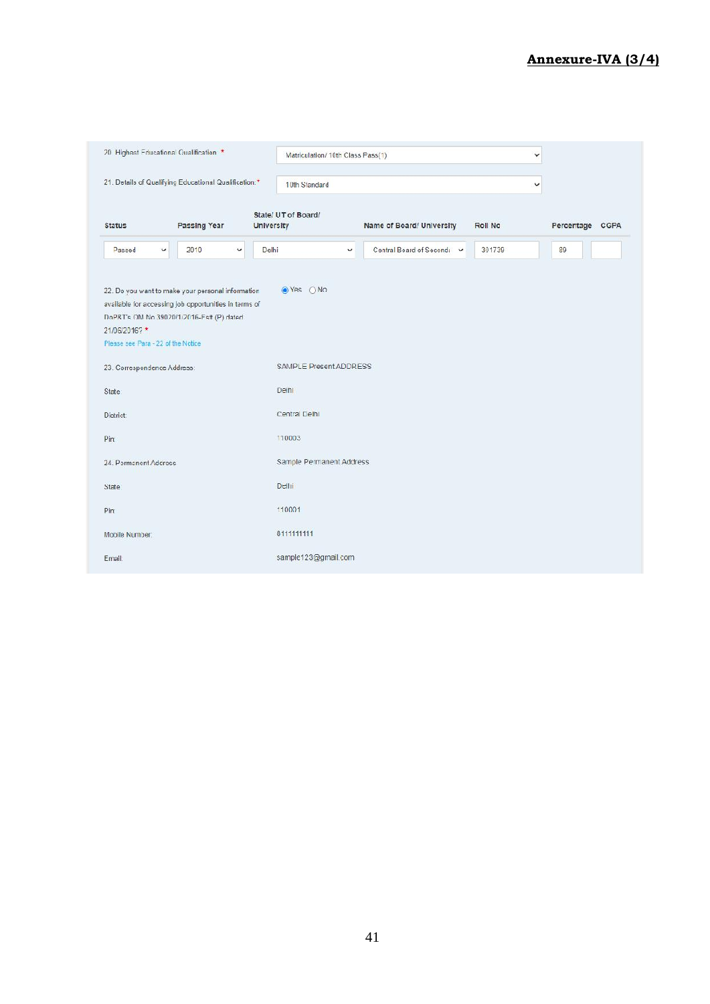### **Annexure-IVA (3/4)**

| 20 Highest Educational Qualification *                                                                                                                                                                        |                      | Matriculation/ 10th Class Pass(1)        |                            | Y              |                 |
|---------------------------------------------------------------------------------------------------------------------------------------------------------------------------------------------------------------|----------------------|------------------------------------------|----------------------------|----------------|-----------------|
| 21. Details of Qualifying Educational Qualification:*                                                                                                                                                         |                      | 10th Standard                            |                            | v              |                 |
| <b>Status</b>                                                                                                                                                                                                 | Passing Year         | State/ UT of Board/<br><b>University</b> | Name of Board/ University  | <b>Roll No</b> | Percentage CGPA |
| Passed<br>$\checkmark$                                                                                                                                                                                        | 2010<br>$\checkmark$ | Delhi<br>v                               | Central Board of Second: v | 301739         | 89              |
| 22. Do you want to make your personal information<br>available for accessing job opportunities in terms of<br>DoP&T's OM No 39020/1/2016-Estt (P) dated<br>21/06/2016?*<br>Please see Para - 22 of the Notice |                      | ●Yes ○No                                 |                            |                |                 |
| 23. Correspondence Address:                                                                                                                                                                                   |                      | SAMPLE Present ADDRESS                   |                            |                |                 |
| State:                                                                                                                                                                                                        |                      | Delhi                                    |                            |                |                 |
| District:                                                                                                                                                                                                     |                      | Central Delhi                            |                            |                |                 |
| Pin                                                                                                                                                                                                           |                      | 110003                                   |                            |                |                 |
| 24. Permanent Address                                                                                                                                                                                         |                      | Sample Permanent Address                 |                            |                |                 |
| State                                                                                                                                                                                                         |                      | Delhi                                    |                            |                |                 |
| Pin:                                                                                                                                                                                                          |                      | 110001                                   |                            |                |                 |
| Mobile Number:                                                                                                                                                                                                |                      | 8111111111                               |                            |                |                 |
| Email:                                                                                                                                                                                                        |                      | sample123@gmail.com                      |                            |                |                 |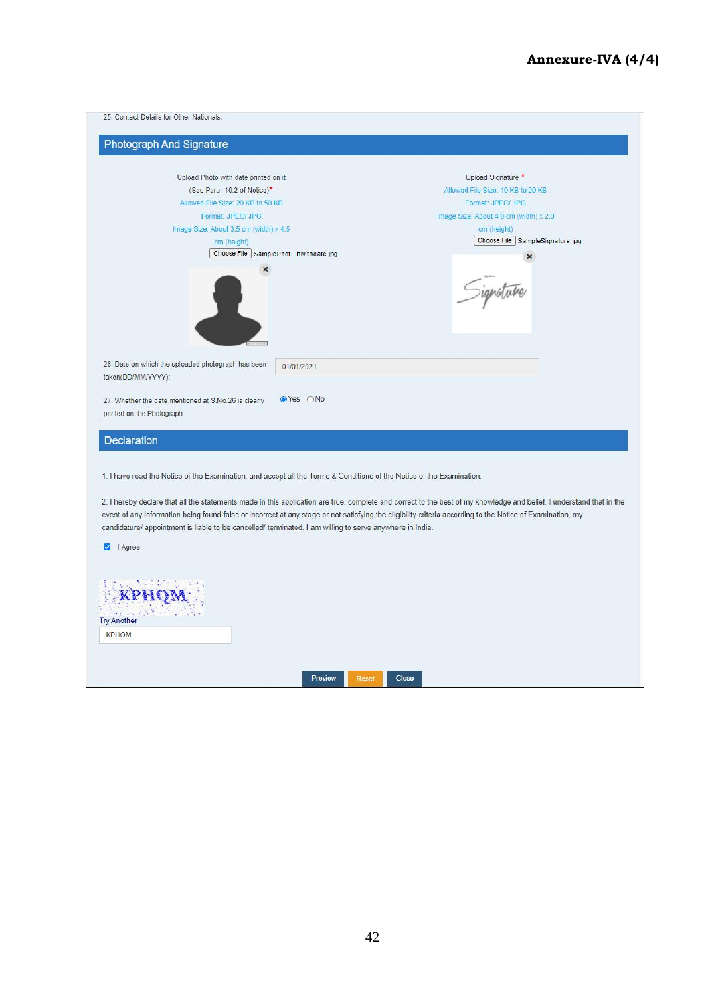#### **Annexure-IVA (4/4)**

| Photograph And Signature                                                           |                                        |
|------------------------------------------------------------------------------------|----------------------------------------|
| Upload Photo with date printed on it                                               | Upload Signature *                     |
| (See Para-10.2 of Notice)*                                                         | Allowed File Size: 10 KB to 20 KB      |
| Allowed File Size: 20 KB to 50 KB                                                  | Format: JPEG/ JPG                      |
| Format: JPEG/ JPG                                                                  | Image Size: About 4.0 cm (width) x 2.0 |
| Image Size: About 3.5 cm (width) x 4.5                                             | cm (height)                            |
| cm (height)                                                                        | Choose File SampleSignature.jpg        |
| Choose File SamplePhothwithdate.jpg                                                | ×                                      |
|                                                                                    | ignature                               |
| 26. Date on which the uploaded photograph has been<br>taken(DD/MM/YYYY):           | 01/01/2021                             |
| 27. Whether the date mentioned at S.No.26 is clearly<br>printed on the Photograph: | ⊙Yes ONo                               |
| <b>Declaration</b>                                                                 |                                        |

2. I hereby declare that all the statements made in this application are true, complete and correct to the best of my knowledge and belief. I understand that in the event of any information being found false or incorrect at any stage or not satisfying the eligibility criteria according to the Notice of Examination, my candidature/ appointment is liable to be cancelled/ terminated. I am willing to serve anywhere in India.

Agree

| KPHQM<br>A WELLINGTON AND STAN<br><b>Try Another</b> |         |       |       |  |  |
|------------------------------------------------------|---------|-------|-------|--|--|
| <b>KPHQM</b>                                         |         |       |       |  |  |
|                                                      |         |       |       |  |  |
|                                                      | Preview | Reset | Close |  |  |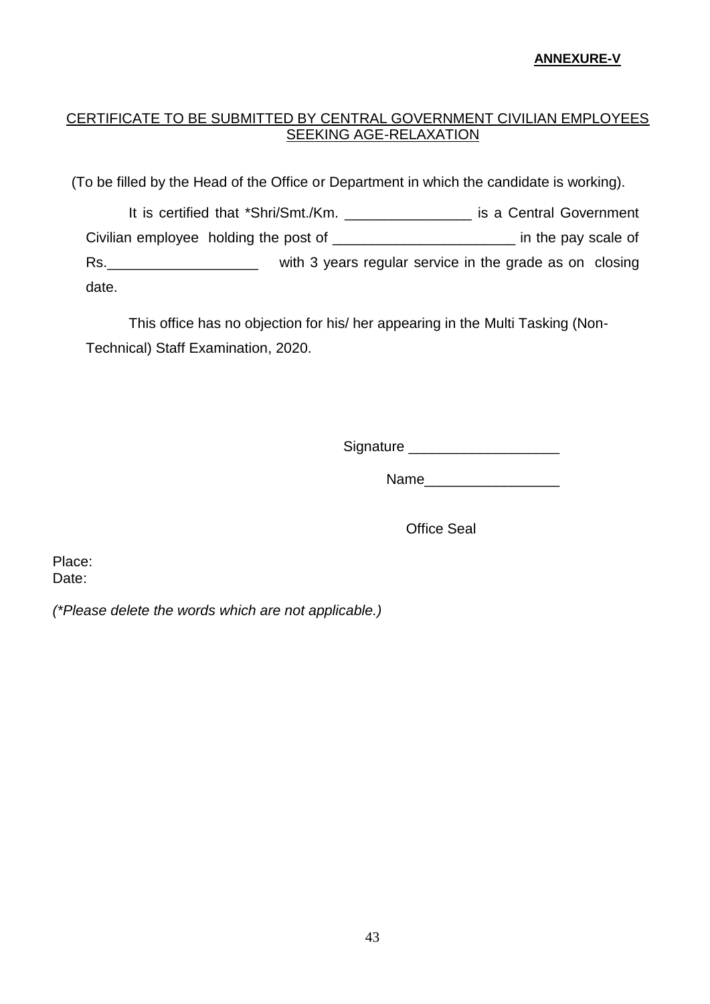#### **ANNEXURE-V**

### CERTIFICATE TO BE SUBMITTED BY CENTRAL GOVERNMENT CIVILIAN EMPLOYEES SEEKING AGE-RELAXATION

(To be filled by the Head of the Office or Department in which the candidate is working).

It is certified that \*Shri/Smt./Km. \_\_\_\_\_\_\_\_\_\_\_\_\_\_\_\_ is a Central Government Civilian employee holding the post of \_\_\_\_\_\_\_\_\_\_\_\_\_\_\_\_\_\_\_\_\_\_\_\_\_\_\_\_\_\_\_\_ in the pay scale of Rs. <u>\_\_\_\_\_\_\_\_\_\_\_\_\_\_\_\_\_\_\_\_\_\_</u> with 3 years regular service in the grade as on closing date.

This office has no objection for his/ her appearing in the Multi Tasking (Non- Technical) Staff Examination, 2020.

Signature \_\_\_\_\_\_\_\_\_\_\_\_\_\_\_\_\_\_\_

Name\_\_\_\_\_\_\_\_\_\_\_\_\_\_\_\_\_

Office Seal

Place: Date:

*(\*Please delete the words which are not applicable.)*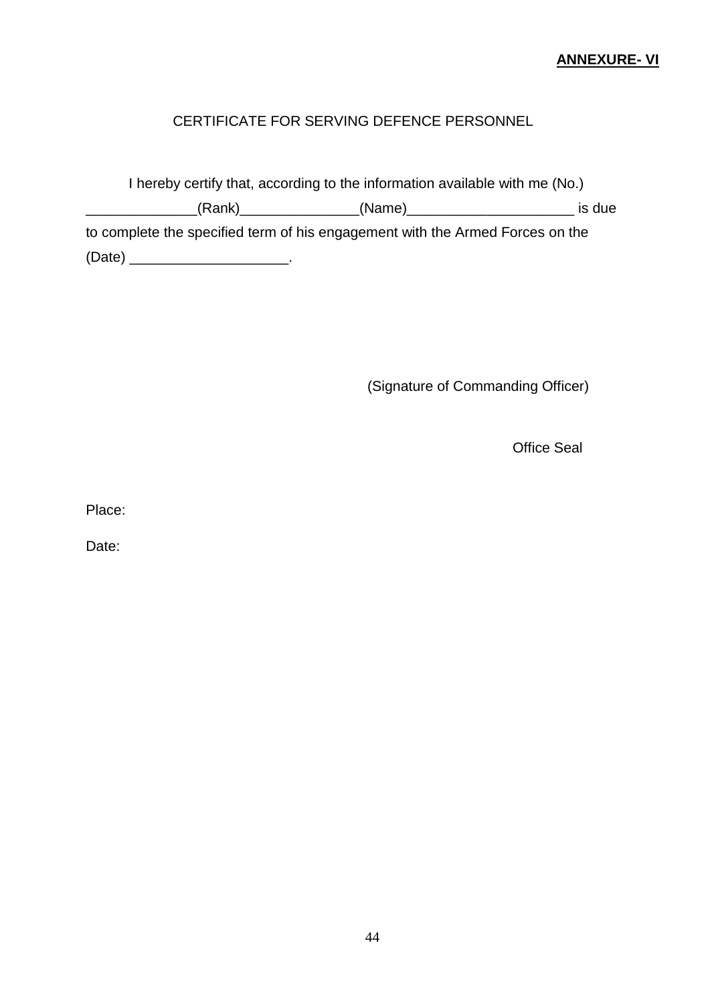### **ANNEXURE- VI**

### CERTIFICATE FOR SERVING DEFENCE PERSONNEL

I hereby certify that, according to the information available with me (No.) \_\_\_\_\_\_\_\_\_\_\_\_\_\_(Rank)\_\_\_\_\_\_\_\_\_\_\_\_\_\_\_(Name)\_\_\_\_\_\_\_\_\_\_\_\_\_\_\_\_\_\_\_\_\_ is due to complete the specified term of his engagement with the Armed Forces on the (Date) \_\_\_\_\_\_\_\_\_\_\_\_\_\_\_\_\_\_\_\_.

(Signature of Commanding Officer)

Office Seal

Place:

Date: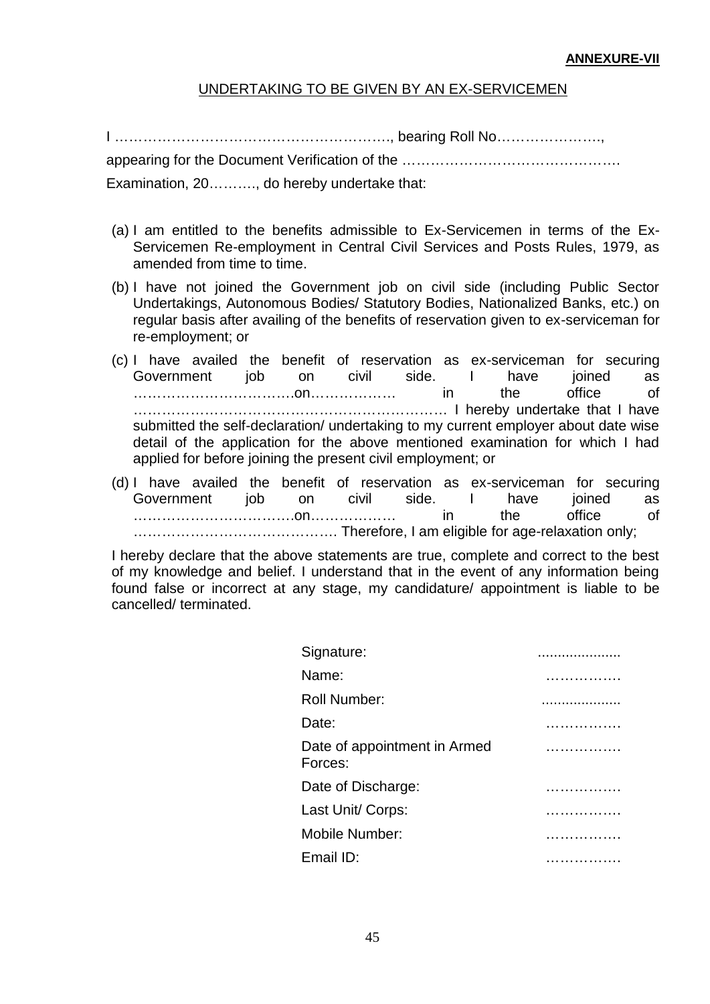#### **ANNEXURE-VII**

### UNDERTAKING TO BE GIVEN BY AN EX-SERVICEMEN

I …………………………………………………., bearing Roll No………………….,

appearing for the Document Verification of the ……………………………………….

Examination, 20………., do hereby undertake that:

- (a) I am entitled to the benefits admissible to Ex-Servicemen in terms of the Ex- Servicemen Re-employment in Central Civil Services and Posts Rules, 1979, as amended from time to time.
- (b) I have not joined the Government job on civil side (including Public Sector Undertakings, Autonomous Bodies/ Statutory Bodies, Nationalized Banks, etc.) on regular basis after availing of the benefits of reservation given to ex-serviceman for re-employment; or
- (c) I have availed the benefit of reservation as ex-serviceman for securing Government job on civil side. I have joined as …………………………….on……………… in the office of ………………………………………………………… I hereby undertake that I have submitted the self-declaration/ undertaking to my current employer about date wise detail of the application for the above mentioned examination for which I had applied for before joining the present civil employment; or
- (d) I have availed the benefit of reservation as ex-serviceman for securing Government job on civil side. I have joined as …………………………….on……………… in the office of ……………………………………. Therefore, I am eligible for age-relaxation only;

I hereby declare that the above statements are true, complete and correct to the best of my knowledge and belief. I understand that in the event of any information being found false or incorrect at any stage, my candidature/ appointment is liable to be cancelled/ terminated.

| Signature:                              |   |
|-----------------------------------------|---|
| Name:                                   | . |
| <b>Roll Number:</b>                     |   |
| Date:                                   | . |
| Date of appointment in Armed<br>Forces: |   |
| Date of Discharge:                      | . |
| Last Unit/ Corps:                       |   |
| Mobile Number:                          | . |
| Email ID:                               | . |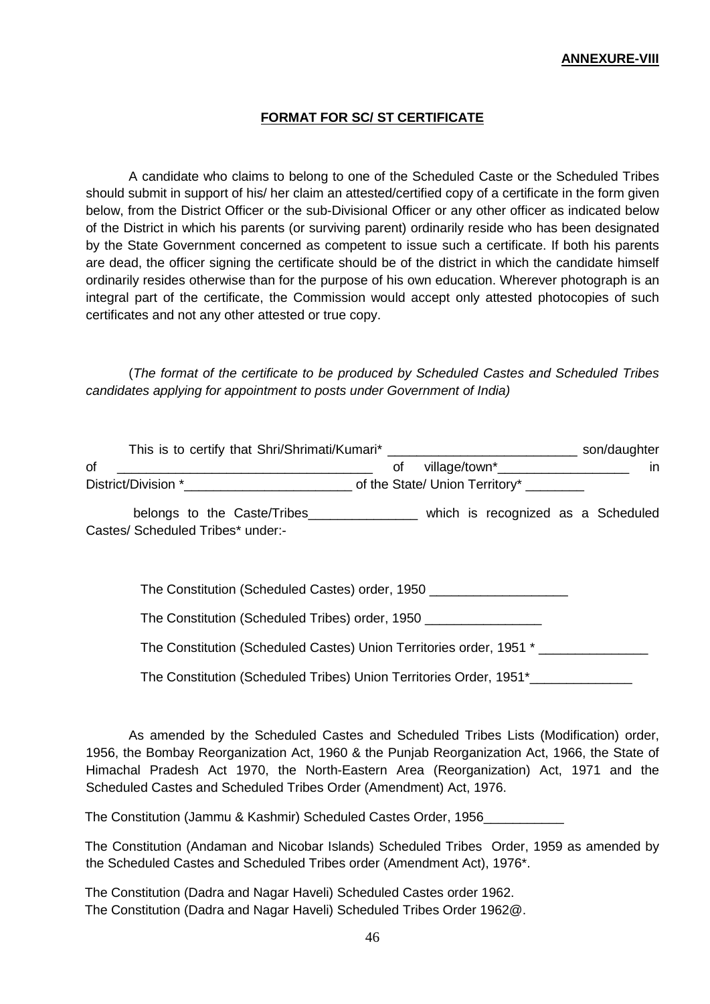#### **ANNEXURE-VIII**

#### **FORMAT FOR SC/ ST CERTIFICATE**

A candidate who claims to belong to one of the Scheduled Caste or the Scheduled Tribes should submit in support of his/ her claim an attested/certified copy of a certificate in the form given below, from the District Officer or the sub-Divisional Officer or any other officer as indicated below of the District in which his parents (or surviving parent) ordinarily reside who has been designated by the State Government concerned as competent to issue such a certificate. If both his parents are dead, the officer signing the certificate should be of the district in which the candidate himself ordinarily resides otherwise than for the purpose of his own education. Wherever photograph is an integral part of the certificate, the Commission would accept only attested photocopies of such certificates and not any other attested or true copy.

(*The format of the certificate to be produced by Scheduled Castes and Scheduled Tribes candidates applying for appointment to posts under Government of India)*

| This is to certify that Shri/Shrimati/Kumari* |                                | son/daughter |
|-----------------------------------------------|--------------------------------|--------------|
| οf                                            | village/town*                  | ın           |
| District/Division *                           | of the State/ Union Territory* |              |

belongs to the Caste/Tribes\_\_\_\_\_\_\_\_\_\_\_\_\_\_\_ which is recognized as a Scheduled Castes/ Scheduled Tribes\* under:-

The Constitution (Scheduled Castes) order, 1950

The Constitution (Scheduled Tribes) order, 1950 \_\_\_\_\_\_\_\_\_\_\_\_\_\_\_\_

The Constitution (Scheduled Castes) Union Territories order, 1951 \* \_\_\_\_\_\_\_\_\_\_\_\_

The Constitution (Scheduled Tribes) Union Territories Order, 1951\*\_\_\_\_\_\_\_\_\_\_\_\_\_\_

As amended by the Scheduled Castes and Scheduled Tribes Lists (Modification) order, 1956, the Bombay Reorganization Act, 1960 & the Punjab Reorganization Act, 1966, the State of Himachal Pradesh Act 1970, the North-Eastern Area (Reorganization) Act, 1971 and the Scheduled Castes and Scheduled Tribes Order (Amendment) Act, 1976.

The Constitution (Jammu & Kashmir) Scheduled Castes Order, 1956\_\_\_\_\_\_\_\_\_\_\_

The Constitution (Andaman and Nicobar Islands) Scheduled Tribes Order, 1959 as amended by the Scheduled Castes and Scheduled Tribes order (Amendment Act), 1976\*.

The Constitution (Dadra and Nagar Haveli) Scheduled Castes order 1962. The Constitution (Dadra and Nagar Haveli) Scheduled Tribes Order 1962@.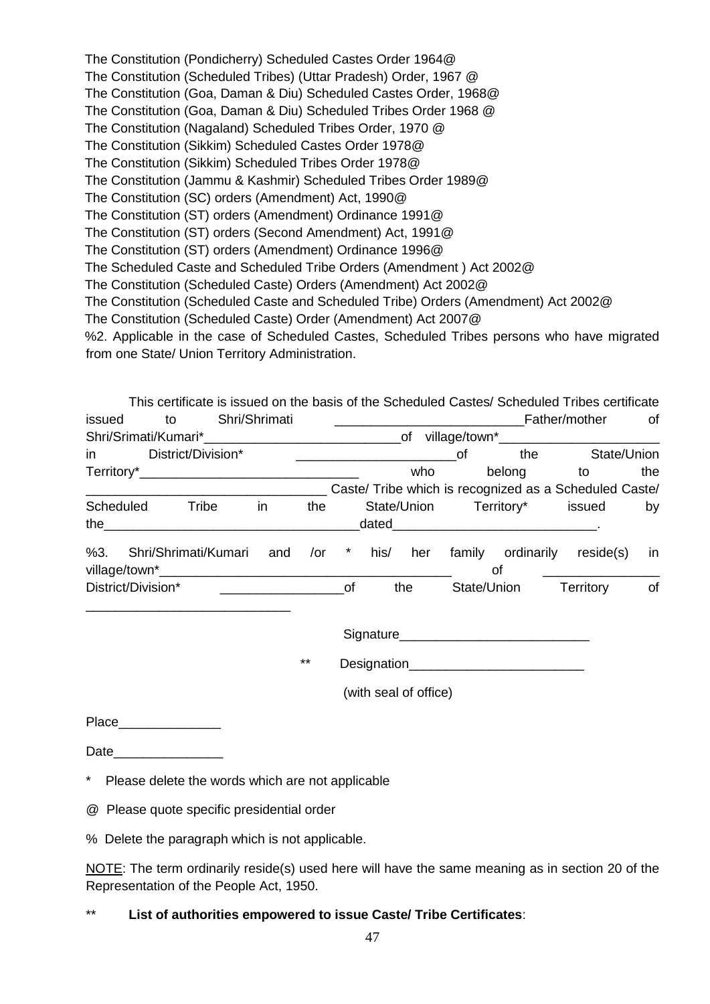The Constitution (Pondicherry) Scheduled Castes Order 1964@ The Constitution (Scheduled Tribes) (Uttar Pradesh) Order, 1967 @ The Constitution (Goa, Daman & Diu) Scheduled Castes Order, 1968@ The Constitution (Goa, Daman & Diu) Scheduled Tribes Order 1968 @ The Constitution (Nagaland) Scheduled Tribes Order, 1970 @ The Constitution (Sikkim) Scheduled Castes Order 1978@ The Constitution (Sikkim) Scheduled Tribes Order 1978@ The Constitution (Jammu & Kashmir) Scheduled Tribes Order 1989@ The Constitution (SC) orders (Amendment) Act, 1990@ The Constitution (ST) orders (Amendment) Ordinance 1991@ The Constitution (ST) orders (Second Amendment) Act, 1991@ The Constitution (ST) orders (Amendment) Ordinance 1996@ The Scheduled Caste and Scheduled Tribe Orders (Amendment ) Act 2002@ The Constitution (Scheduled Caste) Orders (Amendment) Act 2002@ The Constitution (Scheduled Caste and Scheduled Tribe) Orders (Amendment) Act 2002@ The Constitution (Scheduled Caste) Order (Amendment) Act 2007@ %2. Applicable in the case of Scheduled Castes, Scheduled Tribes persons who have migrated from one State/ Union Territory Administration.

| οf  |             | Father/mother                                          |             |             |         |        | Shri/Shrimati | to                    | issued             |
|-----|-------------|--------------------------------------------------------|-------------|-------------|---------|--------|---------------|-----------------------|--------------------|
|     |             |                                                        |             |             |         |        |               |                       |                    |
|     | State/Union | the                                                    | 0f          |             |         |        |               | in District/Division* |                    |
| the | to to       | belong                                                 |             | who         |         |        |               |                       |                    |
|     |             | Caste/ Tribe which is recognized as a Scheduled Caste/ |             |             |         |        |               |                       |                    |
| by  |             | State/Union Territory* issued                          |             |             |         | the    | in            | Tribe                 | <b>Scheduled</b>   |
|     |             |                                                        |             | dated       |         |        |               |                       | the                |
| in  | reside(s)   | ordinarily                                             | family      | his/<br>her | $\star$ | $/$ or | and           | Shri/Shrimati/Kumari  | %3.                |
|     |             | οf                                                     |             |             |         |        |               |                       |                    |
| оf  | Territory   |                                                        | State/Union | the         | 0f      |        |               |                       | District/Division* |

| Signature |  |
|-----------|--|
|           |  |

\*\* Designation\_\_\_\_\_\_\_\_\_\_\_\_\_\_\_\_\_\_\_\_\_\_\_\_

(with seal of office)

Place\_\_\_\_\_\_\_\_\_\_\_\_\_\_

Date

\* Please delete the words which are not applicable

- @ Please quote specific presidential order
- % Delete the paragraph which is not applicable.

NOTE: The term ordinarily reside(s) used here will have the same meaning as in section 20 of the Representation of the People Act, 1950.

### \*\* **List of authorities empowered to issue Caste/ Tribe Certificates**: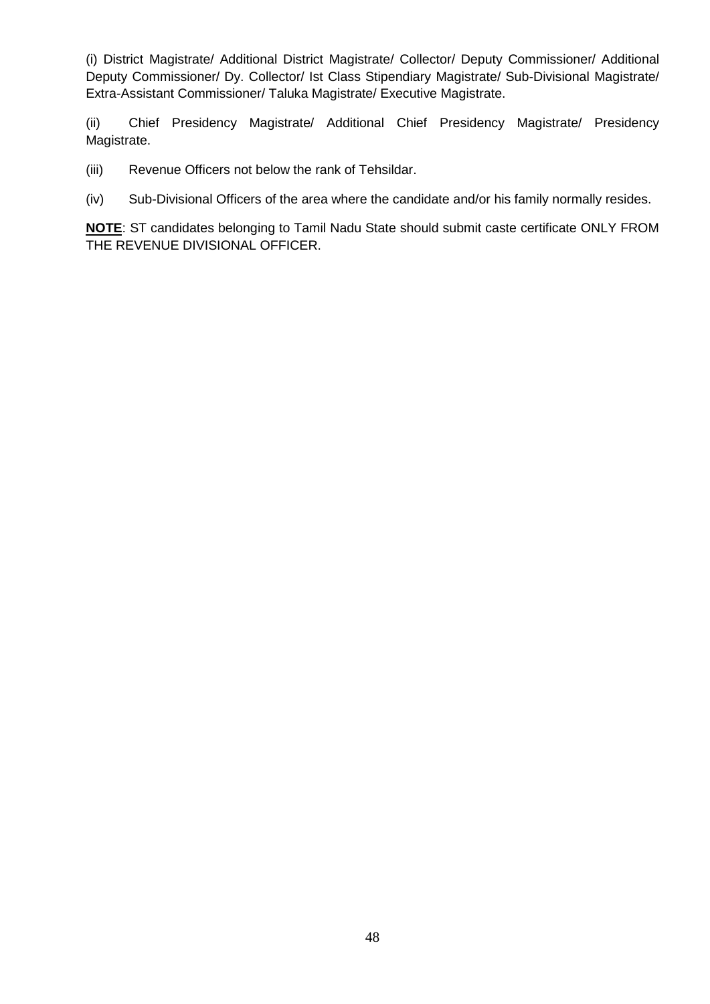(i) District Magistrate/ Additional District Magistrate/ Collector/ Deputy Commissioner/ Additional Deputy Commissioner/ Dy. Collector/ Ist Class Stipendiary Magistrate/ Sub-Divisional Magistrate/ Extra-Assistant Commissioner/ Taluka Magistrate/ Executive Magistrate.

(ii) Chief Presidency Magistrate/ Additional Chief Presidency Magistrate/ Presidency Magistrate.

- (iii) Revenue Officers not below the rank of Tehsildar.
- (iv) Sub-Divisional Officers of the area where the candidate and/or his family normally resides.

**NOTE**: ST candidates belonging to Tamil Nadu State should submit caste certificate ONLY FROM THE REVENUE DIVISIONAL OFFICER.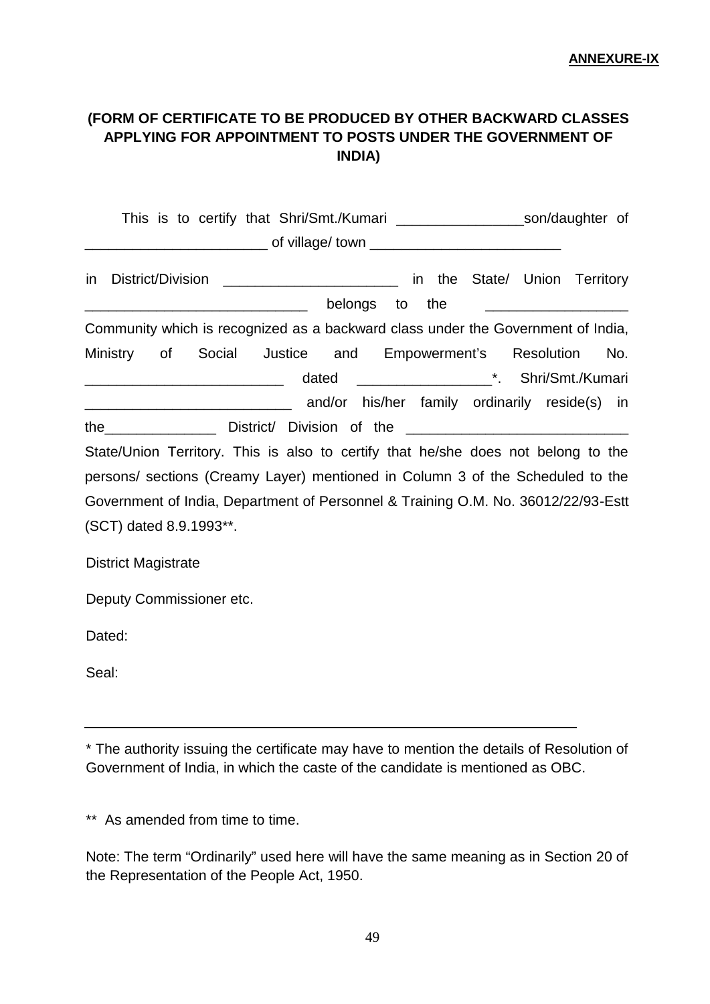### **(FORM OF CERTIFICATE TO BE PRODUCED BY OTHER BACKWARD CLASSES APPLYING FOR APPOINTMENT TO POSTS UNDER THE GOVERNMENT OF INDIA)**

This is to certify that Shri/Smt./Kumari example and son/daughter of of village/ town **Example 20** in District/Division \_\_\_\_\_\_\_\_\_\_\_\_\_\_\_\_\_\_\_\_\_\_\_\_\_\_\_ in the State/ Union Territory  $\blacksquare$  belongs to the Community which is recognized as a backward class under the Government of India, Ministry of Social Justice and Empowerment's Resolution No. \_\_\_\_\_\_\_\_\_\_\_\_\_\_\_\_\_\_\_\_\_\_\_\_\_ dated \_\_\_\_\_\_\_\_\_\_\_\_\_\_\_\_\_\*. Shri/Smt./Kumari \_\_\_\_\_\_\_\_\_\_\_\_\_\_\_\_\_\_\_\_\_\_\_\_\_\_ and/or his/her family ordinarily reside(s) in the District/ Division of the State/Union Territory. This is also to certify that he/she does not belong to the persons/ sections (Creamy Layer) mentioned in Column 3 of the Scheduled to the Government of India, Department of Personnel & Training O.M. No. 36012/22/93-Estt (SCT) dated 8.9.1993\*\*. District Magistrate Deputy Commissioner etc. Dated: Seal:

\* The authority issuing the certificate may have to mention the details of Resolution of Government of India, in which the caste of the candidate is mentioned as OBC.

\*\* As amended from time to time.

Note: The term "Ordinarily" used here will have the same meaning as in Section 20 of the Representation of the People Act, 1950.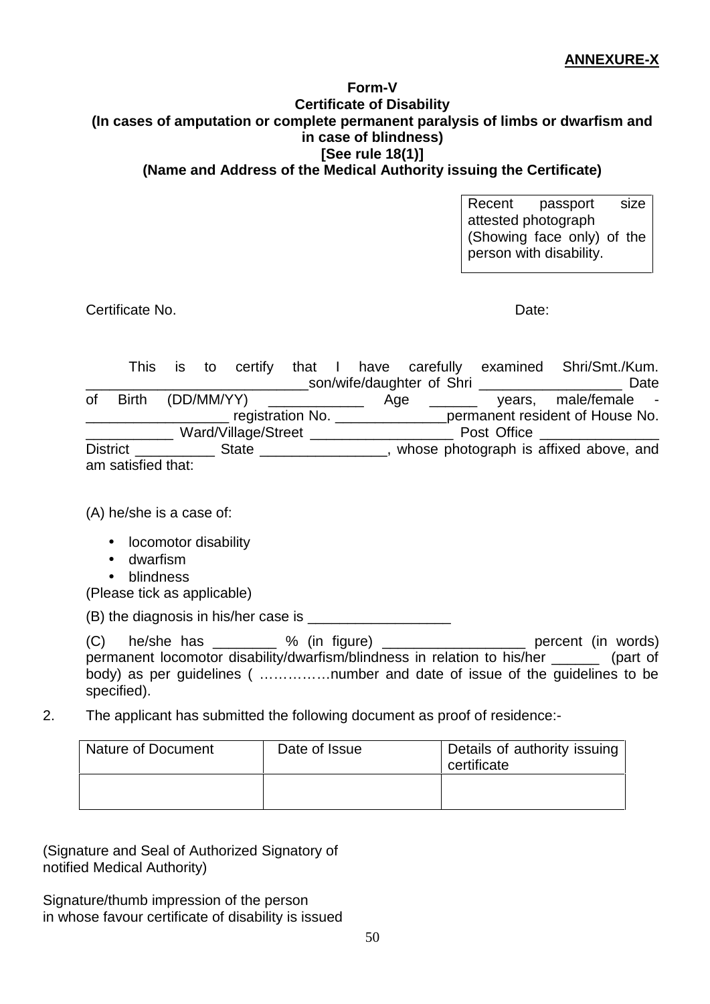### **ANNEXURE-X**

#### **Form-V Certificate of Disability (In cases of amputation or complete permanent paralysis of limbs or dwarfism and in case of blindness) [See rule 18(1)] (Name and Address of the Medical Authority issuing the Certificate)**

Recent passport size attested photograph (Showing face only) of the person with disability.

Certificate No. Date:

This is to certify that I have carefully examined Shri/Smt./Kum. \_\_\_\_\_\_\_\_\_\_\_\_\_\_\_\_\_\_\_\_\_\_\_\_\_\_\_\_son/wife/daughter of Shri \_\_\_\_\_\_\_\_\_\_\_\_\_\_\_\_\_\_ Date of Birth  $(DD/MM/YY)$  \_\_\_\_\_\_\_\_\_\_\_\_ Age \_\_\_\_\_\_ mana by the set of the set of the set of the registration No. \_\_\_\_\_\_\_\_\_\_\_\_ Ward/Village/Street \_\_\_\_\_\_\_\_\_\_\_\_\_\_\_\_\_\_\_\_\_\_\_\_\_\_\_ Post Office \_\_\_\_\_\_\_\_\_\_\_\_\_ District \_\_\_\_\_\_\_\_\_\_\_\_\_\_ State \_\_\_\_\_\_\_\_\_\_\_\_\_\_\_\_\_\_, whose photograph is affixed above, and am satisfied that:

(A) he/she is a case of:

- locomotor disability
- dwarfism
- blindness

(Please tick as applicable)

(B) the diagnosis in his/her case is \_\_\_\_\_\_\_\_\_\_\_\_\_\_\_\_\_\_

(C) he/she has \_\_\_\_\_\_\_\_ % (in figure) \_\_\_\_\_\_\_\_\_\_\_\_\_\_\_\_\_\_ percent (in words) permanent locomotor disability/dwarfism/blindness in relation to his/her \_\_\_\_\_\_ (part of body) as per quidelines ( ................number and date of issue of the quidelines to be specified).

2. The applicant has submitted the following document as proof of residence:-

| Nature of Document | Date of Issue | Details of authority issuing<br>certificate |
|--------------------|---------------|---------------------------------------------|
|                    |               |                                             |

(Signature and Seal of Authorized Signatory of notified Medical Authority)

Signature/thumb impression of the person in whose favour certificate of disability is issued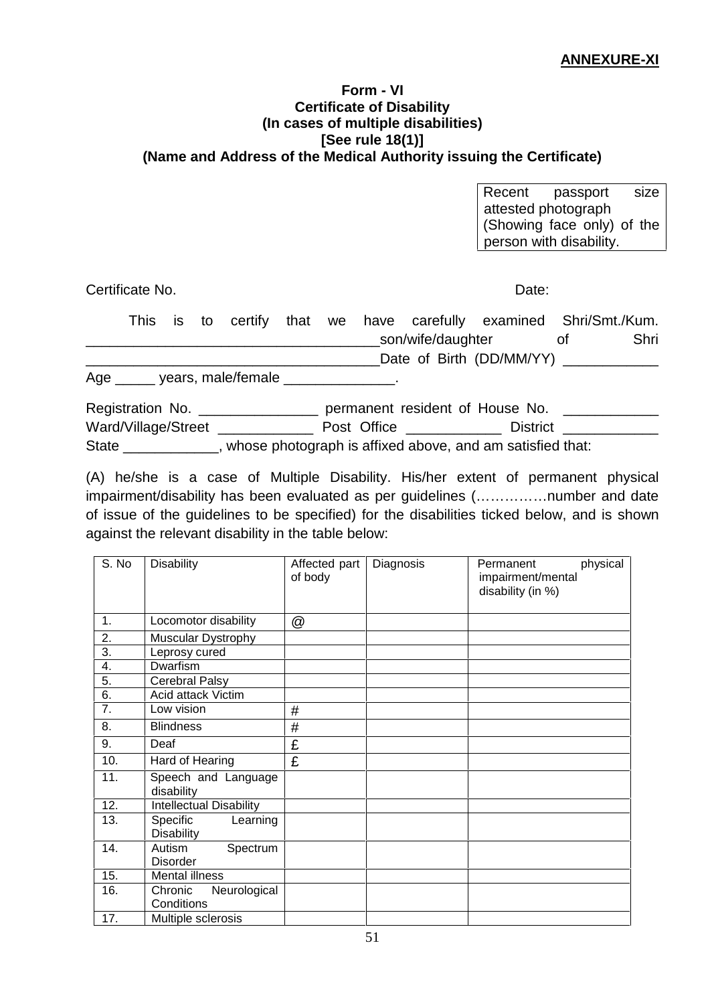#### **Form - VI Certificate of Disability (In cases of multiple disabilities) [See rule 18(1)] (Name and Address of the Medical Authority issuing the Certificate)**

Recent passport size attested photograph (Showing face only) of the person with disability.

Certificate No. Date:

|                                  |  |  |  |                                                |             |  | This is to certify that we have carefully examined Shri/Smt./Kum. |      |
|----------------------------------|--|--|--|------------------------------------------------|-------------|--|-------------------------------------------------------------------|------|
|                                  |  |  |  |                                                |             |  | son/wife/daughter of                                              | Shri |
|                                  |  |  |  |                                                |             |  | Date of Birth (DD/MM/YY) _____________                            |      |
|                                  |  |  |  | Age ______ years, male/female _______________. |             |  |                                                                   |      |
|                                  |  |  |  | Registration No. _________________             |             |  | permanent resident of House No.                                   |      |
| Ward/Village/Street ____________ |  |  |  |                                                | Post Office |  | District <b>District</b>                                          |      |

State \_\_\_\_\_\_\_\_\_\_\_\_, whose photograph is affixed above, and am satisfied that:

(A) he/she is a case of Multiple Disability. His/her extent of permanent physical impairment/disability has been evaluated as per guidelines (……………number and date of issue of the guidelines to be specified) for the disabilities ticked below, and is shown against the relevant disability in the table below:

| S. No            | <b>Disability</b>                         | Affected part<br>of body | Diagnosis | physical<br>Permanent<br>impairment/mental<br>disability (in %) |
|------------------|-------------------------------------------|--------------------------|-----------|-----------------------------------------------------------------|
| 1.               | Locomotor disability                      | @                        |           |                                                                 |
| 2.               | Muscular Dystrophy                        |                          |           |                                                                 |
| 3.               | Leprosy cured                             |                          |           |                                                                 |
| 4.               | Dwarfism                                  |                          |           |                                                                 |
| 5.               | Cerebral Palsy                            |                          |           |                                                                 |
| $\overline{6}$ . | Acid attack Victim                        |                          |           |                                                                 |
| 7.               | Low vision                                | #                        |           |                                                                 |
| 8.               | <b>Blindness</b>                          | #                        |           |                                                                 |
| 9.               | Deaf                                      | £                        |           |                                                                 |
| 10.              | Hard of Hearing                           | £                        |           |                                                                 |
| 11.              | Speech and Language<br>disability         |                          |           |                                                                 |
| 12.              | <b>Intellectual Disability</b>            |                          |           |                                                                 |
| 13.              | Specific<br>Learning<br><b>Disability</b> |                          |           |                                                                 |
| 14.              | Autism<br>Spectrum<br><b>Disorder</b>     |                          |           |                                                                 |
| 15.              | <b>Mental illness</b>                     |                          |           |                                                                 |
| 16.              | Chronic<br>Neurological<br>Conditions     |                          |           |                                                                 |
| 17.              | Multiple sclerosis                        |                          |           |                                                                 |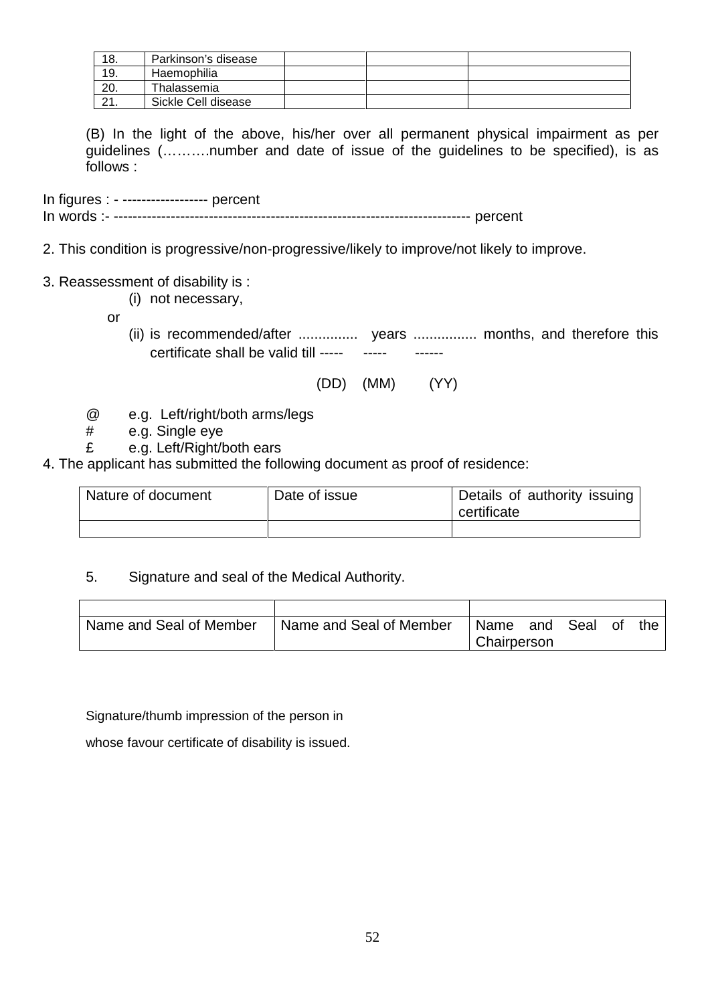| 18.      | Parkinson's disease |  |  |
|----------|---------------------|--|--|
| 19.      | Haemophilia         |  |  |
| 20.      | Thalassemia         |  |  |
| $\Omega$ | Sickle Cell disease |  |  |

(B) In the light of the above, his/her over all permanent physical impairment as per guidelines (……….number and date of issue of the guidelines to be specified), is as follows :

In figures : - ------------------ percent In words :- --------------------------------------------------------------------------- percent

- 2. This condition is progressive/non-progressive/likely to improve/not likely to improve.
- 3. Reassessment of disability is :
	- (i) not necessary,
	- or
		- (ii) is recommended/after ............... years ................ months, and therefore this certificate shall be valid till ----- ------ ------
			- (DD) (MM) (YY)
	- @ e.g. Left/right/both arms/legs
	- # e.g. Single eye
	- £ e.g. Left/Right/both ears
- 4. The applicant has submitted the following document as proof of residence:

| Nature of document | Date of issue | Details of authority issuing<br>certificate |  |  |
|--------------------|---------------|---------------------------------------------|--|--|
|                    |               |                                             |  |  |

5. Signature and seal of the Medical Authority.

| Name and Seal of Member | Name and Seal of Member | Name        | and | Seal | Οt | the |
|-------------------------|-------------------------|-------------|-----|------|----|-----|
|                         |                         | Chairperson |     |      |    |     |

Signature/thumb impression of the person in

whose favour certificate of disability is issued.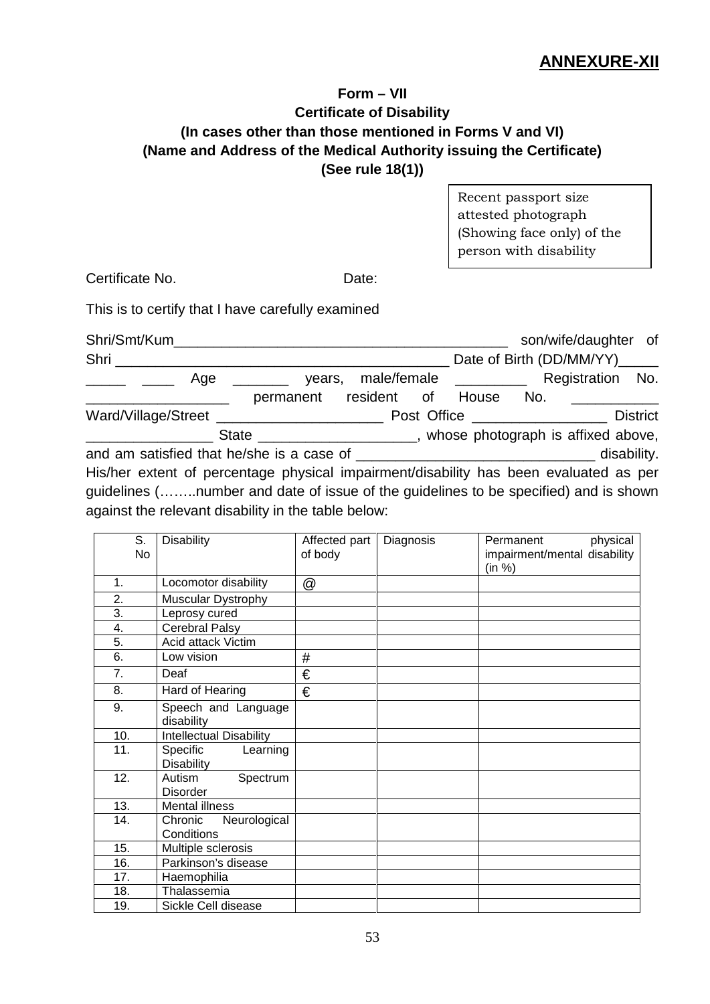### **ANNEXURE-XII**

### **Form – VII Certificate of Disability (In cases other than those mentioned in Forms V and VI) (Name and Address of the Medical Authority issuing the Certificate) (See rule 18(1))**

Recent passport size attested photograph (Showing face only) of the person with disability

Certificate No. **Date:** 

This is to certify that I have carefully examined

| Shri/Smt/Kum______                                                                                                                                                                                                                   |                                                                  |             |  |                       |                                | son/wife/daughter of |  |
|--------------------------------------------------------------------------------------------------------------------------------------------------------------------------------------------------------------------------------------|------------------------------------------------------------------|-------------|--|-----------------------|--------------------------------|----------------------|--|
| Shri                                                                                                                                                                                                                                 |                                                                  |             |  |                       | Date of Birth (DD/MM/YY)______ |                      |  |
| Age                                                                                                                                                                                                                                  | years,                                                           |             |  | male/female _________ |                                | Registration No.     |  |
|                                                                                                                                                                                                                                      | permanent                                                        | resident of |  | House                 | No.                            |                      |  |
| Ward/Village/Street __________________________                                                                                                                                                                                       |                                                                  | Post Office |  |                       |                                | <b>District</b>      |  |
|                                                                                                                                                                                                                                      | State ______________________, whose photograph is affixed above, |             |  |                       |                                |                      |  |
|                                                                                                                                                                                                                                      |                                                                  |             |  |                       |                                | disability.          |  |
| His/her extent of percentage physical impairment/disability has been evaluated as per<br>guidelines (number and date of issue of the guidelines to be specified) and is shown<br>against the relevant disability in the table below: |                                                                  |             |  |                       |                                |                      |  |

| S.<br><b>No</b> | <b>Disability</b>                         | Affected part<br>of body | Diagnosis | Permanent<br>physical<br>impairment/mental disability<br>(in %) |
|-----------------|-------------------------------------------|--------------------------|-----------|-----------------------------------------------------------------|
| 1.              | Locomotor disability                      | @                        |           |                                                                 |
| 2.              | Muscular Dystrophy                        |                          |           |                                                                 |
| 3.              | Leprosy cured                             |                          |           |                                                                 |
| 4.              | <b>Cerebral Palsy</b>                     |                          |           |                                                                 |
| 5.              | Acid attack Victim                        |                          |           |                                                                 |
| 6.              | Low vision                                | $\#$                     |           |                                                                 |
| 7.              | Deaf                                      | €                        |           |                                                                 |
| 8.              | Hard of Hearing                           | €                        |           |                                                                 |
| 9.              | Speech and Language<br>disability         |                          |           |                                                                 |
| 10.             | <b>Intellectual Disability</b>            |                          |           |                                                                 |
| 11.             | Specific<br>Learning<br><b>Disability</b> |                          |           |                                                                 |
| 12.             | Autism<br>Spectrum<br><b>Disorder</b>     |                          |           |                                                                 |
| 13.             | <b>Mental illness</b>                     |                          |           |                                                                 |
| 14.             | Chronic<br>Neurological<br>Conditions     |                          |           |                                                                 |
| 15.             | Multiple sclerosis                        |                          |           |                                                                 |
| 16.             | Parkinson's disease                       |                          |           |                                                                 |
| 17.             | Haemophilia                               |                          |           |                                                                 |
| 18.             | Thalassemia                               |                          |           |                                                                 |
| 19.             | Sickle Cell disease                       |                          |           |                                                                 |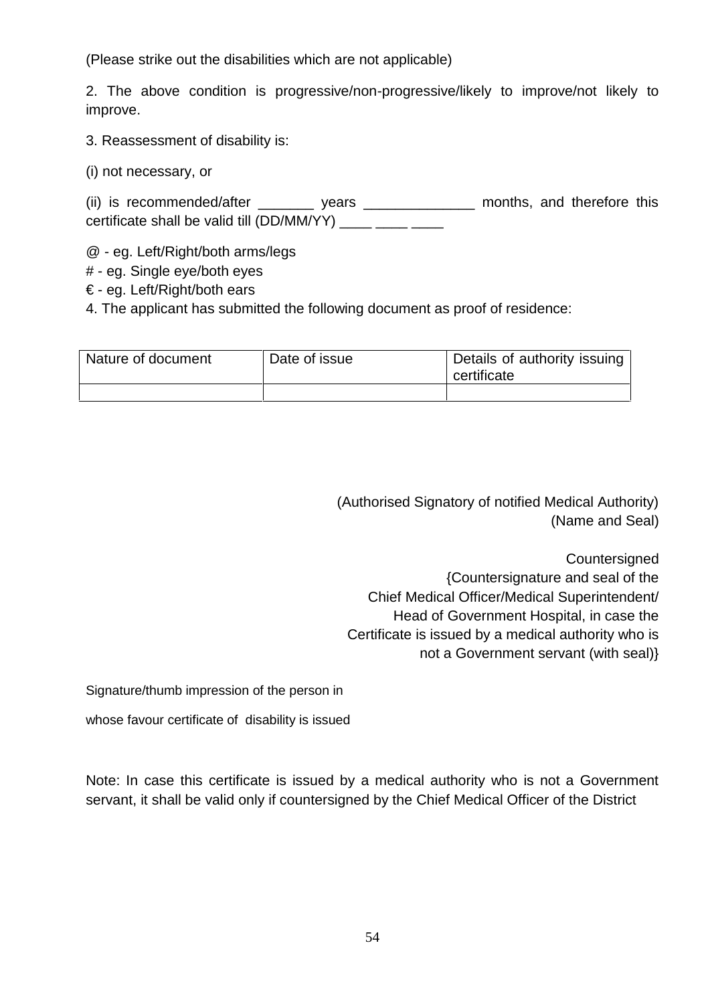(Please strike out the disabilities which are not applicable)

2. The above condition is progressive/non-progressive/likely to improve/not likely to improve.

3. Reassessment of disability is:

(i) not necessary, or

(ii) is recommended/after \_\_\_\_\_\_\_\_\_ years \_\_\_\_\_\_\_\_\_\_\_\_\_\_\_\_ months, and therefore this certificate shall be valid till  $(DD/MM/YY)$  \_\_\_\_\_ \_\_\_\_ \_\_\_\_

@ - eg. Left/Right/both arms/legs

- # eg. Single eye/both eyes
- € eg. Left/Right/both ears
- 4. The applicant has submitted the following document as proof of residence:

| Nature of document | Date of issue | Details of authority issuing<br>certificate |
|--------------------|---------------|---------------------------------------------|
|                    |               |                                             |

(Authorised Signatory of notified Medical Authority) (Name and Seal)

**Countersigned** {Countersignature and seal of the Chief Medical Officer/Medical Superintendent/ Head of Government Hospital, in case the Certificate is issued by a medical authority who is not a Government servant (with seal)}

Signature/thumb impression of the person in

whose favour certificate of disability is issued

Note: In case this certificate is issued by a medical authority who is not a Government servant, it shall be valid only if countersigned by the Chief Medical Officer of the District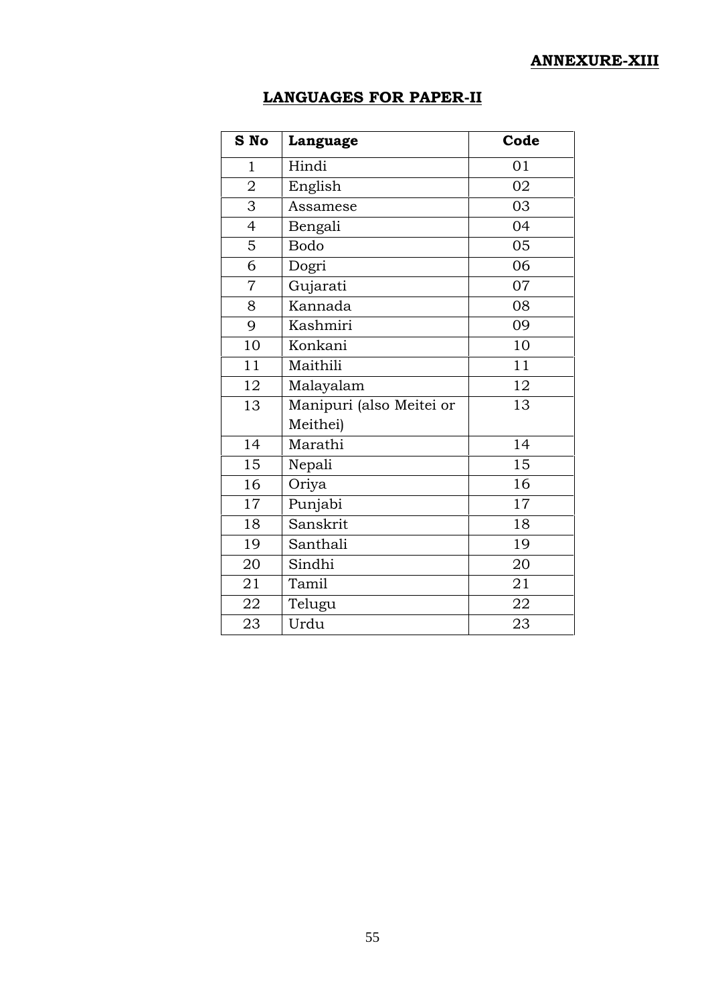### **ANNEXURE-XIII**

## **LANGUAGES FOR PAPER-II**

| S No           | Language                 | Code |
|----------------|--------------------------|------|
| 1              | Hindi                    | 01   |
| $\overline{2}$ | English                  | 02   |
| 3              | Assamese                 | 03   |
| $\overline{4}$ | Bengali                  | 04   |
| 5              | <b>Bodo</b>              | 05   |
| 6              | Dogri                    | 06   |
| $\overline{7}$ | Gujarati                 | 07   |
| 8              | Kannada                  | 08   |
| 9              | Kashmiri                 | 09   |
| 10             | Konkani                  | 10   |
| 11             | Maithili                 | 11   |
| 12             | Malayalam                | 12   |
| 13             | Manipuri (also Meitei or | 13   |
|                | Meithei)                 |      |
| 14             | Marathi                  | 14   |
| 15             | Nepali                   | 15   |
| 16             | Oriya                    | 16   |
| 17             | Punjabi                  | 17   |
| 18             | Sanskrit                 | 18   |
| 19             | Santhali                 | 19   |
| 20             | Sindhi                   | 20   |
| 21             | Tamil                    | 21   |
| 22             | Telugu                   | 22   |
| 23             | Urdu                     | 23   |